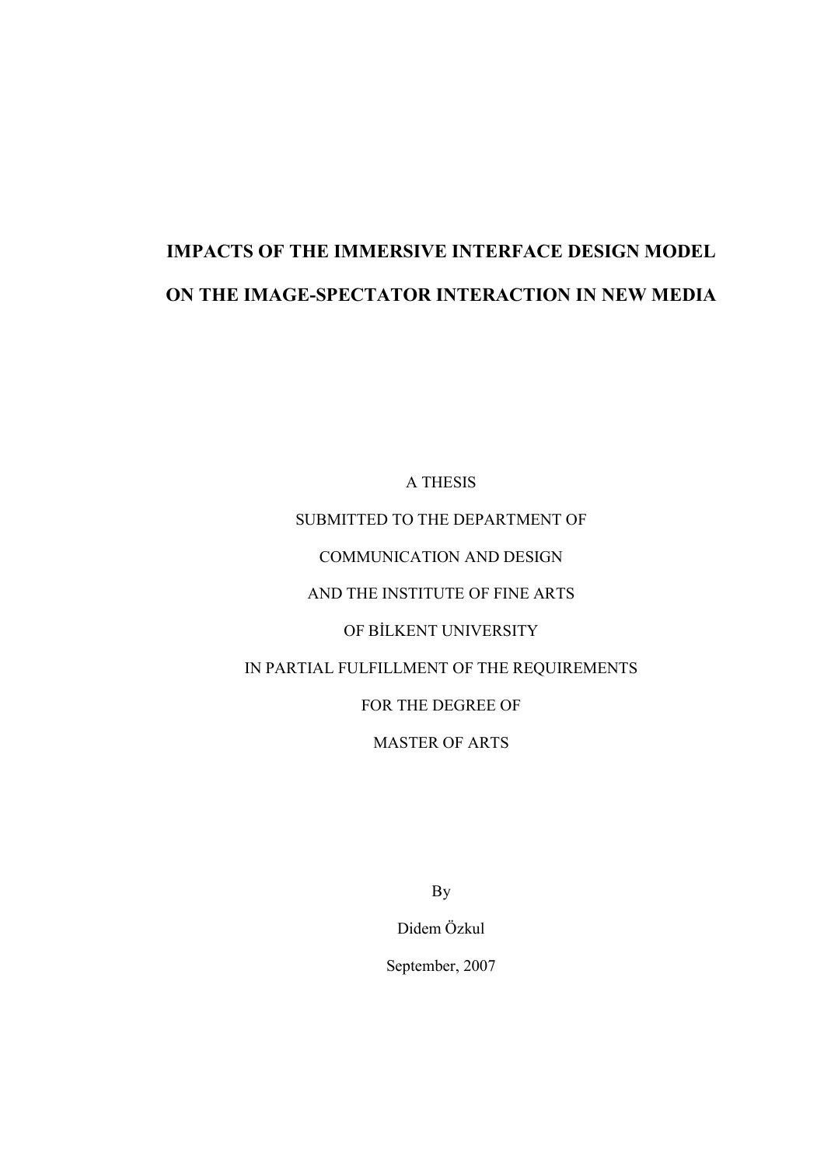# IMPACTS OF THE IMMERSIVE INTERFACE DESIGN MODEL ON THE IMAGE-SPECTATOR INTERACTION IN NEW MEDIA

A THESIS SUBMITTED TO THE DEPARTMENT OF COMMUNICATION AND DESIGN AND THE INSTITUTE OF FINE ARTS OF BİLKENT UNIVERSITY IN PARTIAL FULFILLMENT OF THE REQUIREMENTS FOR THE DEGREE OF MASTER OF ARTS

By

Didem Özkul

September, 2007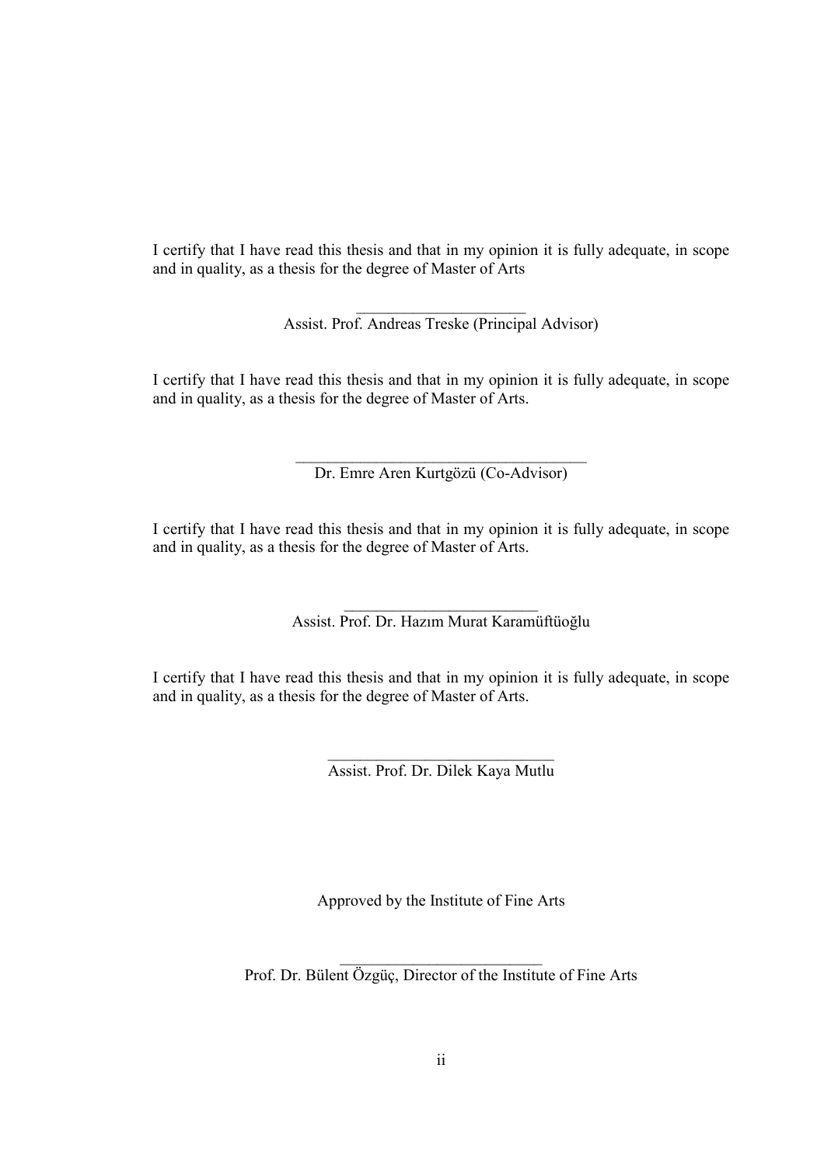I certify that I have read this thesis and that in my opinion it is fully adequate, in scope and in quality, as a thesis for the degree of Master of Arts

> $\frac{1}{2}$  ,  $\frac{1}{2}$  ,  $\frac{1}{2}$  ,  $\frac{1}{2}$  ,  $\frac{1}{2}$  ,  $\frac{1}{2}$  ,  $\frac{1}{2}$  ,  $\frac{1}{2}$  ,  $\frac{1}{2}$  ,  $\frac{1}{2}$  ,  $\frac{1}{2}$  ,  $\frac{1}{2}$  ,  $\frac{1}{2}$  ,  $\frac{1}{2}$  ,  $\frac{1}{2}$  ,  $\frac{1}{2}$  ,  $\frac{1}{2}$  ,  $\frac{1}{2}$  ,  $\frac{1$ Assist. Prof. Andreas Treske (Principal Advisor)

I certify that I have read this thesis and that in my opinion it is fully adequate, in scope and in quality, as a thesis for the degree of Master of Arts.

> \_\_\_\_\_\_\_\_\_\_\_\_\_\_\_\_\_\_\_\_\_\_\_\_\_\_\_\_\_\_\_\_\_\_\_\_ Dr. Emre Aren Kurtgözü (Co-Advisor)

I certify that I have read this thesis and that in my opinion it is fully adequate, in scope and in quality, as a thesis for the degree of Master of Arts.

> \_\_\_\_\_\_\_\_\_\_\_\_\_\_\_\_\_\_\_\_\_\_\_\_ Assist. Prof. Dr. Hazım Murat Karamüftüoğlu

I certify that I have read this thesis and that in my opinion it is fully adequate, in scope and in quality, as a thesis for the degree of Master of Arts.

> $\overline{\phantom{a}}$  , where  $\overline{\phantom{a}}$  , where  $\overline{\phantom{a}}$  , where  $\overline{\phantom{a}}$ Assist. Prof. Dr. Dilek Kaya Mutlu

Approved by the Institute of Fine Arts

\_\_\_\_\_\_\_\_\_\_\_\_\_\_\_\_\_\_\_\_\_\_\_\_\_ Prof. Dr. Bülent Özgüç, Director of the Institute of Fine Arts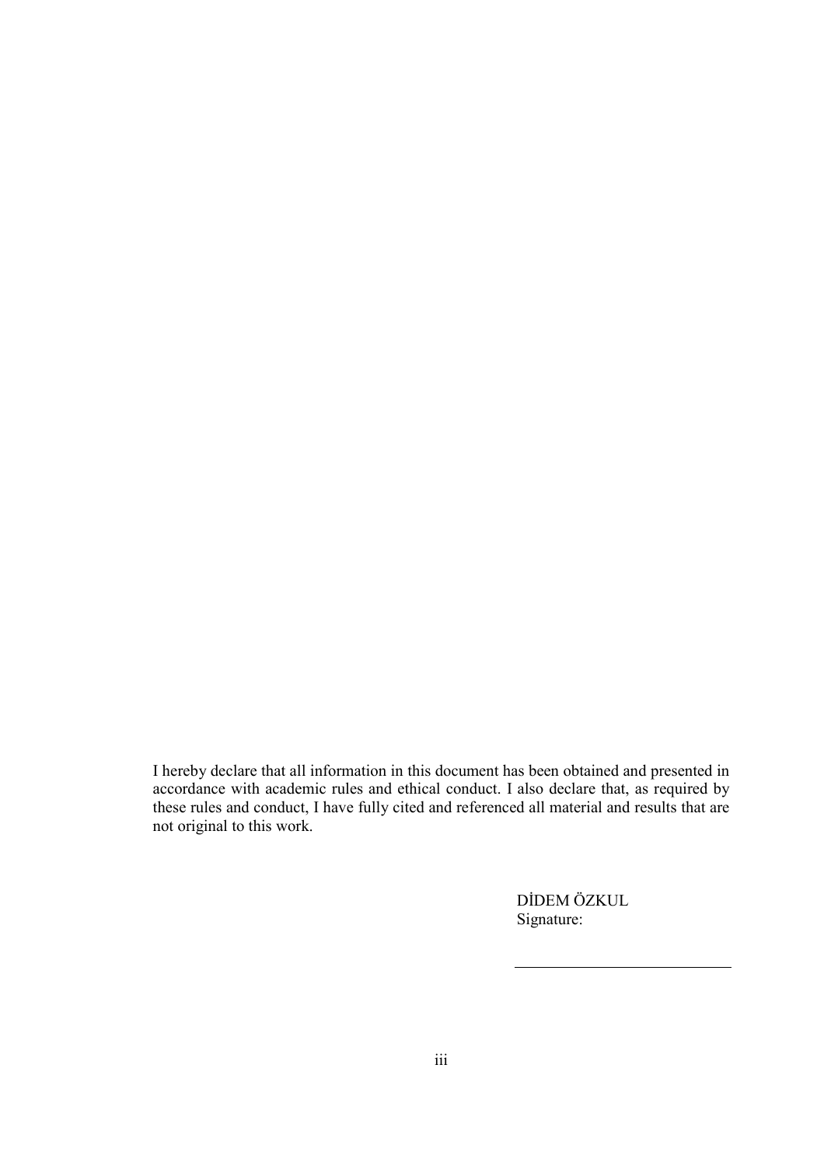I hereby declare that all information in this document has been obtained and presented in accordance with academic rules and ethical conduct. I also declare that, as required by these rules and conduct, I have fully cited and referenced all material and results that are not original to this work.

> DİDEM ÖZKUL Signature: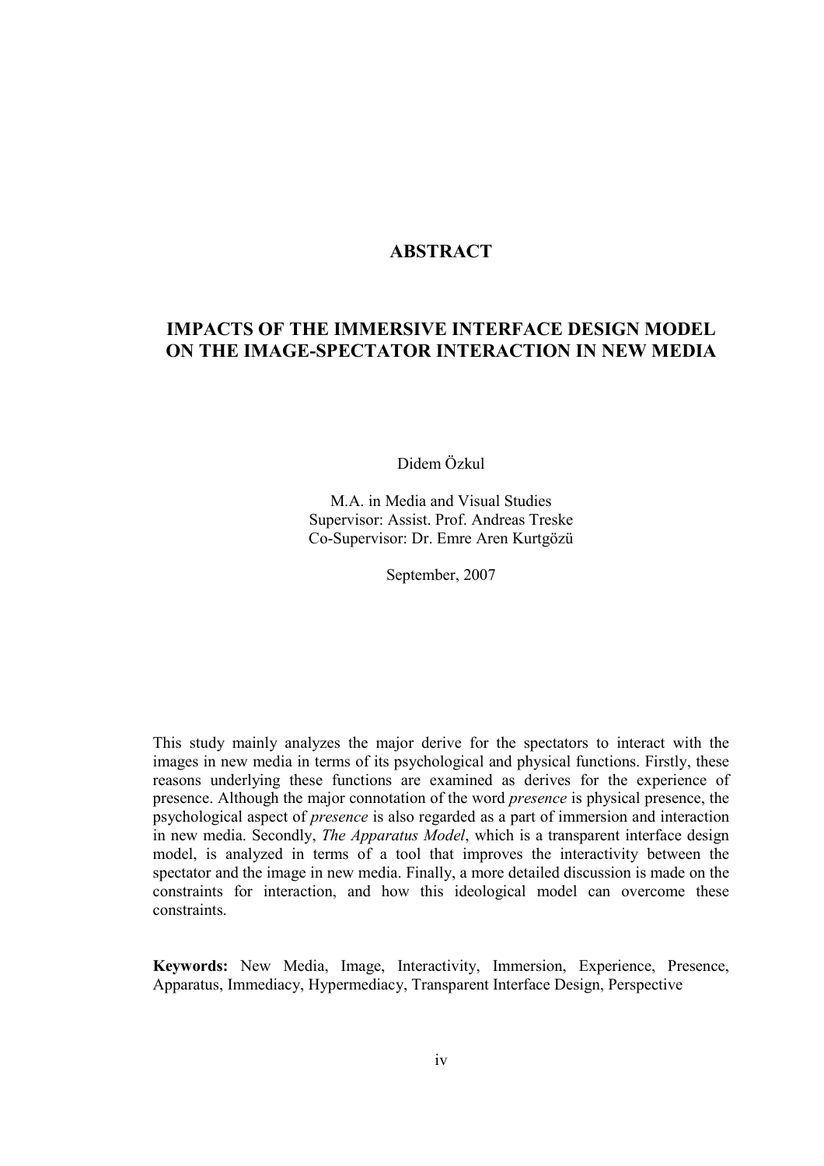# **ABSTRACT**

# IMPACTS OF THE IMMERSIVE INTERFACE DESIGN MODEL ON THE IMAGE-SPECTATOR INTERACTION IN NEW MEDIA

Didem Özkul

M.A. in Media and Visual Studies Supervisor: Assist. Prof. Andreas Treske Co-Supervisor: Dr. Emre Aren Kurtgözü

September, 2007

This study mainly analyzes the major derive for the spectators to interact with the images in new media in terms of its psychological and physical functions. Firstly, these reasons underlying these functions are examined as derives for the experience of presence. Although the major connotation of the word presence is physical presence, the psychological aspect of presence is also regarded as a part of immersion and interaction in new media. Secondly, The Apparatus Model, which is a transparent interface design model, is analyzed in terms of a tool that improves the interactivity between the spectator and the image in new media. Finally, a more detailed discussion is made on the constraints for interaction, and how this ideological model can overcome these constraints.

Keywords: New Media, Image, Interactivity, Immersion, Experience, Presence, Apparatus, Immediacy, Hypermediacy, Transparent Interface Design, Perspective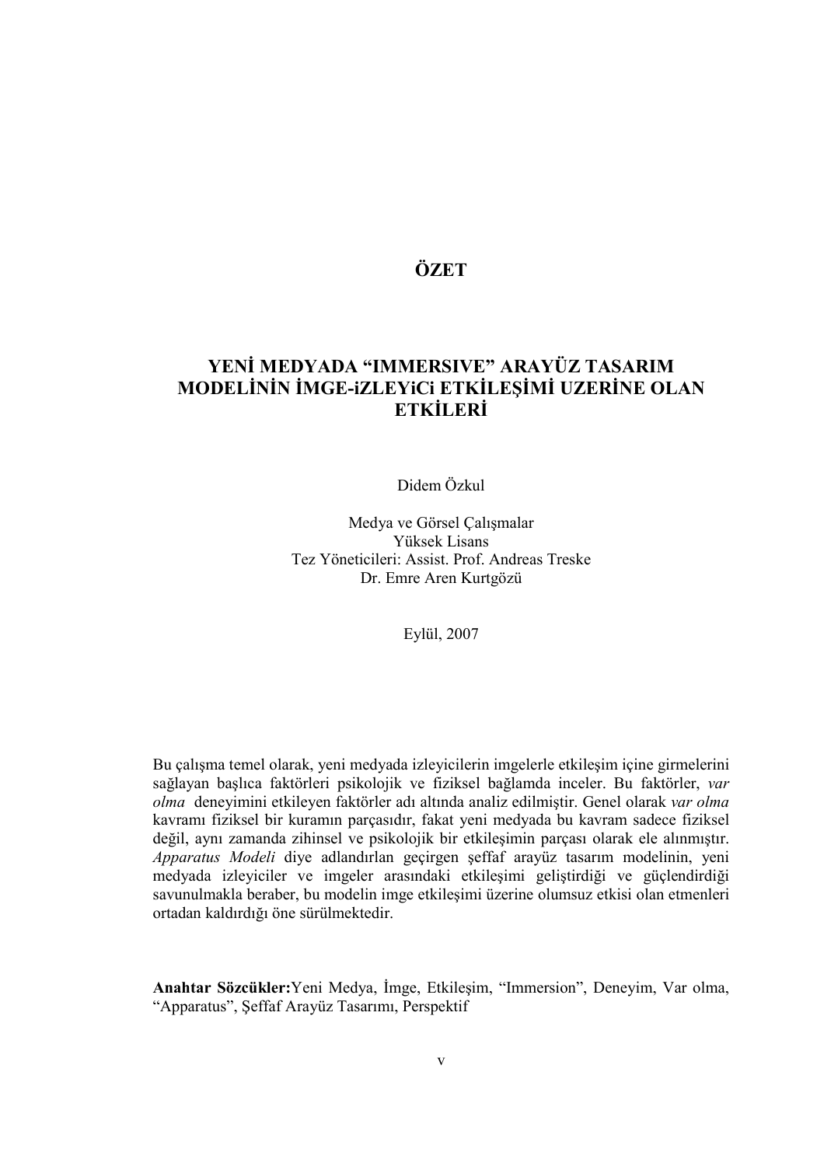# **ÖZET**

# YENİ MEDYADA "IMMERSIVE" ARAYÜZ TASARIM MODELİNİN İMGE-IZLEYICI ETKİLESİMİ UZERİNE OLAN **ETKİLERİ**

Didem Özkul

Medya ve Görsel Çalışmalar Yüksek Lisans Tez Yöneticileri: Assist. Prof. Andreas Treske Dr. Emre Aren Kurtgözü

Eylül, 2007

Bu çalışma temel olarak, yeni medyada izleyicilerin imgelerle etkileşim içine girmelerini sağlayan başlıca faktörleri psikolojik ve fiziksel bağlamda inceler. Bu faktörler, var olma deneyimini etkileyen faktörler adı altında analiz edilmiştir. Genel olarak var olma kavramı fiziksel bir kuramın parçasıdır, fakat yeni medyada bu kavram sadece fiziksel değil, aynı zamanda zihinsel ve psikolojik bir etkileşimin parçası olarak ele alınmıştır. Apparatus Modeli diye adlandırlan geçirgen şeffaf arayüz tasarım modelinin, yeni medyada izleyiciler ve imgeler arasındaki etkileşimi geliştirdiği ve güçlendirdiği savunulmakla beraber, bu modelin imge etkileşimi üzerine olumsuz etkisi olan etmenleri ortadan kaldırdığı öne sürülmektedir.

Anahtar Sözcükler: Yeni Medya, İmge, Etkileşim, "Immersion", Deneyim, Var olma, "Apparatus", Şeffaf Arayüz Tasarımı, Perspektif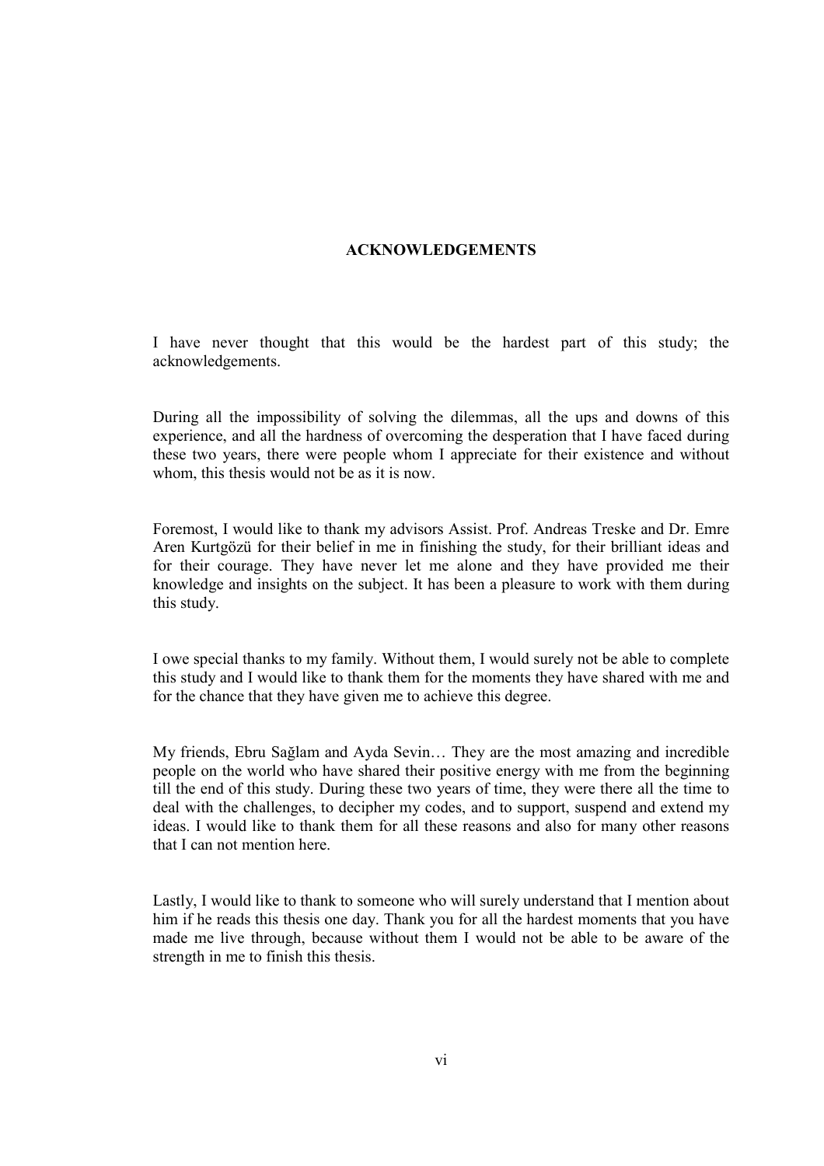## ACKNOWLEDGEMENTS

I have never thought that this would be the hardest part of this study; the acknowledgements.

During all the impossibility of solving the dilemmas, all the ups and downs of this experience, and all the hardness of overcoming the desperation that I have faced during these two years, there were people whom I appreciate for their existence and without whom, this thesis would not be as it is now.

Foremost, I would like to thank my advisors Assist. Prof. Andreas Treske and Dr. Emre Aren Kurtgözü for their belief in me in finishing the study, for their brilliant ideas and for their courage. They have never let me alone and they have provided me their knowledge and insights on the subject. It has been a pleasure to work with them during this study.

I owe special thanks to my family. Without them, I would surely not be able to complete this study and I would like to thank them for the moments they have shared with me and for the chance that they have given me to achieve this degree.

My friends, Ebru Sağlam and Ayda Sevin… They are the most amazing and incredible people on the world who have shared their positive energy with me from the beginning till the end of this study. During these two years of time, they were there all the time to deal with the challenges, to decipher my codes, and to support, suspend and extend my ideas. I would like to thank them for all these reasons and also for many other reasons that I can not mention here.

Lastly, I would like to thank to someone who will surely understand that I mention about him if he reads this thesis one day. Thank you for all the hardest moments that you have made me live through, because without them I would not be able to be aware of the strength in me to finish this thesis.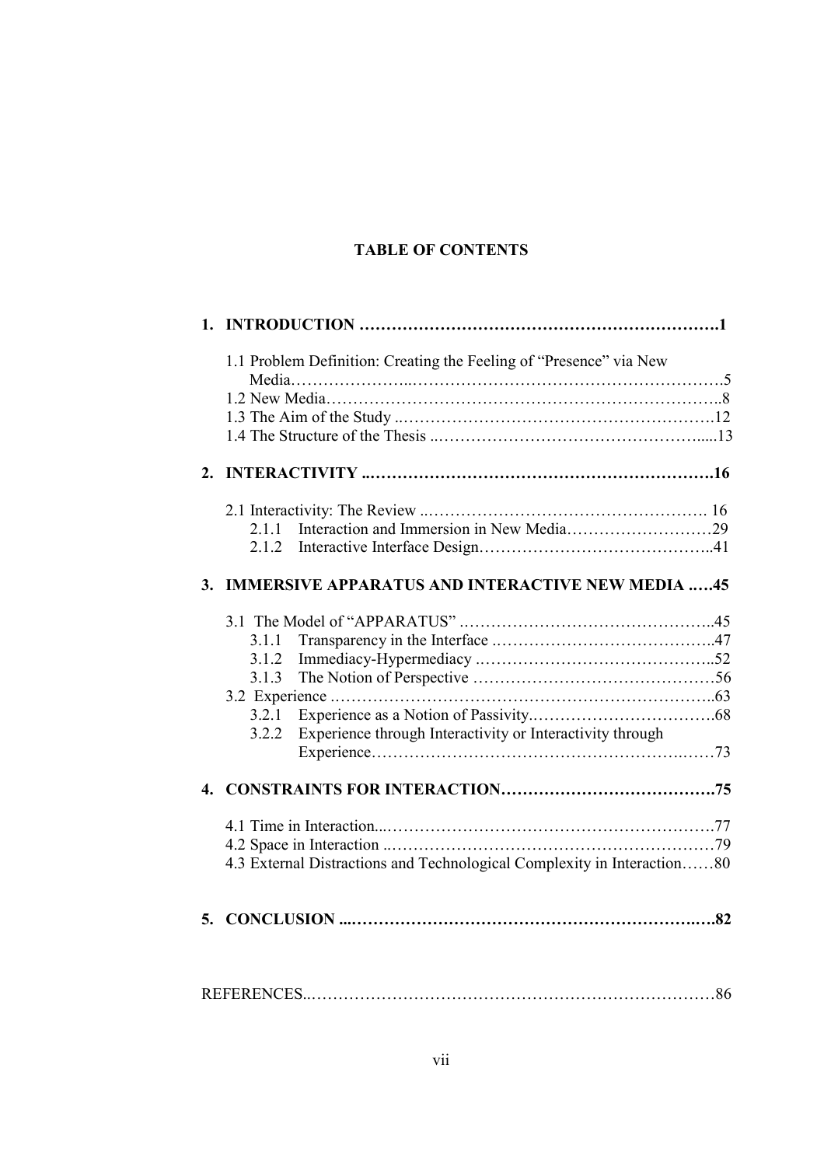# TABLE OF CONTENTS

| 1.1 Problem Definition: Creating the Feeling of "Presence" via New |                                                                         |  |  |
|--------------------------------------------------------------------|-------------------------------------------------------------------------|--|--|
|                                                                    |                                                                         |  |  |
|                                                                    |                                                                         |  |  |
|                                                                    |                                                                         |  |  |
| 2.                                                                 |                                                                         |  |  |
|                                                                    |                                                                         |  |  |
|                                                                    | 2.1.1                                                                   |  |  |
|                                                                    | 2.1.2                                                                   |  |  |
| 3.                                                                 | <b>IMMERSIVE APPARATUS AND INTERACTIVE NEW MEDIA 45</b>                 |  |  |
|                                                                    |                                                                         |  |  |
|                                                                    | 3.1.1                                                                   |  |  |
|                                                                    | 3.1.2                                                                   |  |  |
|                                                                    | 3.1.3                                                                   |  |  |
|                                                                    |                                                                         |  |  |
|                                                                    | 3.2.1                                                                   |  |  |
|                                                                    | Experience through Interactivity or Interactivity through<br>3.2.2      |  |  |
|                                                                    |                                                                         |  |  |
| $\mathbf{4}$                                                       |                                                                         |  |  |
|                                                                    |                                                                         |  |  |
|                                                                    |                                                                         |  |  |
|                                                                    | 4.3 External Distractions and Technological Complexity in Interaction80 |  |  |
|                                                                    |                                                                         |  |  |
| 5.                                                                 |                                                                         |  |  |
|                                                                    |                                                                         |  |  |
|                                                                    |                                                                         |  |  |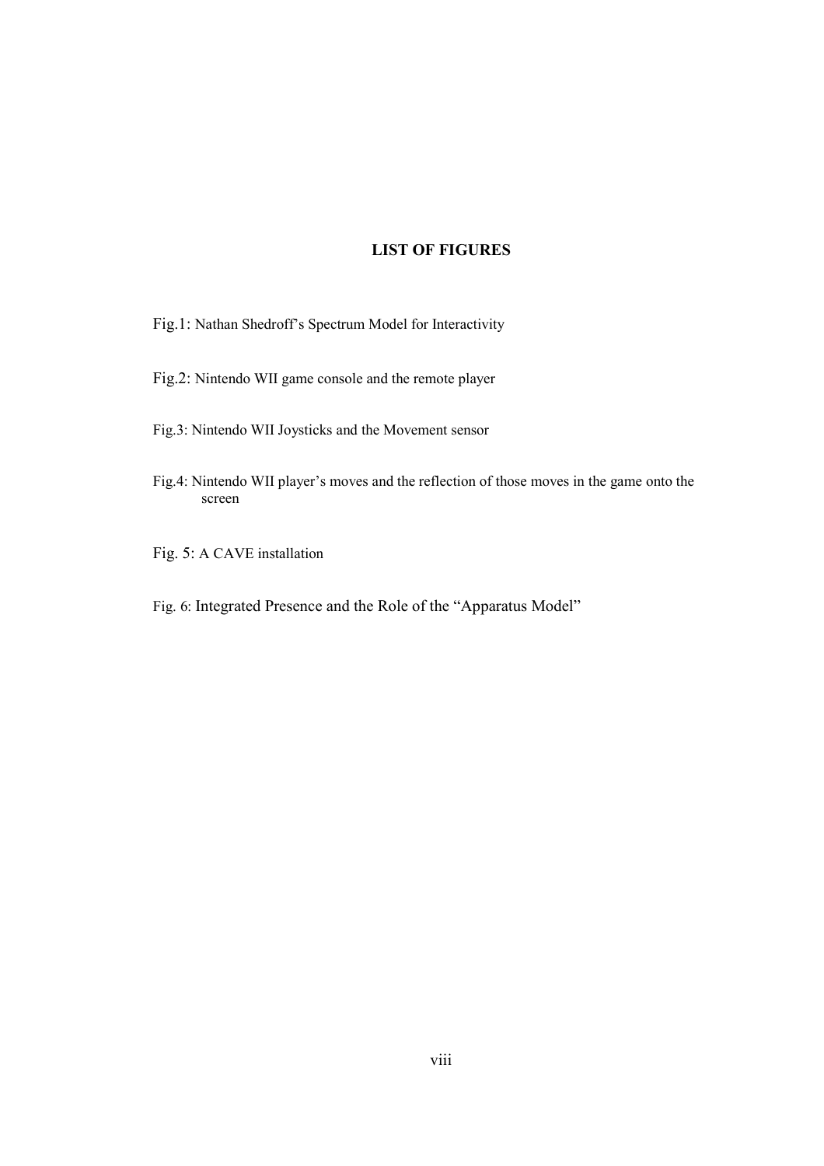## LIST OF FIGURES

Fig.1: Nathan Shedroff's Spectrum Model for Interactivity

- Fig.2: Nintendo WII game console and the remote player
- Fig.3: Nintendo WII Joysticks and the Movement sensor
- Fig.4: Nintendo WII player's moves and the reflection of those moves in the game onto the screen
- Fig. 5: A CAVE installation
- Fig. 6: Integrated Presence and the Role of the "Apparatus Model"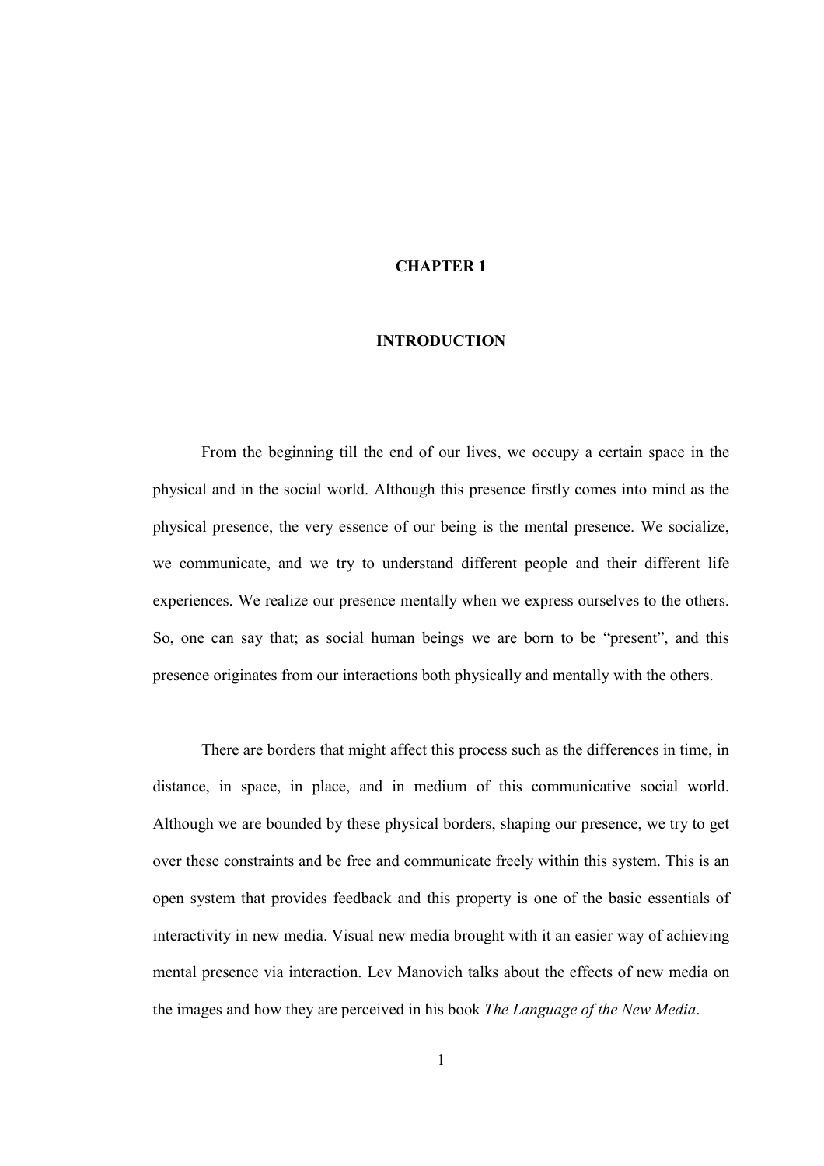# CHAPTER 1

# INTRODUCTION

 From the beginning till the end of our lives, we occupy a certain space in the physical and in the social world. Although this presence firstly comes into mind as the physical presence, the very essence of our being is the mental presence. We socialize, we communicate, and we try to understand different people and their different life experiences. We realize our presence mentally when we express ourselves to the others. So, one can say that; as social human beings we are born to be "present", and this presence originates from our interactions both physically and mentally with the others.

There are borders that might affect this process such as the differences in time, in distance, in space, in place, and in medium of this communicative social world. Although we are bounded by these physical borders, shaping our presence, we try to get over these constraints and be free and communicate freely within this system. This is an open system that provides feedback and this property is one of the basic essentials of interactivity in new media. Visual new media brought with it an easier way of achieving mental presence via interaction. Lev Manovich talks about the effects of new media on the images and how they are perceived in his book The Language of the New Media.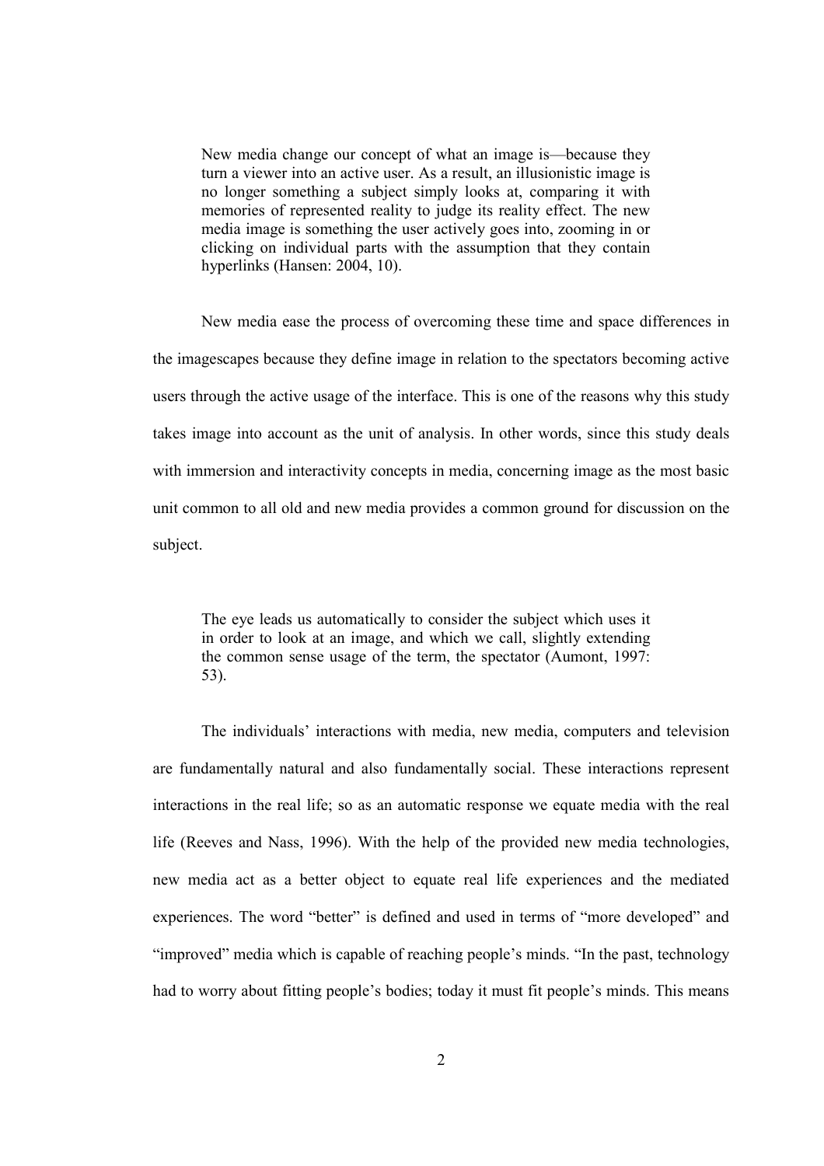New media change our concept of what an image is—because they turn a viewer into an active user. As a result, an illusionistic image is no longer something a subject simply looks at, comparing it with memories of represented reality to judge its reality effect. The new media image is something the user actively goes into, zooming in or clicking on individual parts with the assumption that they contain hyperlinks (Hansen: 2004, 10).

New media ease the process of overcoming these time and space differences in the imagescapes because they define image in relation to the spectators becoming active users through the active usage of the interface. This is one of the reasons why this study takes image into account as the unit of analysis. In other words, since this study deals with immersion and interactivity concepts in media, concerning image as the most basic unit common to all old and new media provides a common ground for discussion on the subject.

The eye leads us automatically to consider the subject which uses it in order to look at an image, and which we call, slightly extending the common sense usage of the term, the spectator (Aumont, 1997: 53).

The individuals' interactions with media, new media, computers and television are fundamentally natural and also fundamentally social. These interactions represent interactions in the real life; so as an automatic response we equate media with the real life (Reeves and Nass, 1996). With the help of the provided new media technologies, new media act as a better object to equate real life experiences and the mediated experiences. The word "better" is defined and used in terms of "more developed" and "improved" media which is capable of reaching people's minds. "In the past, technology had to worry about fitting people's bodies; today it must fit people's minds. This means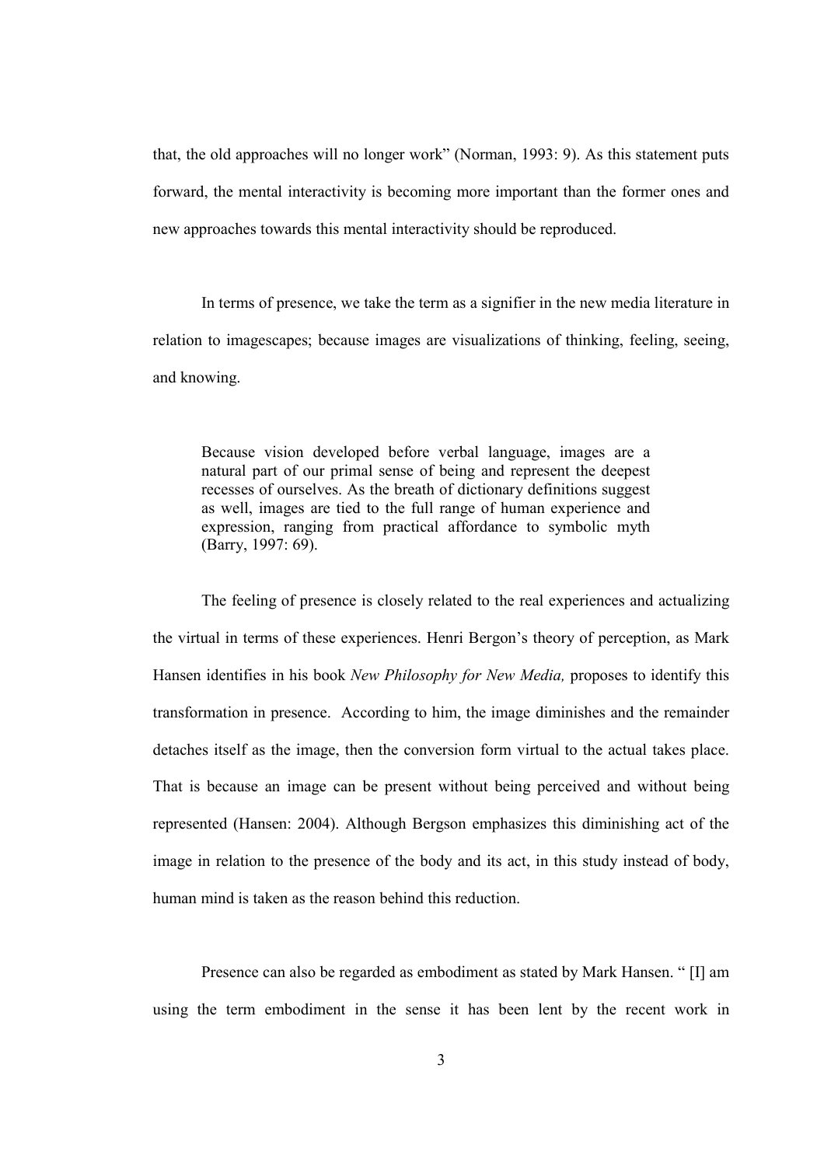that, the old approaches will no longer work" (Norman, 1993: 9). As this statement puts forward, the mental interactivity is becoming more important than the former ones and new approaches towards this mental interactivity should be reproduced.

In terms of presence, we take the term as a signifier in the new media literature in relation to imagescapes; because images are visualizations of thinking, feeling, seeing, and knowing.

Because vision developed before verbal language, images are a natural part of our primal sense of being and represent the deepest recesses of ourselves. As the breath of dictionary definitions suggest as well, images are tied to the full range of human experience and expression, ranging from practical affordance to symbolic myth (Barry, 1997: 69).

The feeling of presence is closely related to the real experiences and actualizing the virtual in terms of these experiences. Henri Bergon's theory of perception, as Mark Hansen identifies in his book New Philosophy for New Media, proposes to identify this transformation in presence. According to him, the image diminishes and the remainder detaches itself as the image, then the conversion form virtual to the actual takes place. That is because an image can be present without being perceived and without being represented (Hansen: 2004). Although Bergson emphasizes this diminishing act of the image in relation to the presence of the body and its act, in this study instead of body, human mind is taken as the reason behind this reduction.

Presence can also be regarded as embodiment as stated by Mark Hansen. " [I] am using the term embodiment in the sense it has been lent by the recent work in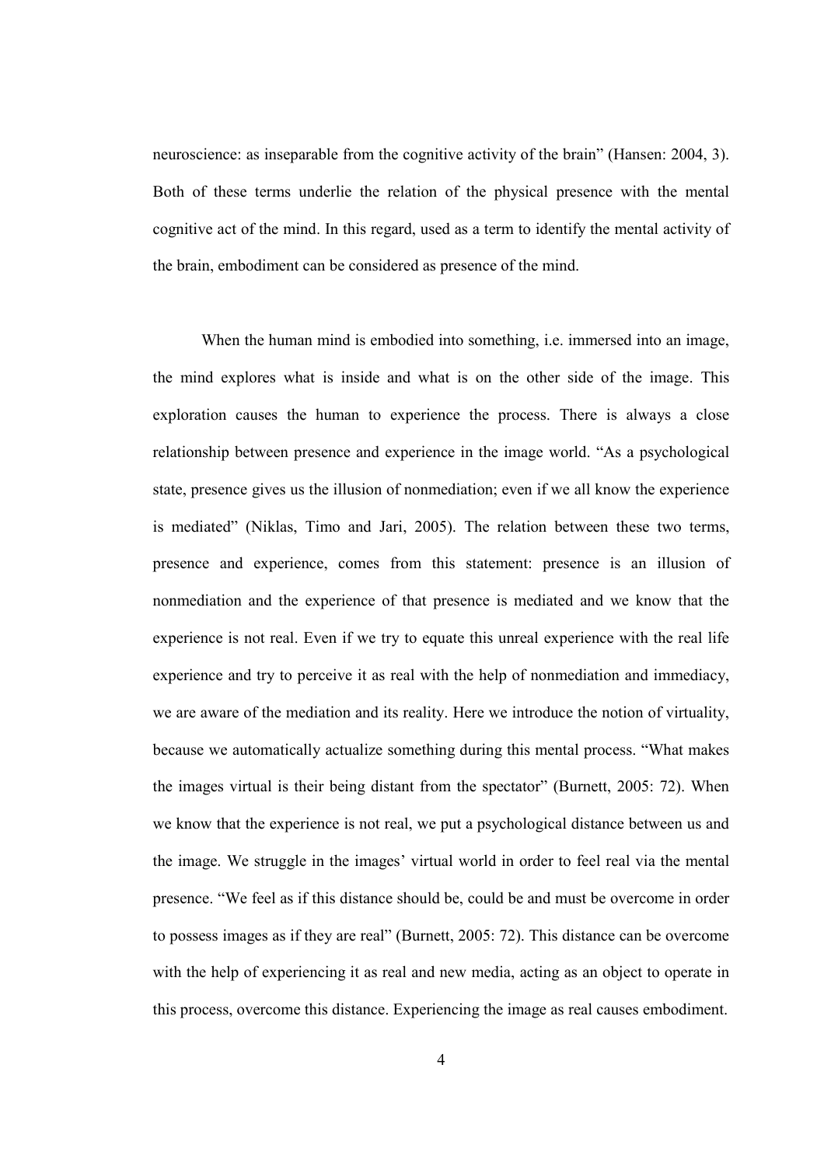neuroscience: as inseparable from the cognitive activity of the brain" (Hansen: 2004, 3). Both of these terms underlie the relation of the physical presence with the mental cognitive act of the mind. In this regard, used as a term to identify the mental activity of the brain, embodiment can be considered as presence of the mind.

When the human mind is embodied into something, i.e. immersed into an image, the mind explores what is inside and what is on the other side of the image. This exploration causes the human to experience the process. There is always a close relationship between presence and experience in the image world. "As a psychological state, presence gives us the illusion of nonmediation; even if we all know the experience is mediated" (Niklas, Timo and Jari, 2005). The relation between these two terms, presence and experience, comes from this statement: presence is an illusion of nonmediation and the experience of that presence is mediated and we know that the experience is not real. Even if we try to equate this unreal experience with the real life experience and try to perceive it as real with the help of nonmediation and immediacy, we are aware of the mediation and its reality. Here we introduce the notion of virtuality, because we automatically actualize something during this mental process. "What makes the images virtual is their being distant from the spectator" (Burnett, 2005: 72). When we know that the experience is not real, we put a psychological distance between us and the image. We struggle in the images' virtual world in order to feel real via the mental presence. "We feel as if this distance should be, could be and must be overcome in order to possess images as if they are real" (Burnett, 2005: 72). This distance can be overcome with the help of experiencing it as real and new media, acting as an object to operate in this process, overcome this distance. Experiencing the image as real causes embodiment.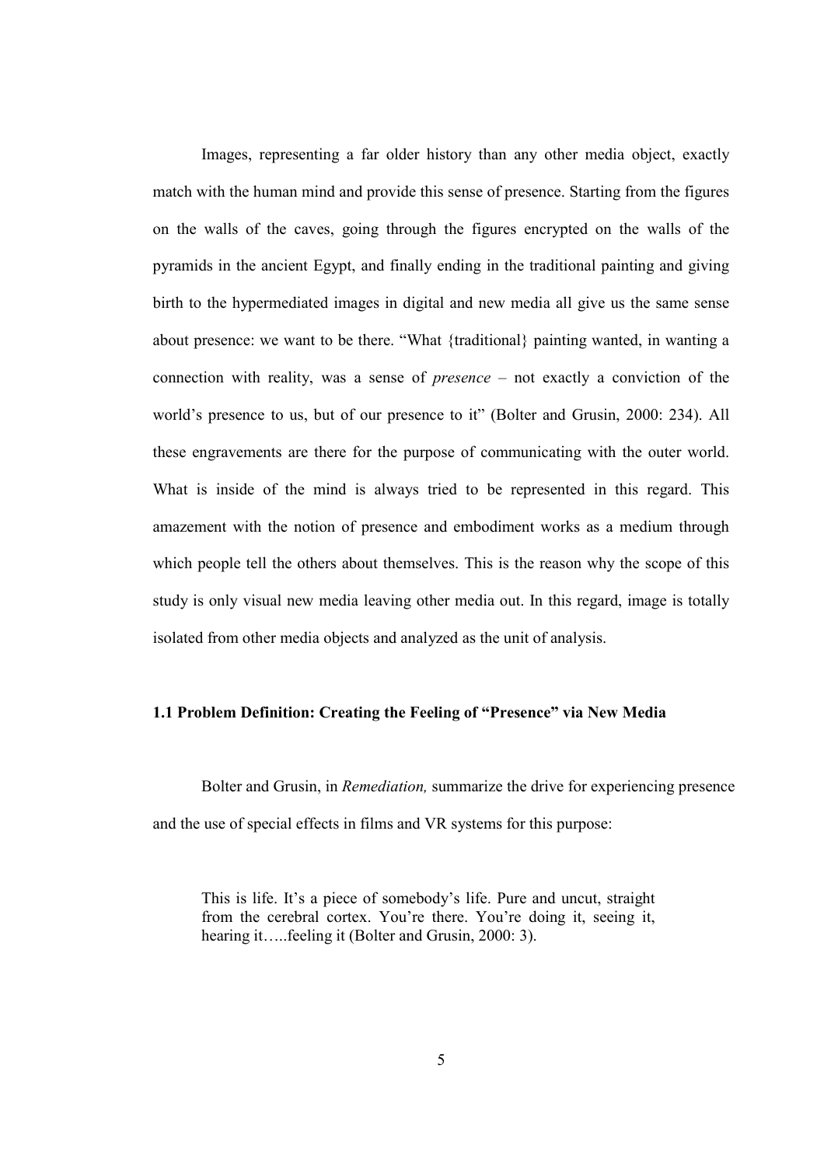Images, representing a far older history than any other media object, exactly match with the human mind and provide this sense of presence. Starting from the figures on the walls of the caves, going through the figures encrypted on the walls of the pyramids in the ancient Egypt, and finally ending in the traditional painting and giving birth to the hypermediated images in digital and new media all give us the same sense about presence: we want to be there. "What {traditional} painting wanted, in wanting a connection with reality, was a sense of presence – not exactly a conviction of the world's presence to us, but of our presence to it" (Bolter and Grusin, 2000: 234). All these engravements are there for the purpose of communicating with the outer world. What is inside of the mind is always tried to be represented in this regard. This amazement with the notion of presence and embodiment works as a medium through which people tell the others about themselves. This is the reason why the scope of this study is only visual new media leaving other media out. In this regard, image is totally isolated from other media objects and analyzed as the unit of analysis.

#### 1.1 Problem Definition: Creating the Feeling of "Presence" via New Media

Bolter and Grusin, in Remediation, summarize the drive for experiencing presence and the use of special effects in films and VR systems for this purpose:

This is life. It's a piece of somebody's life. Pure and uncut, straight from the cerebral cortex. You're there. You're doing it, seeing it, hearing it…..feeling it (Bolter and Grusin, 2000: 3).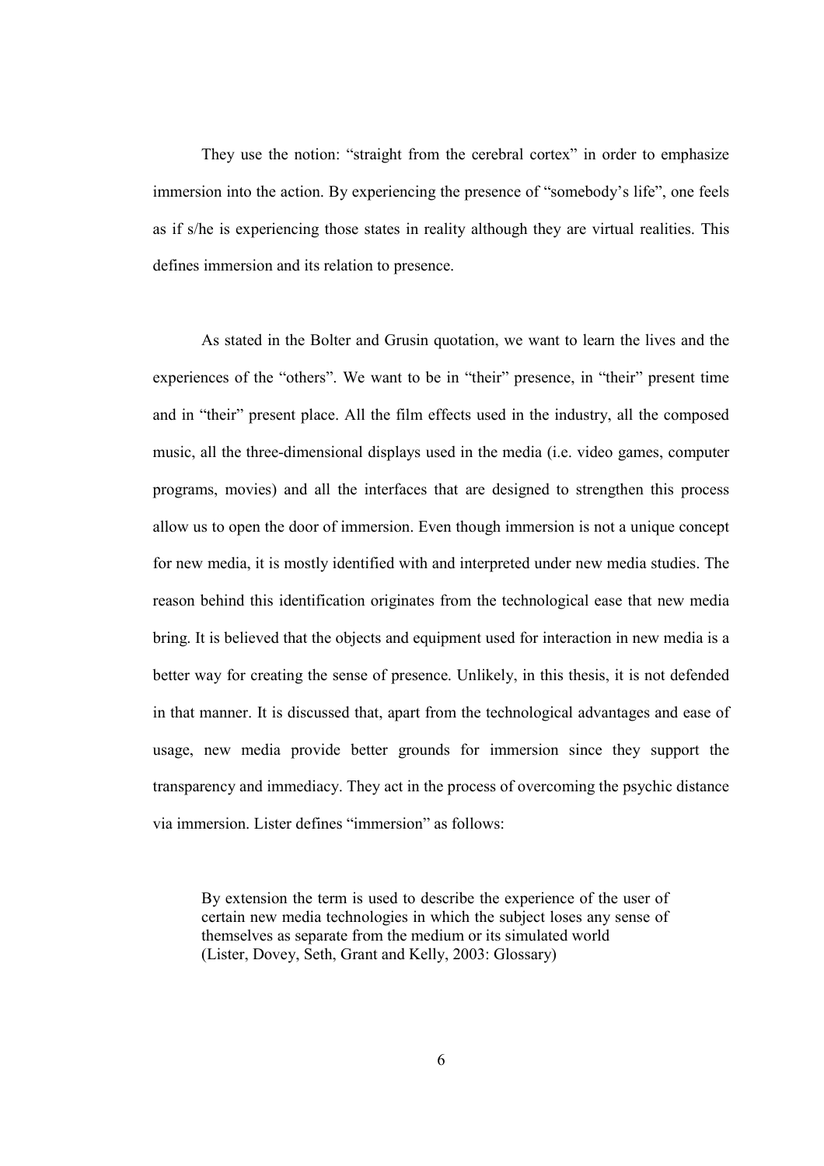They use the notion: "straight from the cerebral cortex" in order to emphasize immersion into the action. By experiencing the presence of "somebody's life", one feels as if s/he is experiencing those states in reality although they are virtual realities. This defines immersion and its relation to presence.

As stated in the Bolter and Grusin quotation, we want to learn the lives and the experiences of the "others". We want to be in "their" presence, in "their" present time and in "their" present place. All the film effects used in the industry, all the composed music, all the three-dimensional displays used in the media (i.e. video games, computer programs, movies) and all the interfaces that are designed to strengthen this process allow us to open the door of immersion. Even though immersion is not a unique concept for new media, it is mostly identified with and interpreted under new media studies. The reason behind this identification originates from the technological ease that new media bring. It is believed that the objects and equipment used for interaction in new media is a better way for creating the sense of presence. Unlikely, in this thesis, it is not defended in that manner. It is discussed that, apart from the technological advantages and ease of usage, new media provide better grounds for immersion since they support the transparency and immediacy. They act in the process of overcoming the psychic distance via immersion. Lister defines "immersion" as follows:

By extension the term is used to describe the experience of the user of certain new media technologies in which the subject loses any sense of themselves as separate from the medium or its simulated world (Lister, Dovey, Seth, Grant and Kelly, 2003: Glossary)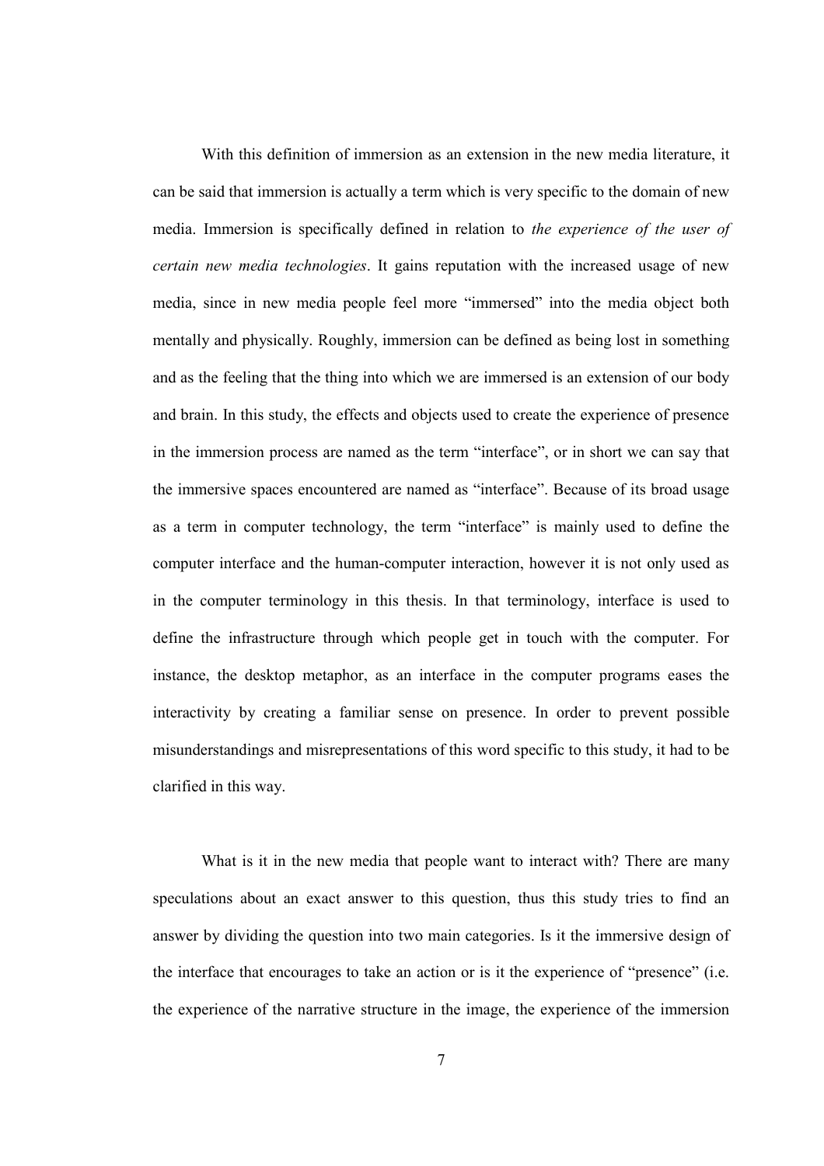With this definition of immersion as an extension in the new media literature, it can be said that immersion is actually a term which is very specific to the domain of new media. Immersion is specifically defined in relation to the experience of the user of certain new media technologies. It gains reputation with the increased usage of new media, since in new media people feel more "immersed" into the media object both mentally and physically. Roughly, immersion can be defined as being lost in something and as the feeling that the thing into which we are immersed is an extension of our body and brain. In this study, the effects and objects used to create the experience of presence in the immersion process are named as the term "interface", or in short we can say that the immersive spaces encountered are named as "interface". Because of its broad usage as a term in computer technology, the term "interface" is mainly used to define the computer interface and the human-computer interaction, however it is not only used as in the computer terminology in this thesis. In that terminology, interface is used to define the infrastructure through which people get in touch with the computer. For instance, the desktop metaphor, as an interface in the computer programs eases the interactivity by creating a familiar sense on presence. In order to prevent possible misunderstandings and misrepresentations of this word specific to this study, it had to be clarified in this way.

What is it in the new media that people want to interact with? There are many speculations about an exact answer to this question, thus this study tries to find an answer by dividing the question into two main categories. Is it the immersive design of the interface that encourages to take an action or is it the experience of "presence" (i.e. the experience of the narrative structure in the image, the experience of the immersion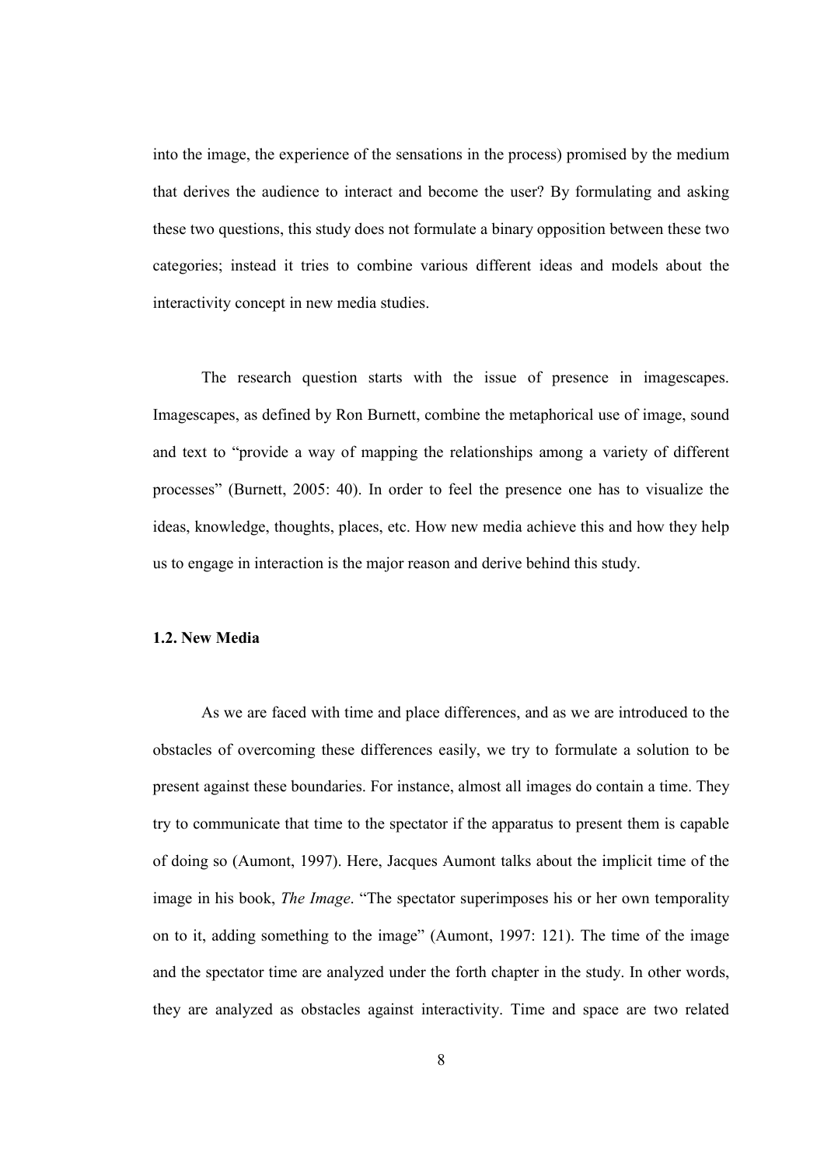into the image, the experience of the sensations in the process) promised by the medium that derives the audience to interact and become the user? By formulating and asking these two questions, this study does not formulate a binary opposition between these two categories; instead it tries to combine various different ideas and models about the interactivity concept in new media studies.

The research question starts with the issue of presence in imagescapes. Imagescapes, as defined by Ron Burnett, combine the metaphorical use of image, sound and text to "provide a way of mapping the relationships among a variety of different processes" (Burnett, 2005: 40). In order to feel the presence one has to visualize the ideas, knowledge, thoughts, places, etc. How new media achieve this and how they help us to engage in interaction is the major reason and derive behind this study.

#### 1.2. New Media

As we are faced with time and place differences, and as we are introduced to the obstacles of overcoming these differences easily, we try to formulate a solution to be present against these boundaries. For instance, almost all images do contain a time. They try to communicate that time to the spectator if the apparatus to present them is capable of doing so (Aumont, 1997). Here, Jacques Aumont talks about the implicit time of the image in his book, The Image. "The spectator superimposes his or her own temporality on to it, adding something to the image" (Aumont, 1997: 121). The time of the image and the spectator time are analyzed under the forth chapter in the study. In other words, they are analyzed as obstacles against interactivity. Time and space are two related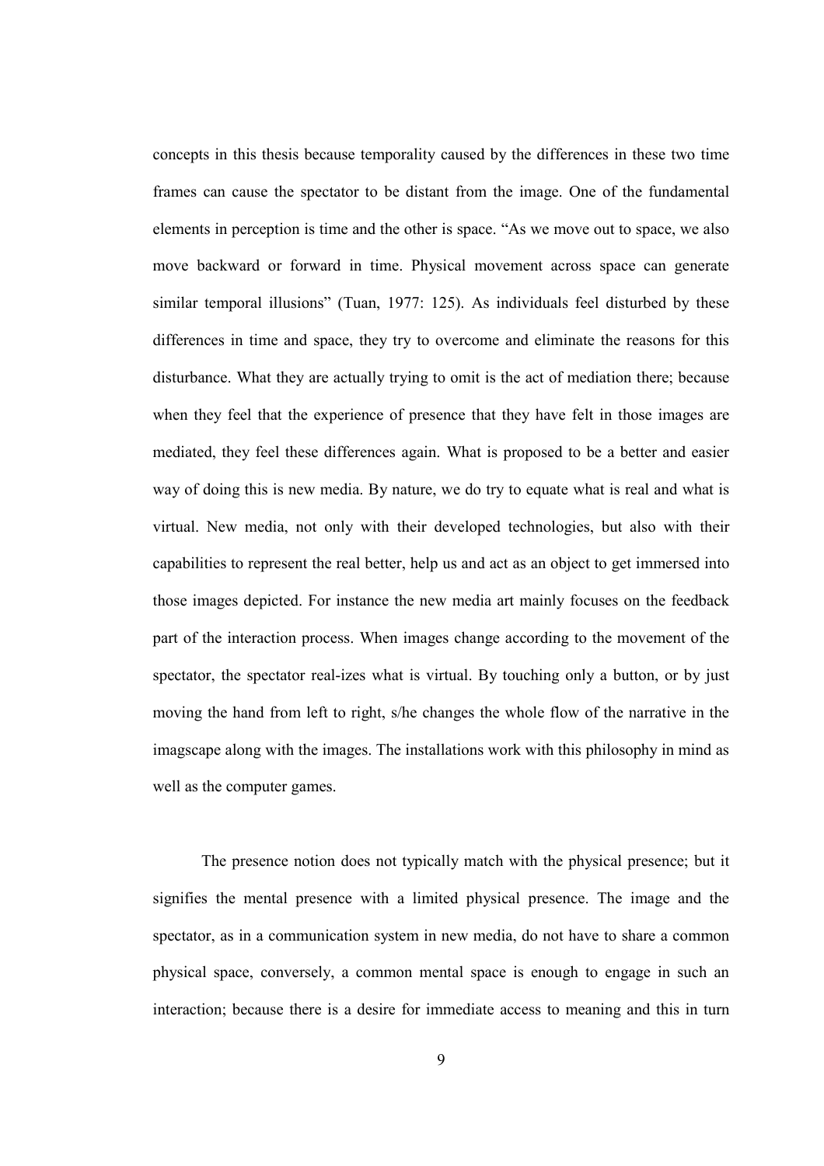concepts in this thesis because temporality caused by the differences in these two time frames can cause the spectator to be distant from the image. One of the fundamental elements in perception is time and the other is space. "As we move out to space, we also move backward or forward in time. Physical movement across space can generate similar temporal illusions" (Tuan, 1977: 125). As individuals feel disturbed by these differences in time and space, they try to overcome and eliminate the reasons for this disturbance. What they are actually trying to omit is the act of mediation there; because when they feel that the experience of presence that they have felt in those images are mediated, they feel these differences again. What is proposed to be a better and easier way of doing this is new media. By nature, we do try to equate what is real and what is virtual. New media, not only with their developed technologies, but also with their capabilities to represent the real better, help us and act as an object to get immersed into those images depicted. For instance the new media art mainly focuses on the feedback part of the interaction process. When images change according to the movement of the spectator, the spectator real-izes what is virtual. By touching only a button, or by just moving the hand from left to right, s/he changes the whole flow of the narrative in the imagscape along with the images. The installations work with this philosophy in mind as well as the computer games.

The presence notion does not typically match with the physical presence; but it signifies the mental presence with a limited physical presence. The image and the spectator, as in a communication system in new media, do not have to share a common physical space, conversely, a common mental space is enough to engage in such an interaction; because there is a desire for immediate access to meaning and this in turn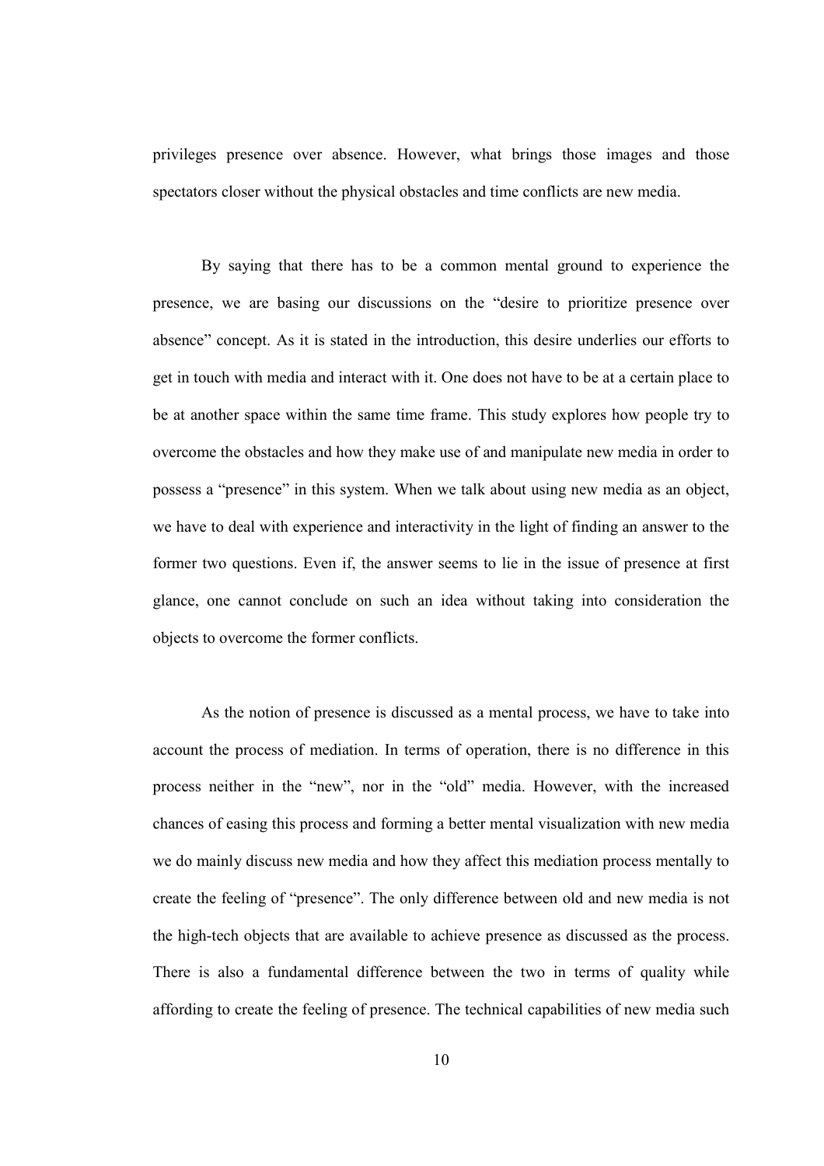privileges presence over absence. However, what brings those images and those spectators closer without the physical obstacles and time conflicts are new media.

By saying that there has to be a common mental ground to experience the presence, we are basing our discussions on the "desire to prioritize presence over absence" concept. As it is stated in the introduction, this desire underlies our efforts to get in touch with media and interact with it. One does not have to be at a certain place to be at another space within the same time frame. This study explores how people try to overcome the obstacles and how they make use of and manipulate new media in order to possess a "presence" in this system. When we talk about using new media as an object, we have to deal with experience and interactivity in the light of finding an answer to the former two questions. Even if, the answer seems to lie in the issue of presence at first glance, one cannot conclude on such an idea without taking into consideration the objects to overcome the former conflicts.

As the notion of presence is discussed as a mental process, we have to take into account the process of mediation. In terms of operation, there is no difference in this process neither in the "new", nor in the "old" media. However, with the increased chances of easing this process and forming a better mental visualization with new media we do mainly discuss new media and how they affect this mediation process mentally to create the feeling of "presence". The only difference between old and new media is not the high-tech objects that are available to achieve presence as discussed as the process. There is also a fundamental difference between the two in terms of quality while affording to create the feeling of presence. The technical capabilities of new media such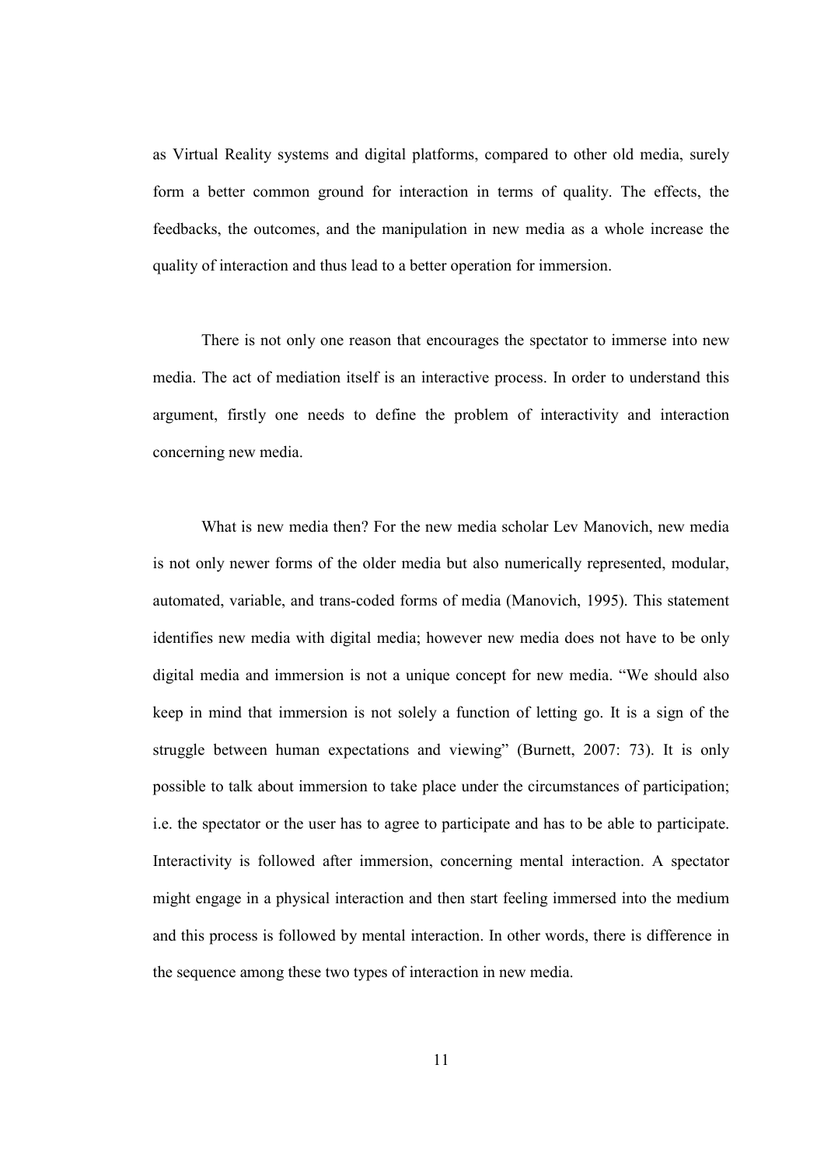as Virtual Reality systems and digital platforms, compared to other old media, surely form a better common ground for interaction in terms of quality. The effects, the feedbacks, the outcomes, and the manipulation in new media as a whole increase the quality of interaction and thus lead to a better operation for immersion.

There is not only one reason that encourages the spectator to immerse into new media. The act of mediation itself is an interactive process. In order to understand this argument, firstly one needs to define the problem of interactivity and interaction concerning new media.

What is new media then? For the new media scholar Lev Manovich, new media is not only newer forms of the older media but also numerically represented, modular, automated, variable, and trans-coded forms of media (Manovich, 1995). This statement identifies new media with digital media; however new media does not have to be only digital media and immersion is not a unique concept for new media. "We should also keep in mind that immersion is not solely a function of letting go. It is a sign of the struggle between human expectations and viewing" (Burnett, 2007: 73). It is only possible to talk about immersion to take place under the circumstances of participation; i.e. the spectator or the user has to agree to participate and has to be able to participate. Interactivity is followed after immersion, concerning mental interaction. A spectator might engage in a physical interaction and then start feeling immersed into the medium and this process is followed by mental interaction. In other words, there is difference in the sequence among these two types of interaction in new media.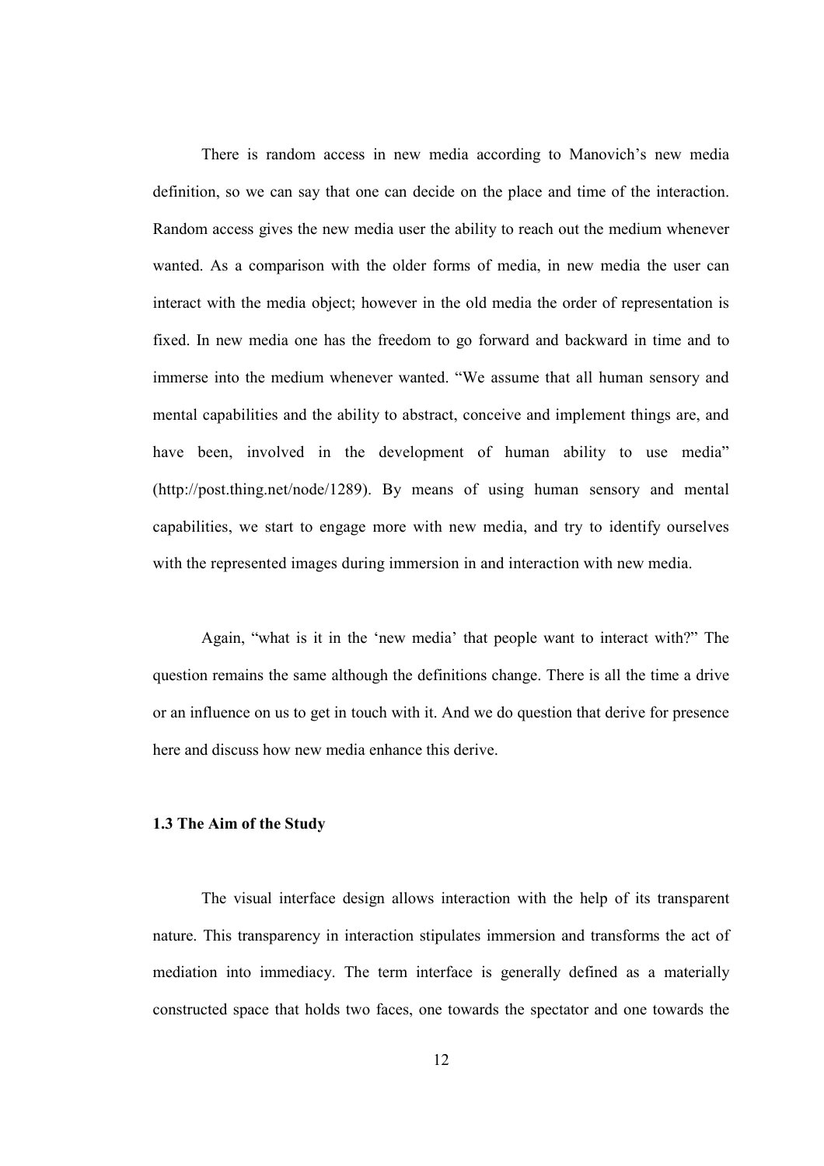There is random access in new media according to Manovich's new media definition, so we can say that one can decide on the place and time of the interaction. Random access gives the new media user the ability to reach out the medium whenever wanted. As a comparison with the older forms of media, in new media the user can interact with the media object; however in the old media the order of representation is fixed. In new media one has the freedom to go forward and backward in time and to immerse into the medium whenever wanted. "We assume that all human sensory and mental capabilities and the ability to abstract, conceive and implement things are, and have been, involved in the development of human ability to use media" (http://post.thing.net/node/1289). By means of using human sensory and mental capabilities, we start to engage more with new media, and try to identify ourselves with the represented images during immersion in and interaction with new media.

Again, "what is it in the 'new media' that people want to interact with?" The question remains the same although the definitions change. There is all the time a drive or an influence on us to get in touch with it. And we do question that derive for presence here and discuss how new media enhance this derive.

### 1.3 The Aim of the Study

The visual interface design allows interaction with the help of its transparent nature. This transparency in interaction stipulates immersion and transforms the act of mediation into immediacy. The term interface is generally defined as a materially constructed space that holds two faces, one towards the spectator and one towards the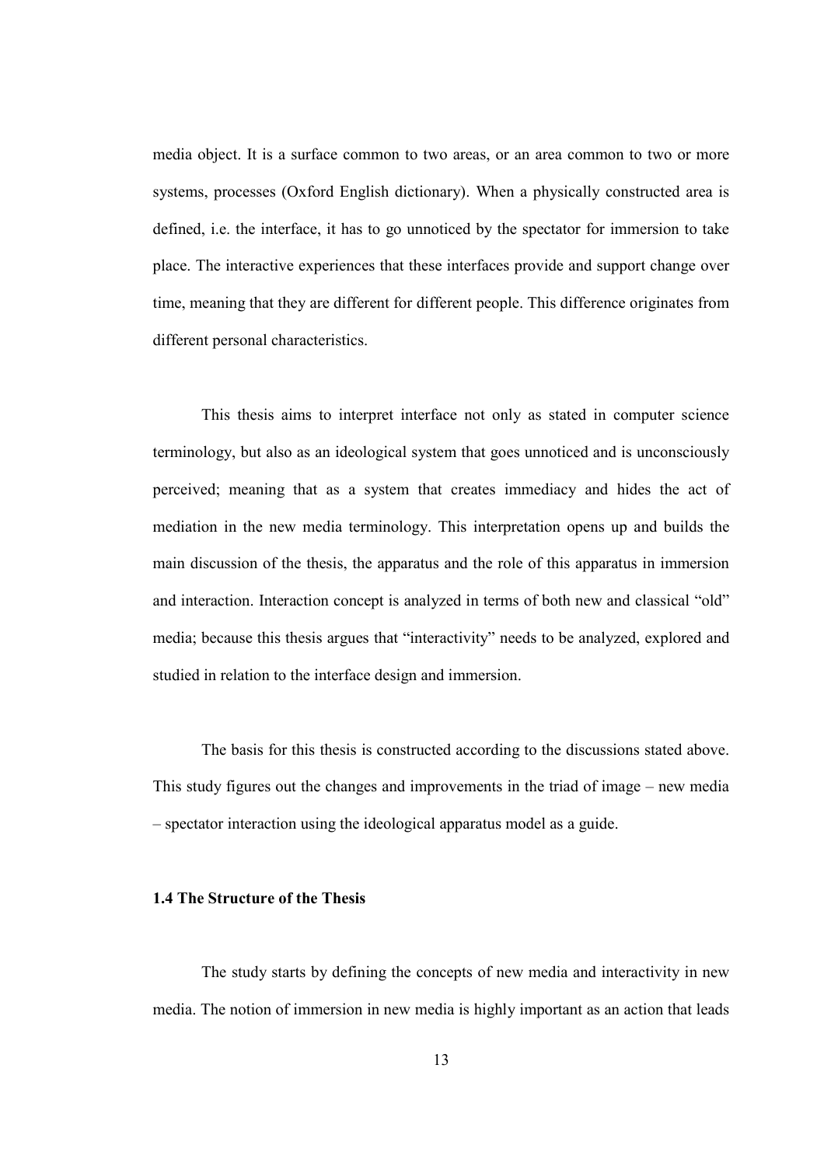media object. It is a surface common to two areas, or an area common to two or more systems, processes (Oxford English dictionary). When a physically constructed area is defined, i.e. the interface, it has to go unnoticed by the spectator for immersion to take place. The interactive experiences that these interfaces provide and support change over time, meaning that they are different for different people. This difference originates from different personal characteristics.

This thesis aims to interpret interface not only as stated in computer science terminology, but also as an ideological system that goes unnoticed and is unconsciously perceived; meaning that as a system that creates immediacy and hides the act of mediation in the new media terminology. This interpretation opens up and builds the main discussion of the thesis, the apparatus and the role of this apparatus in immersion and interaction. Interaction concept is analyzed in terms of both new and classical "old" media; because this thesis argues that "interactivity" needs to be analyzed, explored and studied in relation to the interface design and immersion.

The basis for this thesis is constructed according to the discussions stated above. This study figures out the changes and improvements in the triad of image – new media – spectator interaction using the ideological apparatus model as a guide.

#### 1.4 The Structure of the Thesis

The study starts by defining the concepts of new media and interactivity in new media. The notion of immersion in new media is highly important as an action that leads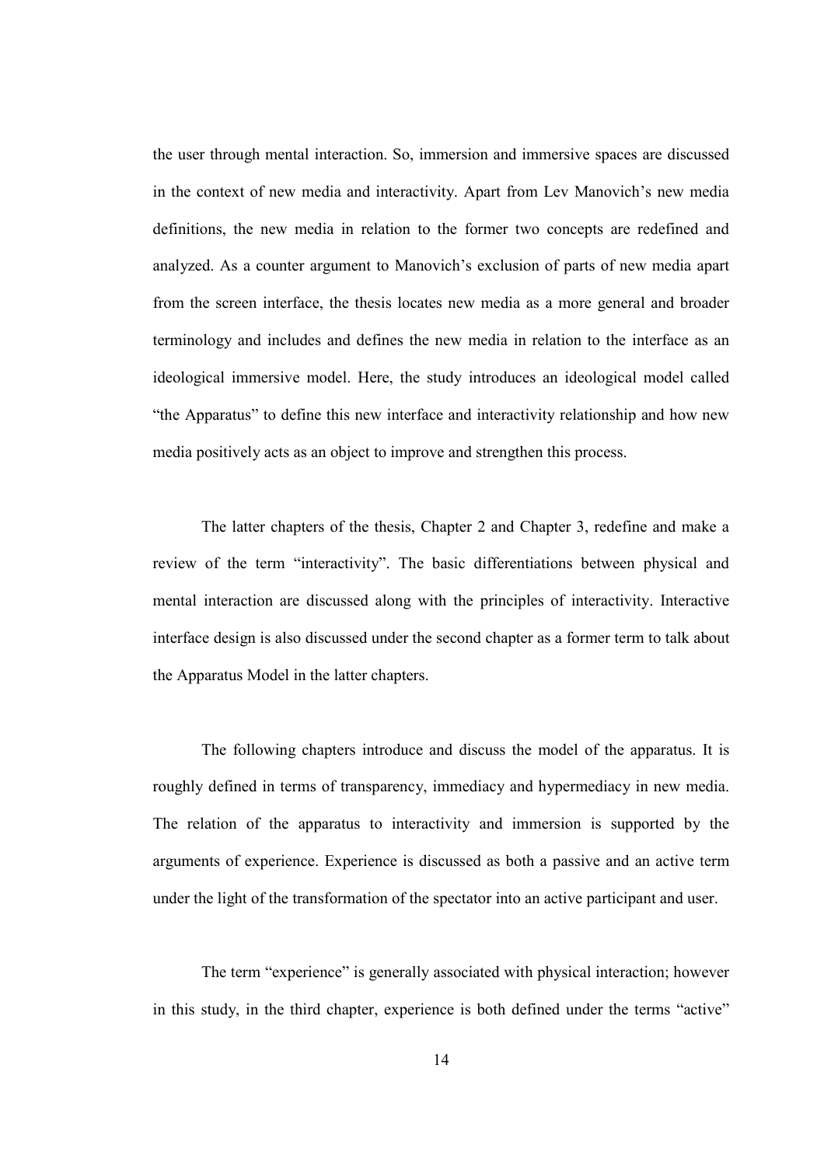the user through mental interaction. So, immersion and immersive spaces are discussed in the context of new media and interactivity. Apart from Lev Manovich's new media definitions, the new media in relation to the former two concepts are redefined and analyzed. As a counter argument to Manovich's exclusion of parts of new media apart from the screen interface, the thesis locates new media as a more general and broader terminology and includes and defines the new media in relation to the interface as an ideological immersive model. Here, the study introduces an ideological model called "the Apparatus" to define this new interface and interactivity relationship and how new media positively acts as an object to improve and strengthen this process.

 The latter chapters of the thesis, Chapter 2 and Chapter 3, redefine and make a review of the term "interactivity". The basic differentiations between physical and mental interaction are discussed along with the principles of interactivity. Interactive interface design is also discussed under the second chapter as a former term to talk about the Apparatus Model in the latter chapters.

The following chapters introduce and discuss the model of the apparatus. It is roughly defined in terms of transparency, immediacy and hypermediacy in new media. The relation of the apparatus to interactivity and immersion is supported by the arguments of experience. Experience is discussed as both a passive and an active term under the light of the transformation of the spectator into an active participant and user.

The term "experience" is generally associated with physical interaction; however in this study, in the third chapter, experience is both defined under the terms "active"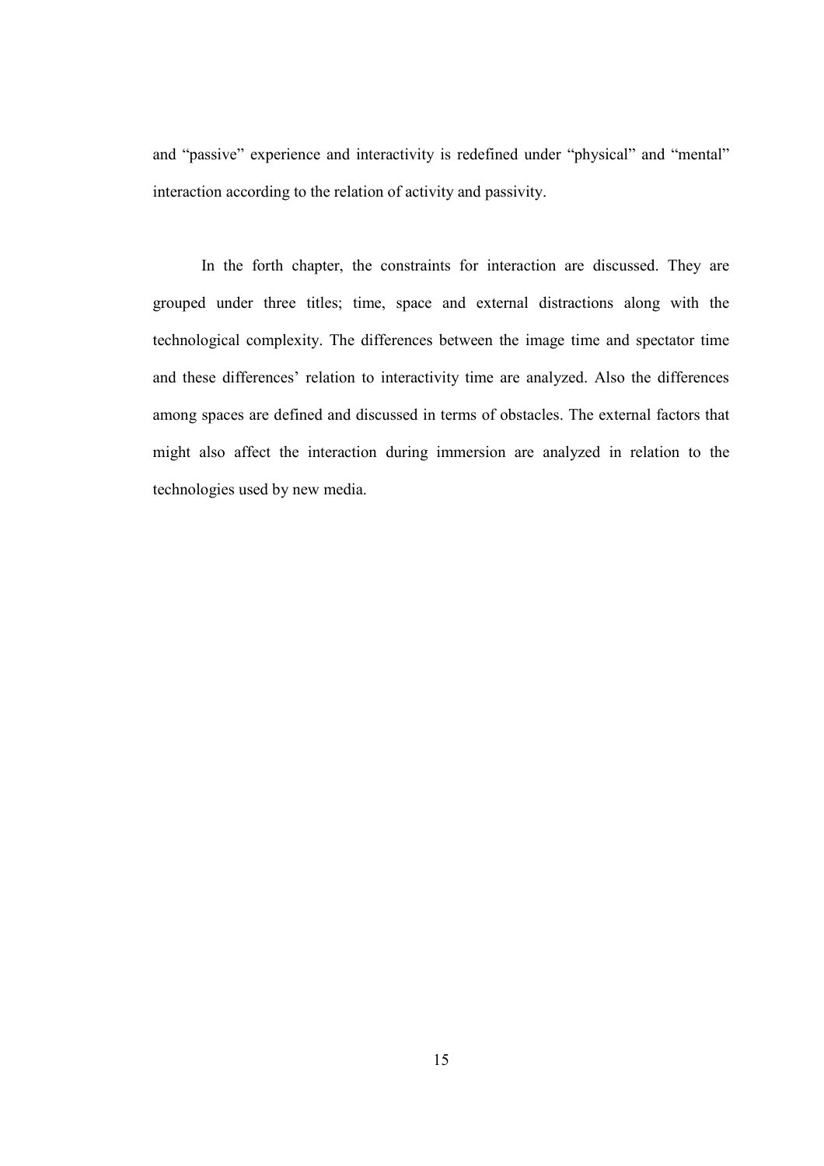and "passive" experience and interactivity is redefined under "physical" and "mental" interaction according to the relation of activity and passivity.

 In the forth chapter, the constraints for interaction are discussed. They are grouped under three titles; time, space and external distractions along with the technological complexity. The differences between the image time and spectator time and these differences' relation to interactivity time are analyzed. Also the differences among spaces are defined and discussed in terms of obstacles. The external factors that might also affect the interaction during immersion are analyzed in relation to the technologies used by new media.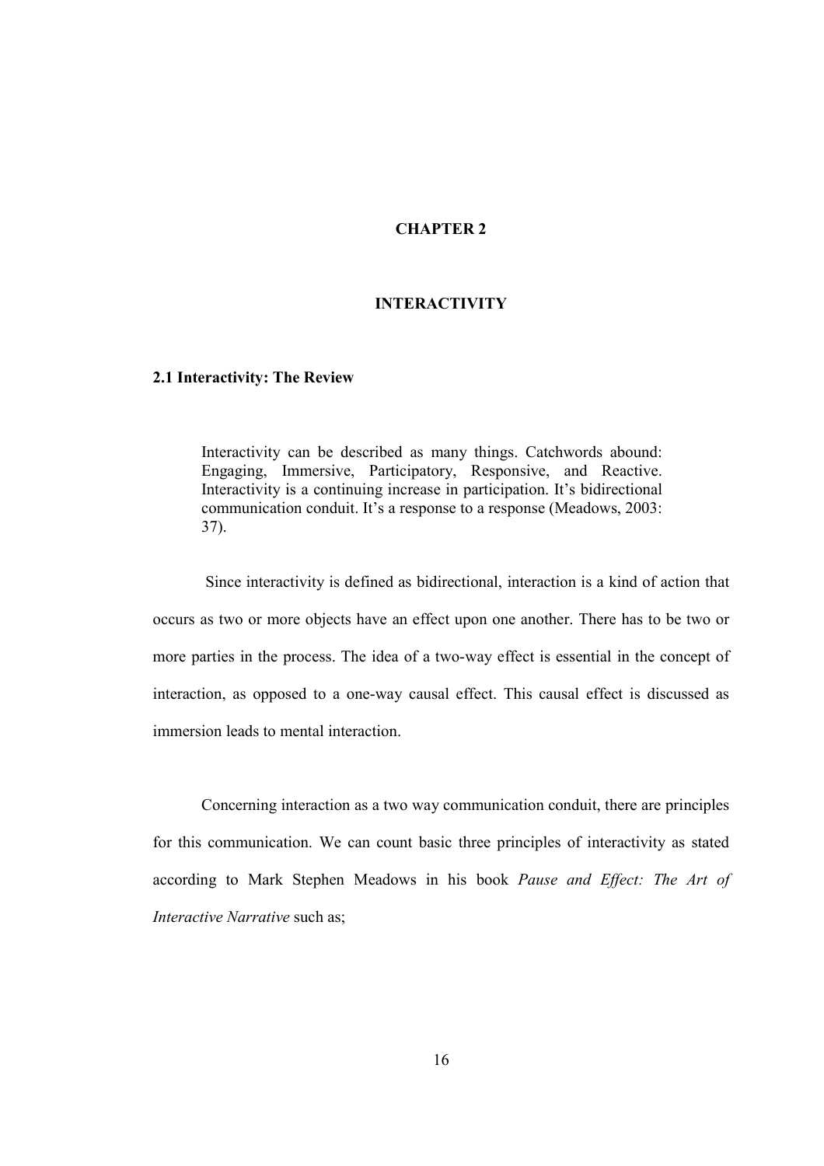# CHAPTER 2

## INTERACTIVITY

#### 2.1 Interactivity: The Review

Interactivity can be described as many things. Catchwords abound: Engaging, Immersive, Participatory, Responsive, and Reactive. Interactivity is a continuing increase in participation. It's bidirectional communication conduit. It's a response to a response (Meadows, 2003: 37).

 Since interactivity is defined as bidirectional, interaction is a kind of action that occurs as two or more objects have an effect upon one another. There has to be two or more parties in the process. The idea of a two-way effect is essential in the concept of interaction, as opposed to a one-way causal effect. This causal effect is discussed as immersion leads to mental interaction.

Concerning interaction as a two way communication conduit, there are principles for this communication. We can count basic three principles of interactivity as stated according to Mark Stephen Meadows in his book Pause and Effect: The Art of Interactive Narrative such as;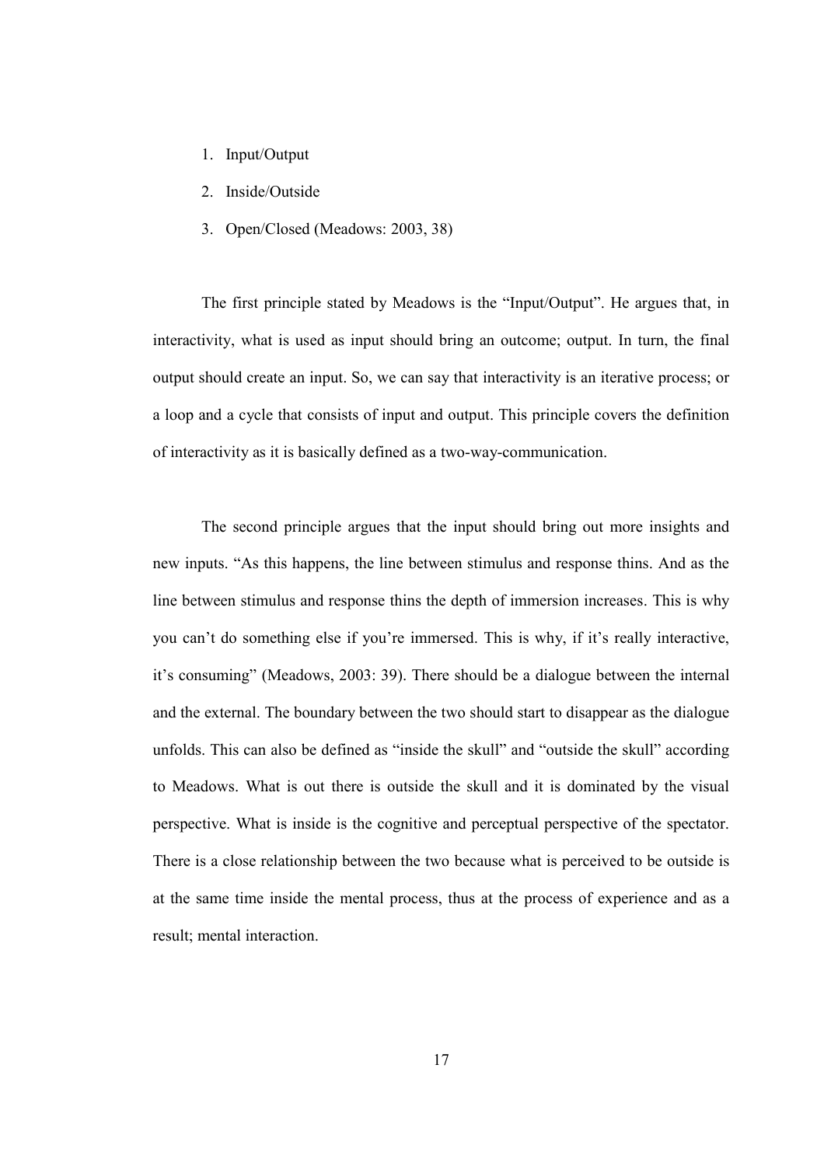- 1. Input/Output
- 2. Inside/Outside
- 3. Open/Closed (Meadows: 2003, 38)

The first principle stated by Meadows is the "Input/Output". He argues that, in interactivity, what is used as input should bring an outcome; output. In turn, the final output should create an input. So, we can say that interactivity is an iterative process; or a loop and a cycle that consists of input and output. This principle covers the definition of interactivity as it is basically defined as a two-way-communication.

The second principle argues that the input should bring out more insights and new inputs. "As this happens, the line between stimulus and response thins. And as the line between stimulus and response thins the depth of immersion increases. This is why you can't do something else if you're immersed. This is why, if it's really interactive, it's consuming" (Meadows, 2003: 39). There should be a dialogue between the internal and the external. The boundary between the two should start to disappear as the dialogue unfolds. This can also be defined as "inside the skull" and "outside the skull" according to Meadows. What is out there is outside the skull and it is dominated by the visual perspective. What is inside is the cognitive and perceptual perspective of the spectator. There is a close relationship between the two because what is perceived to be outside is at the same time inside the mental process, thus at the process of experience and as a result; mental interaction.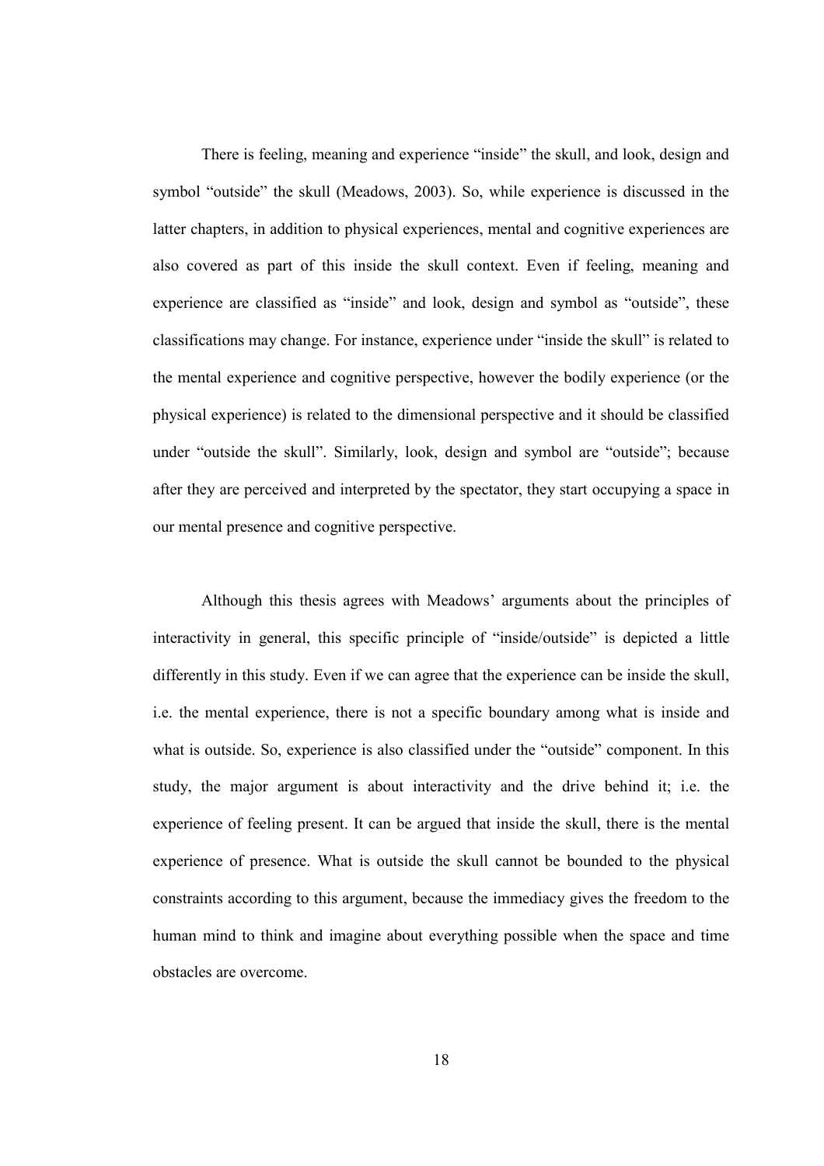There is feeling, meaning and experience "inside" the skull, and look, design and symbol "outside" the skull (Meadows, 2003). So, while experience is discussed in the latter chapters, in addition to physical experiences, mental and cognitive experiences are also covered as part of this inside the skull context. Even if feeling, meaning and experience are classified as "inside" and look, design and symbol as "outside", these classifications may change. For instance, experience under "inside the skull" is related to the mental experience and cognitive perspective, however the bodily experience (or the physical experience) is related to the dimensional perspective and it should be classified under "outside the skull". Similarly, look, design and symbol are "outside"; because after they are perceived and interpreted by the spectator, they start occupying a space in our mental presence and cognitive perspective.

Although this thesis agrees with Meadows' arguments about the principles of interactivity in general, this specific principle of "inside/outside" is depicted a little differently in this study. Even if we can agree that the experience can be inside the skull, i.e. the mental experience, there is not a specific boundary among what is inside and what is outside. So, experience is also classified under the "outside" component. In this study, the major argument is about interactivity and the drive behind it; i.e. the experience of feeling present. It can be argued that inside the skull, there is the mental experience of presence. What is outside the skull cannot be bounded to the physical constraints according to this argument, because the immediacy gives the freedom to the human mind to think and imagine about everything possible when the space and time obstacles are overcome.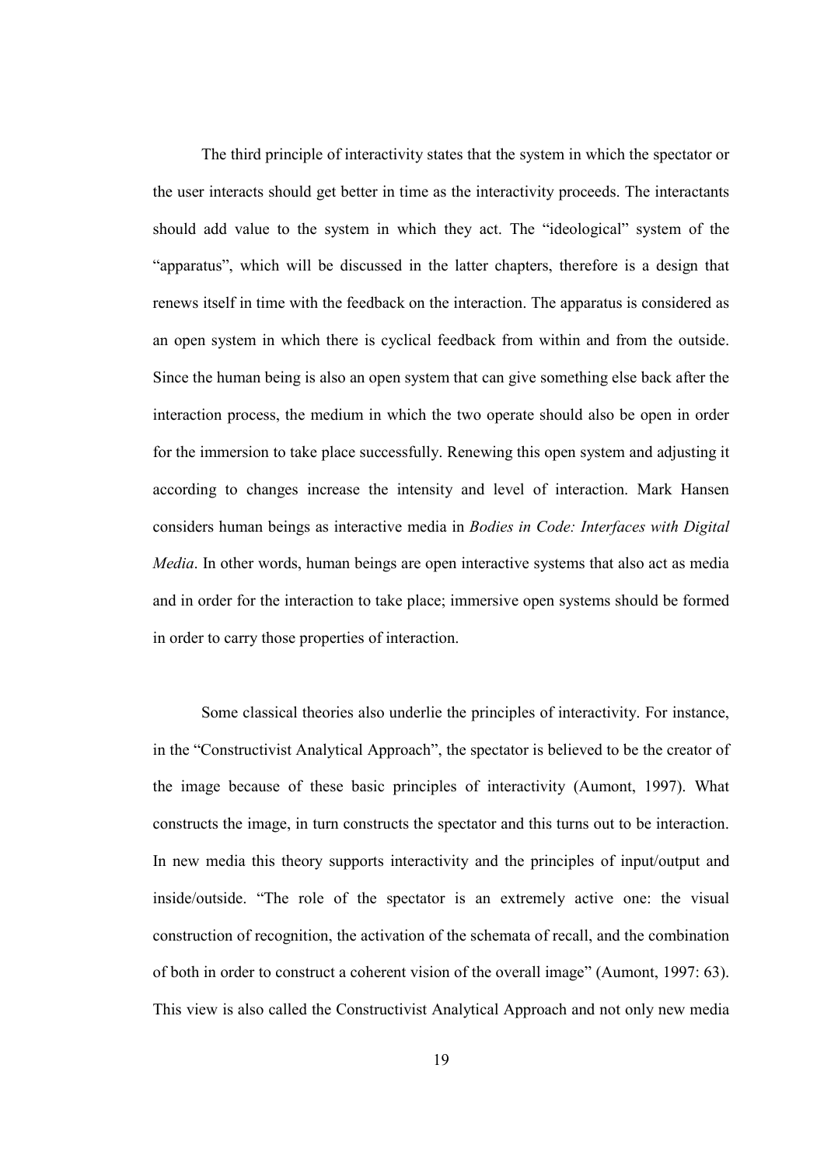The third principle of interactivity states that the system in which the spectator or the user interacts should get better in time as the interactivity proceeds. The interactants should add value to the system in which they act. The "ideological" system of the "apparatus", which will be discussed in the latter chapters, therefore is a design that renews itself in time with the feedback on the interaction. The apparatus is considered as an open system in which there is cyclical feedback from within and from the outside. Since the human being is also an open system that can give something else back after the interaction process, the medium in which the two operate should also be open in order for the immersion to take place successfully. Renewing this open system and adjusting it according to changes increase the intensity and level of interaction. Mark Hansen considers human beings as interactive media in Bodies in Code: Interfaces with Digital Media. In other words, human beings are open interactive systems that also act as media and in order for the interaction to take place; immersive open systems should be formed in order to carry those properties of interaction.

Some classical theories also underlie the principles of interactivity. For instance, in the "Constructivist Analytical Approach", the spectator is believed to be the creator of the image because of these basic principles of interactivity (Aumont, 1997). What constructs the image, in turn constructs the spectator and this turns out to be interaction. In new media this theory supports interactivity and the principles of input/output and inside/outside. "The role of the spectator is an extremely active one: the visual construction of recognition, the activation of the schemata of recall, and the combination of both in order to construct a coherent vision of the overall image" (Aumont, 1997: 63). This view is also called the Constructivist Analytical Approach and not only new media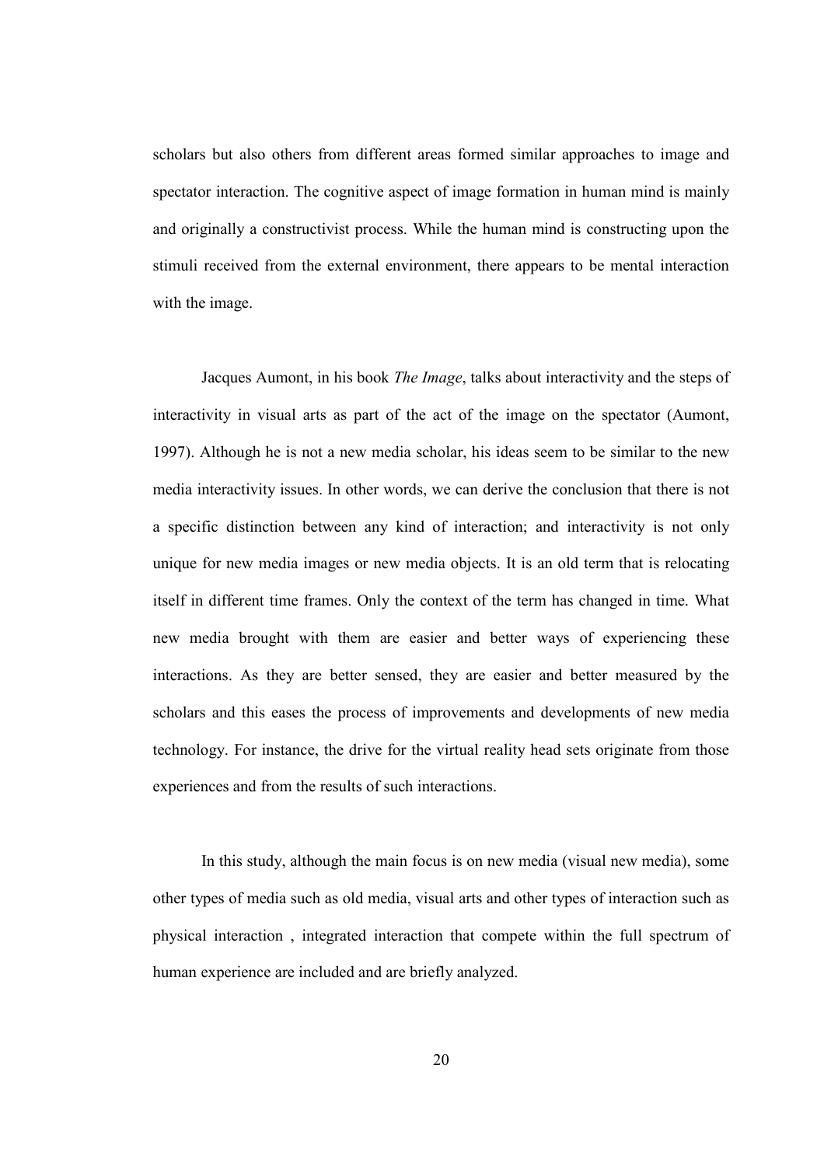scholars but also others from different areas formed similar approaches to image and spectator interaction. The cognitive aspect of image formation in human mind is mainly and originally a constructivist process. While the human mind is constructing upon the stimuli received from the external environment, there appears to be mental interaction with the image.

Jacques Aumont, in his book The Image, talks about interactivity and the steps of interactivity in visual arts as part of the act of the image on the spectator (Aumont, 1997). Although he is not a new media scholar, his ideas seem to be similar to the new media interactivity issues. In other words, we can derive the conclusion that there is not a specific distinction between any kind of interaction; and interactivity is not only unique for new media images or new media objects. It is an old term that is relocating itself in different time frames. Only the context of the term has changed in time. What new media brought with them are easier and better ways of experiencing these interactions. As they are better sensed, they are easier and better measured by the scholars and this eases the process of improvements and developments of new media technology. For instance, the drive for the virtual reality head sets originate from those experiences and from the results of such interactions.

 In this study, although the main focus is on new media (visual new media), some other types of media such as old media, visual arts and other types of interaction such as physical interaction , integrated interaction that compete within the full spectrum of human experience are included and are briefly analyzed.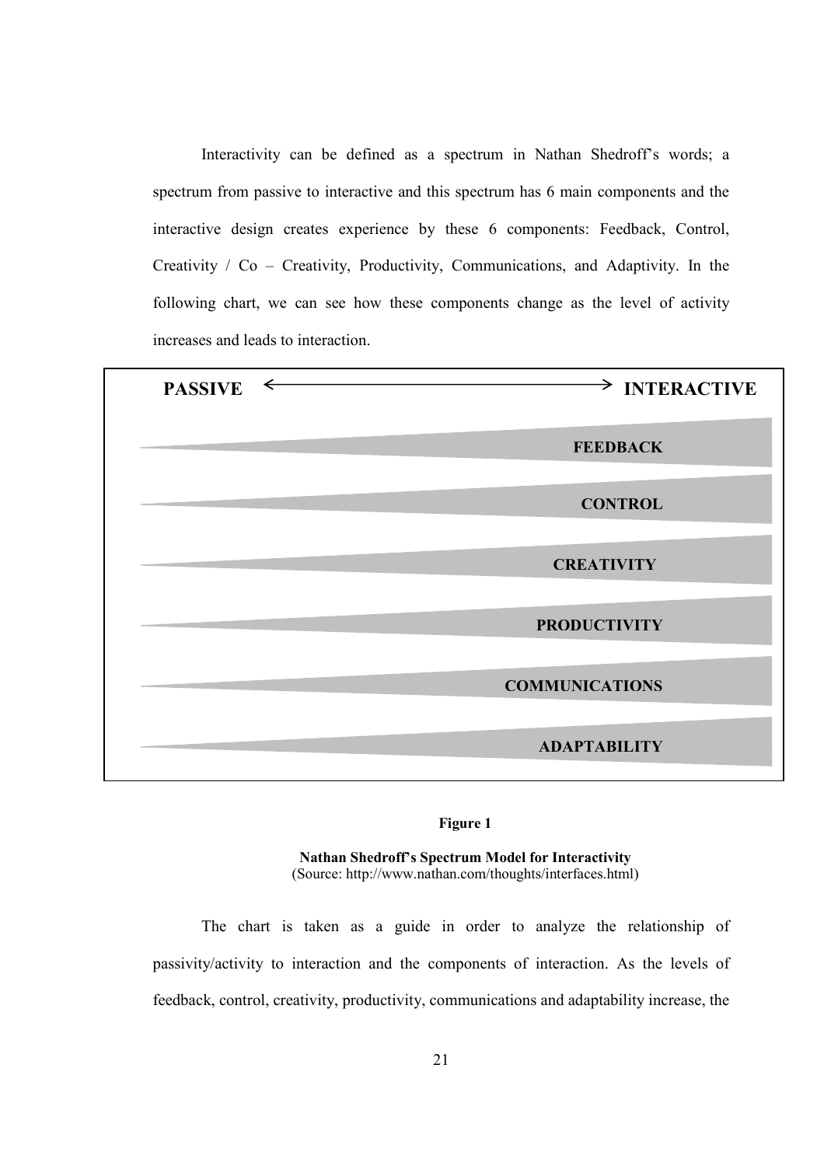Interactivity can be defined as a spectrum in Nathan Shedroff's words; a spectrum from passive to interactive and this spectrum has 6 main components and the interactive design creates experience by these 6 components: Feedback, Control, Creativity / Co – Creativity, Productivity, Communications, and Adaptivity. In the following chart, we can see how these components change as the level of activity increases and leads to interaction.

| <b>PASSIVE</b> | $\Rightarrow$ INTERACTIVE |
|----------------|---------------------------|
|                | <b>FEEDBACK</b>           |
|                | <b>CONTROL</b>            |
|                | <b>CREATIVITY</b>         |
|                | <b>PRODUCTIVITY</b>       |
|                | <b>COMMUNICATIONS</b>     |
|                | <b>ADAPTABILITY</b>       |

#### Figure 1

Nathan Shedroff's Spectrum Model for Interactivity (Source: http://www.nathan.com/thoughts/interfaces.html)

The chart is taken as a guide in order to analyze the relationship of passivity/activity to interaction and the components of interaction. As the levels of feedback, control, creativity, productivity, communications and adaptability increase, the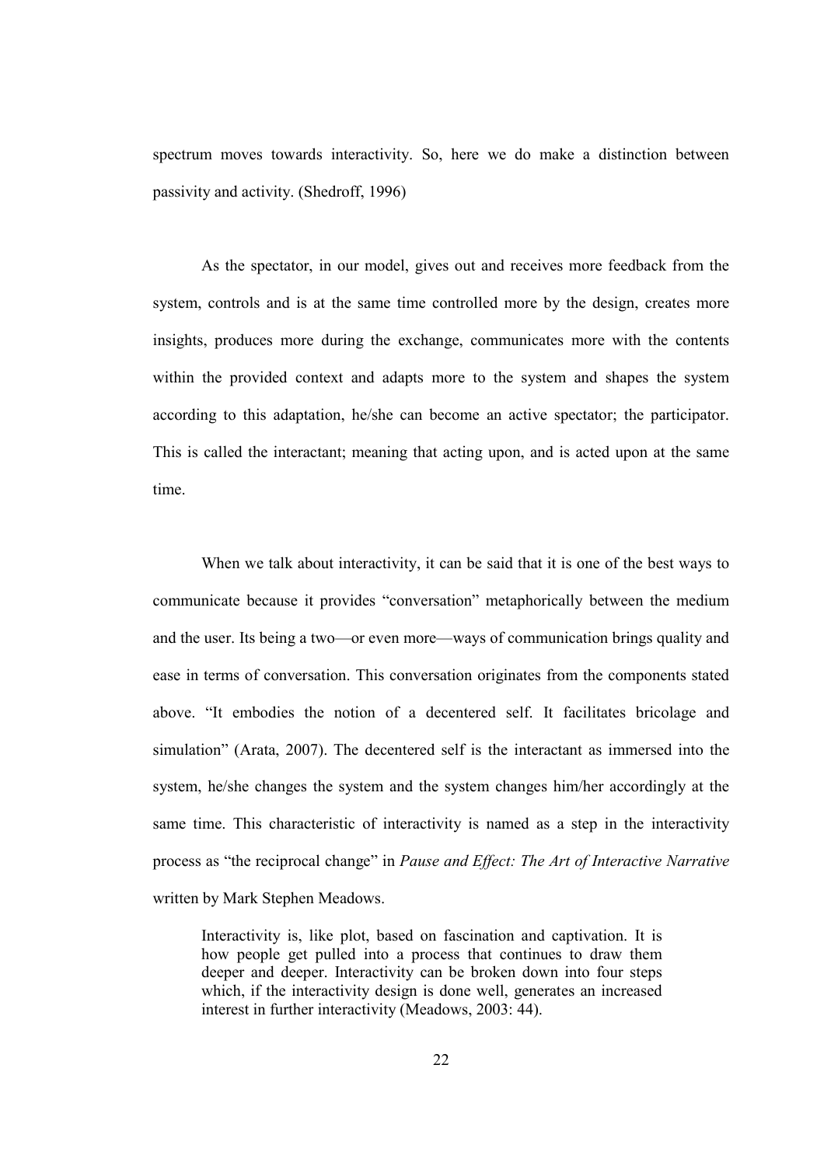spectrum moves towards interactivity. So, here we do make a distinction between passivity and activity. (Shedroff, 1996)

As the spectator, in our model, gives out and receives more feedback from the system, controls and is at the same time controlled more by the design, creates more insights, produces more during the exchange, communicates more with the contents within the provided context and adapts more to the system and shapes the system according to this adaptation, he/she can become an active spectator; the participator. This is called the interactant; meaning that acting upon, and is acted upon at the same time.

When we talk about interactivity, it can be said that it is one of the best ways to communicate because it provides "conversation" metaphorically between the medium and the user. Its being a two—or even more—ways of communication brings quality and ease in terms of conversation. This conversation originates from the components stated above. "It embodies the notion of a decentered self. It facilitates bricolage and simulation" (Arata, 2007). The decentered self is the interactant as immersed into the system, he/she changes the system and the system changes him/her accordingly at the same time. This characteristic of interactivity is named as a step in the interactivity process as "the reciprocal change" in Pause and Effect: The Art of Interactive Narrative written by Mark Stephen Meadows.

Interactivity is, like plot, based on fascination and captivation. It is how people get pulled into a process that continues to draw them deeper and deeper. Interactivity can be broken down into four steps which, if the interactivity design is done well, generates an increased interest in further interactivity (Meadows, 2003: 44).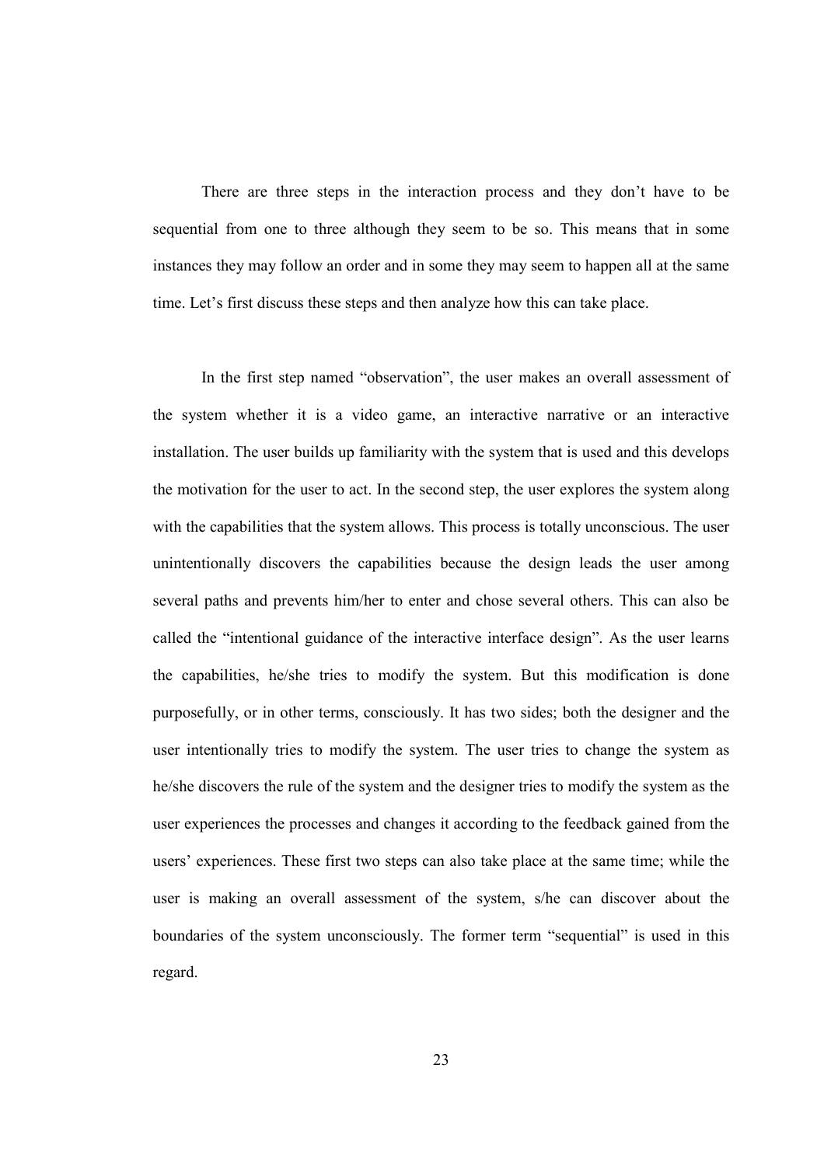There are three steps in the interaction process and they don't have to be sequential from one to three although they seem to be so. This means that in some instances they may follow an order and in some they may seem to happen all at the same time. Let's first discuss these steps and then analyze how this can take place.

In the first step named "observation", the user makes an overall assessment of the system whether it is a video game, an interactive narrative or an interactive installation. The user builds up familiarity with the system that is used and this develops the motivation for the user to act. In the second step, the user explores the system along with the capabilities that the system allows. This process is totally unconscious. The user unintentionally discovers the capabilities because the design leads the user among several paths and prevents him/her to enter and chose several others. This can also be called the "intentional guidance of the interactive interface design". As the user learns the capabilities, he/she tries to modify the system. But this modification is done purposefully, or in other terms, consciously. It has two sides; both the designer and the user intentionally tries to modify the system. The user tries to change the system as he/she discovers the rule of the system and the designer tries to modify the system as the user experiences the processes and changes it according to the feedback gained from the users' experiences. These first two steps can also take place at the same time; while the user is making an overall assessment of the system, s/he can discover about the boundaries of the system unconsciously. The former term "sequential" is used in this regard.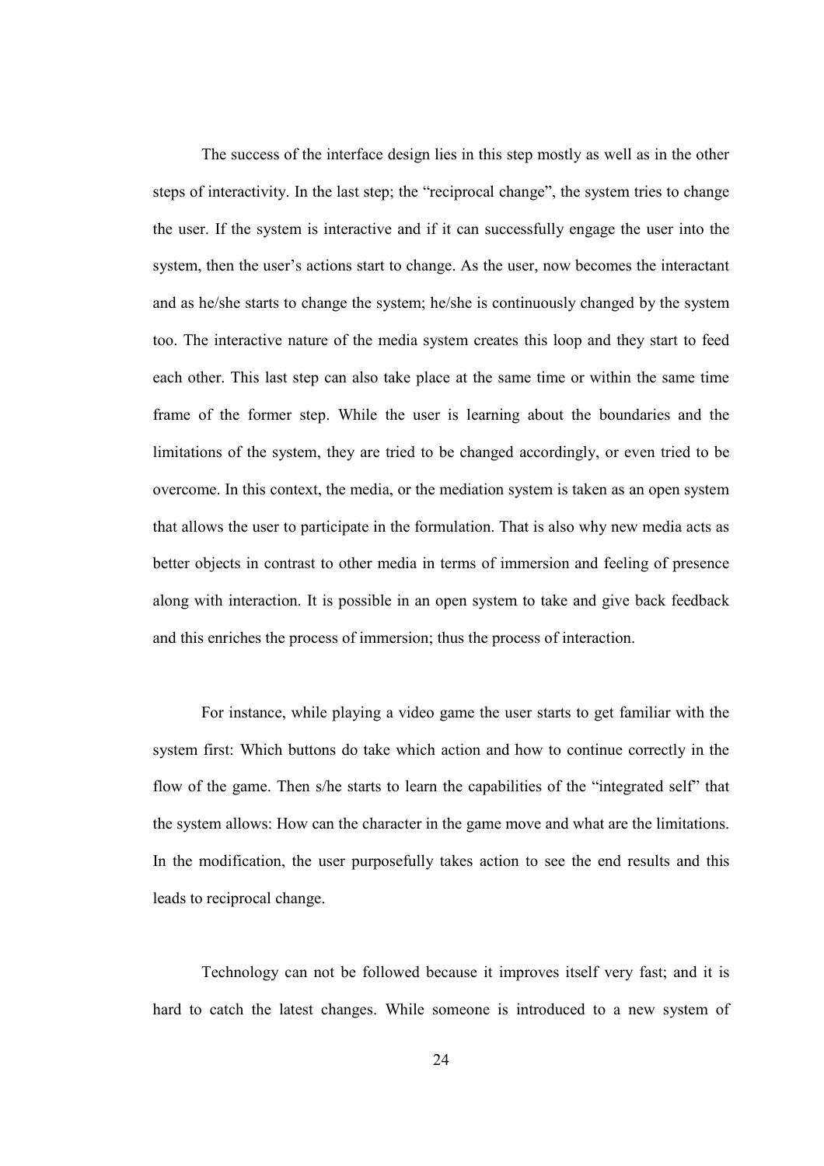The success of the interface design lies in this step mostly as well as in the other steps of interactivity. In the last step; the "reciprocal change", the system tries to change the user. If the system is interactive and if it can successfully engage the user into the system, then the user's actions start to change. As the user, now becomes the interactant and as he/she starts to change the system; he/she is continuously changed by the system too. The interactive nature of the media system creates this loop and they start to feed each other. This last step can also take place at the same time or within the same time frame of the former step. While the user is learning about the boundaries and the limitations of the system, they are tried to be changed accordingly, or even tried to be overcome. In this context, the media, or the mediation system is taken as an open system that allows the user to participate in the formulation. That is also why new media acts as better objects in contrast to other media in terms of immersion and feeling of presence along with interaction. It is possible in an open system to take and give back feedback and this enriches the process of immersion; thus the process of interaction.

 For instance, while playing a video game the user starts to get familiar with the system first: Which buttons do take which action and how to continue correctly in the flow of the game. Then s/he starts to learn the capabilities of the "integrated self" that the system allows: How can the character in the game move and what are the limitations. In the modification, the user purposefully takes action to see the end results and this leads to reciprocal change.

Technology can not be followed because it improves itself very fast; and it is hard to catch the latest changes. While someone is introduced to a new system of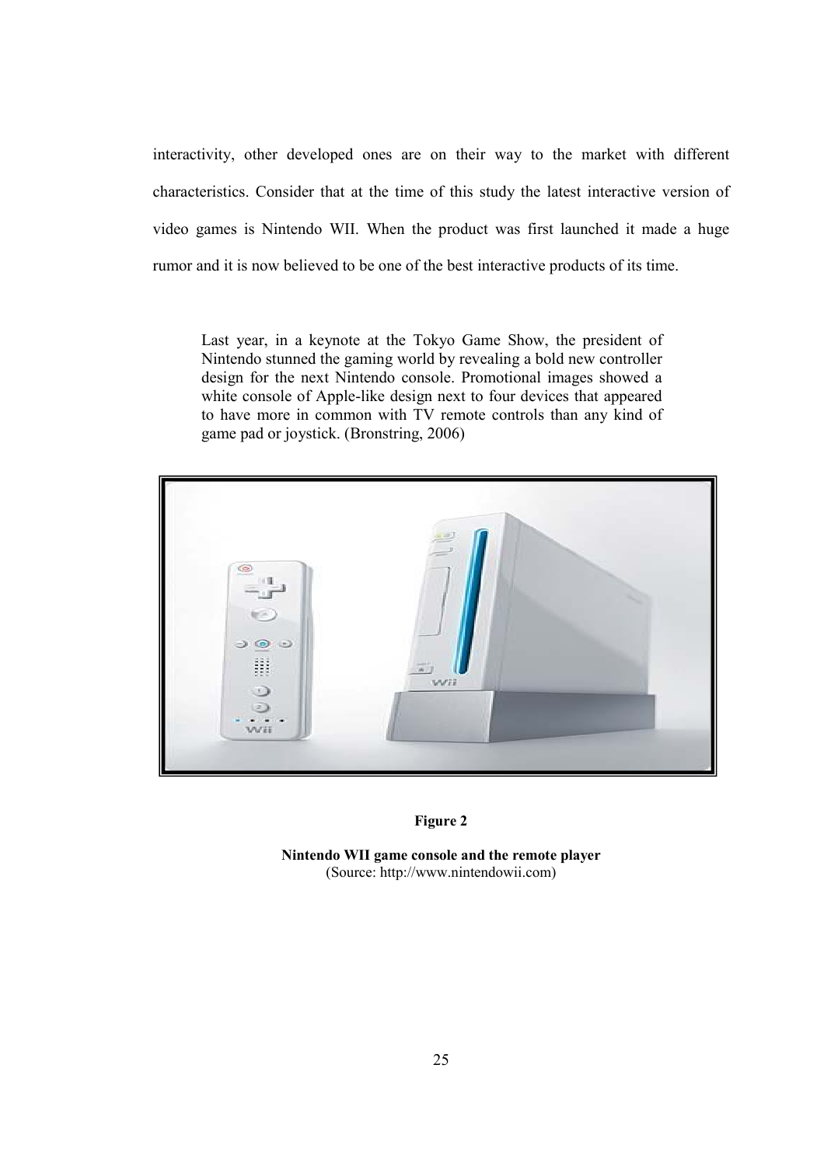interactivity, other developed ones are on their way to the market with different characteristics. Consider that at the time of this study the latest interactive version of video games is Nintendo WII. When the product was first launched it made a huge rumor and it is now believed to be one of the best interactive products of its time.

Last year, in a keynote at the Tokyo Game Show, the president of Nintendo stunned the gaming world by revealing a bold new controller design for the next Nintendo console. Promotional images showed a white console of Apple-like design next to four devices that appeared to have more in common with TV remote controls than any kind of game pad or joystick. (Bronstring, 2006)



#### Figure 2

Nintendo WII game console and the remote player (Source: http://www.nintendowii.com)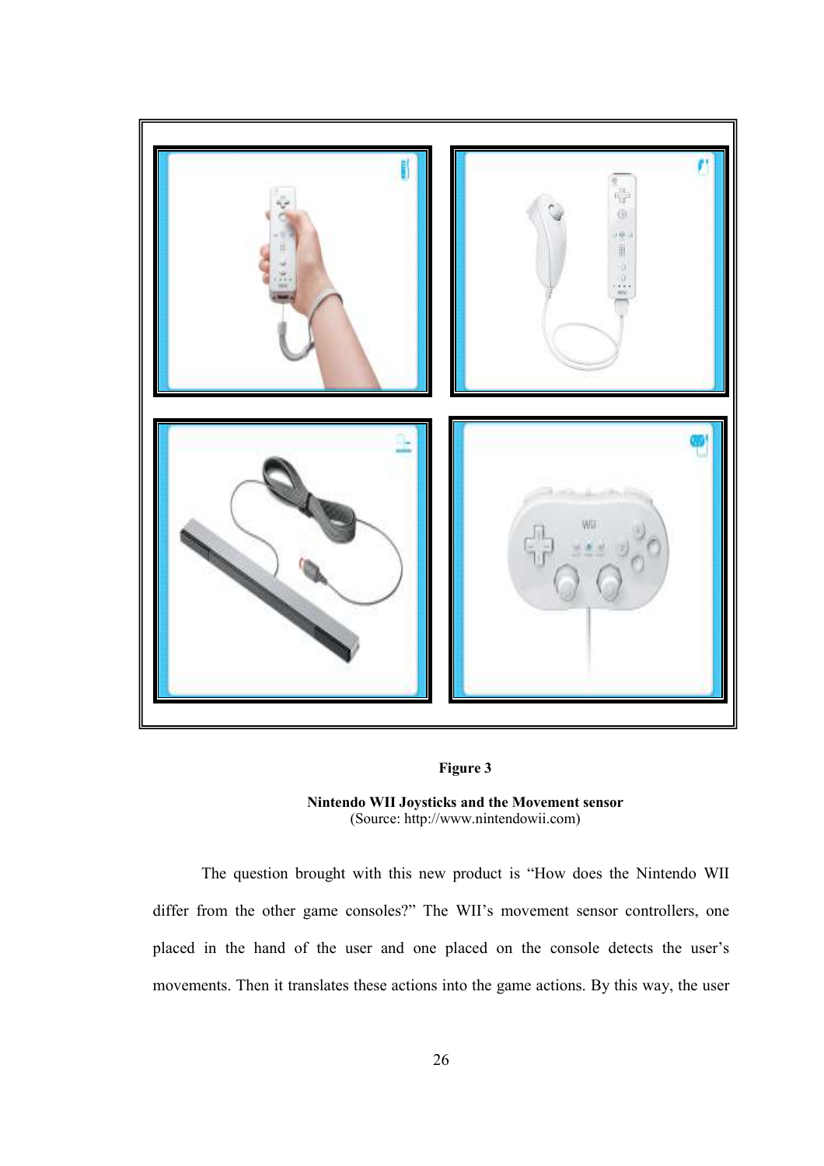

## Figure 3

Nintendo WII Joysticks and the Movement sensor (Source: http://www.nintendowii.com)

The question brought with this new product is "How does the Nintendo WII differ from the other game consoles?" The WII's movement sensor controllers, one placed in the hand of the user and one placed on the console detects the user's movements. Then it translates these actions into the game actions. By this way, the user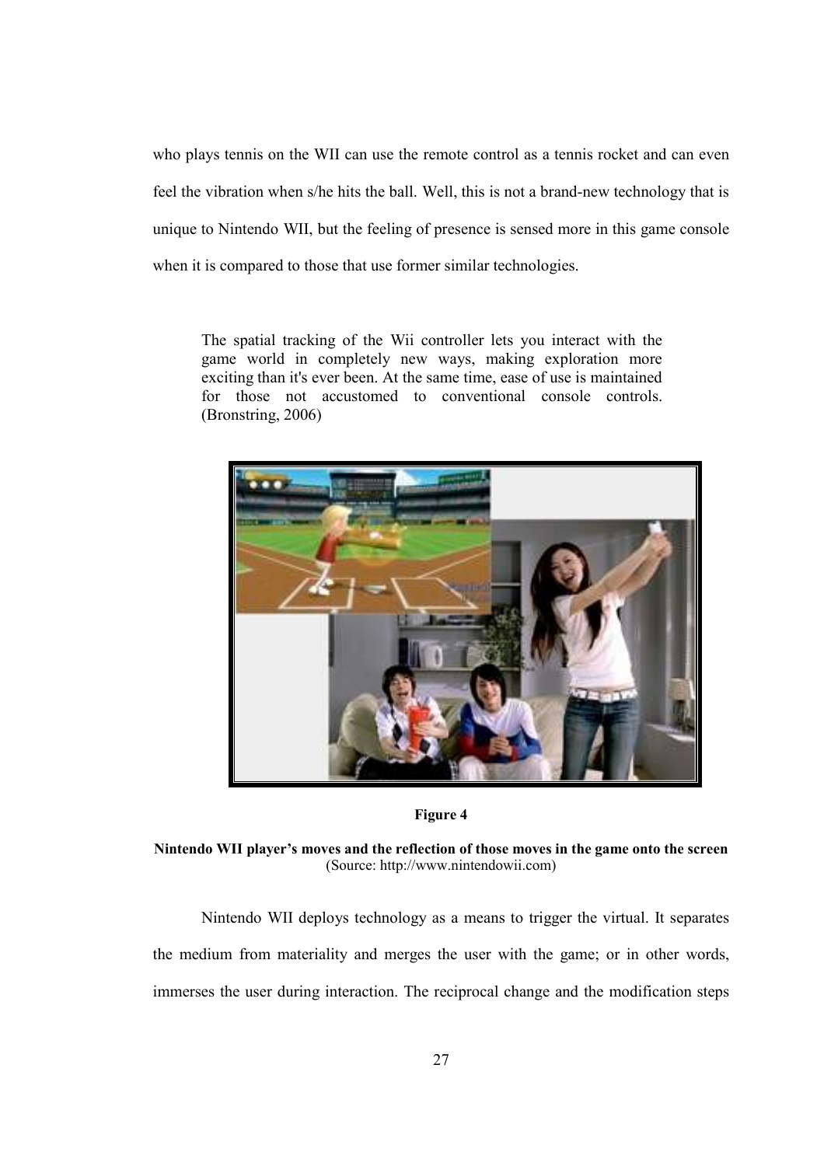who plays tennis on the WII can use the remote control as a tennis rocket and can even feel the vibration when s/he hits the ball. Well, this is not a brand-new technology that is unique to Nintendo WII, but the feeling of presence is sensed more in this game console when it is compared to those that use former similar technologies.

The spatial tracking of the Wii controller lets you interact with the game world in completely new ways, making exploration more exciting than it's ever been. At the same time, ease of use is maintained for those not accustomed to conventional console controls. (Bronstring, 2006)



Figure 4

Nintendo WII player's moves and the reflection of those moves in the game onto the screen (Source: http://www.nintendowii.com)

Nintendo WII deploys technology as a means to trigger the virtual. It separates the medium from materiality and merges the user with the game; or in other words, immerses the user during interaction. The reciprocal change and the modification steps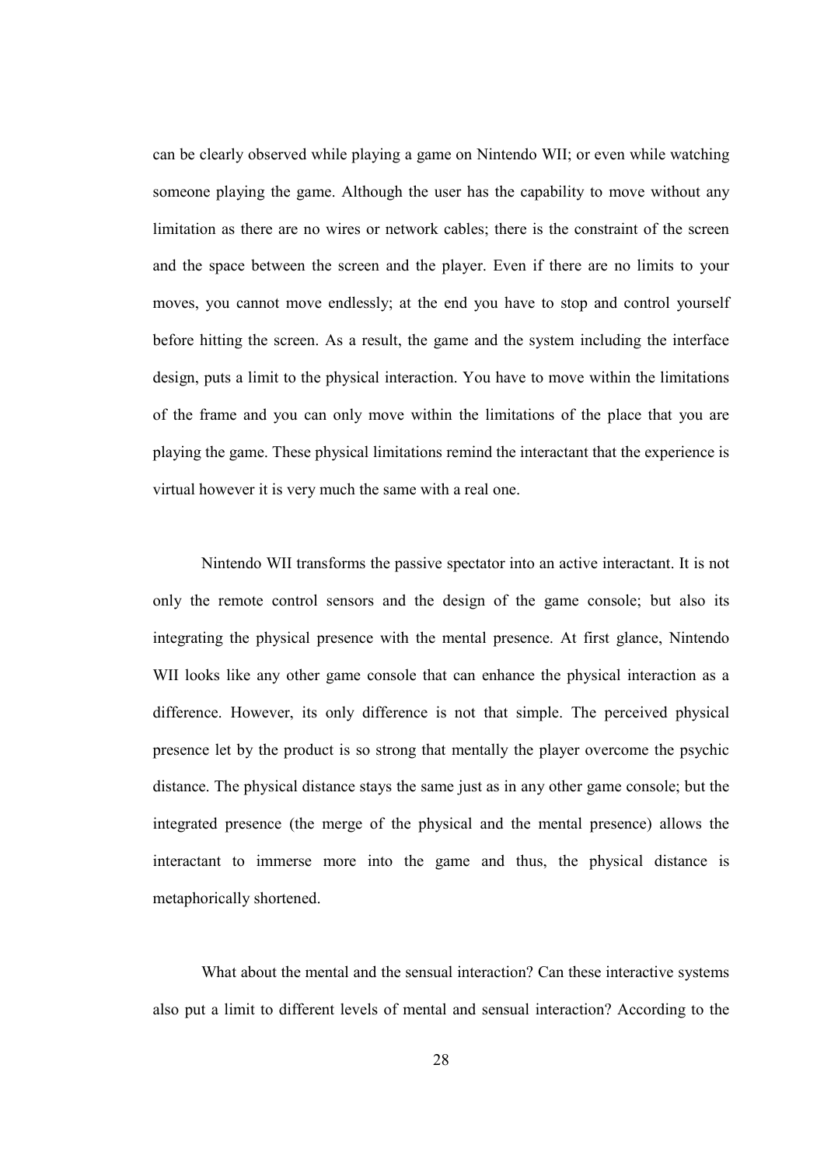can be clearly observed while playing a game on Nintendo WII; or even while watching someone playing the game. Although the user has the capability to move without any limitation as there are no wires or network cables; there is the constraint of the screen and the space between the screen and the player. Even if there are no limits to your moves, you cannot move endlessly; at the end you have to stop and control yourself before hitting the screen. As a result, the game and the system including the interface design, puts a limit to the physical interaction. You have to move within the limitations of the frame and you can only move within the limitations of the place that you are playing the game. These physical limitations remind the interactant that the experience is virtual however it is very much the same with a real one.

Nintendo WII transforms the passive spectator into an active interactant. It is not only the remote control sensors and the design of the game console; but also its integrating the physical presence with the mental presence. At first glance, Nintendo WII looks like any other game console that can enhance the physical interaction as a difference. However, its only difference is not that simple. The perceived physical presence let by the product is so strong that mentally the player overcome the psychic distance. The physical distance stays the same just as in any other game console; but the integrated presence (the merge of the physical and the mental presence) allows the interactant to immerse more into the game and thus, the physical distance is metaphorically shortened.

What about the mental and the sensual interaction? Can these interactive systems also put a limit to different levels of mental and sensual interaction? According to the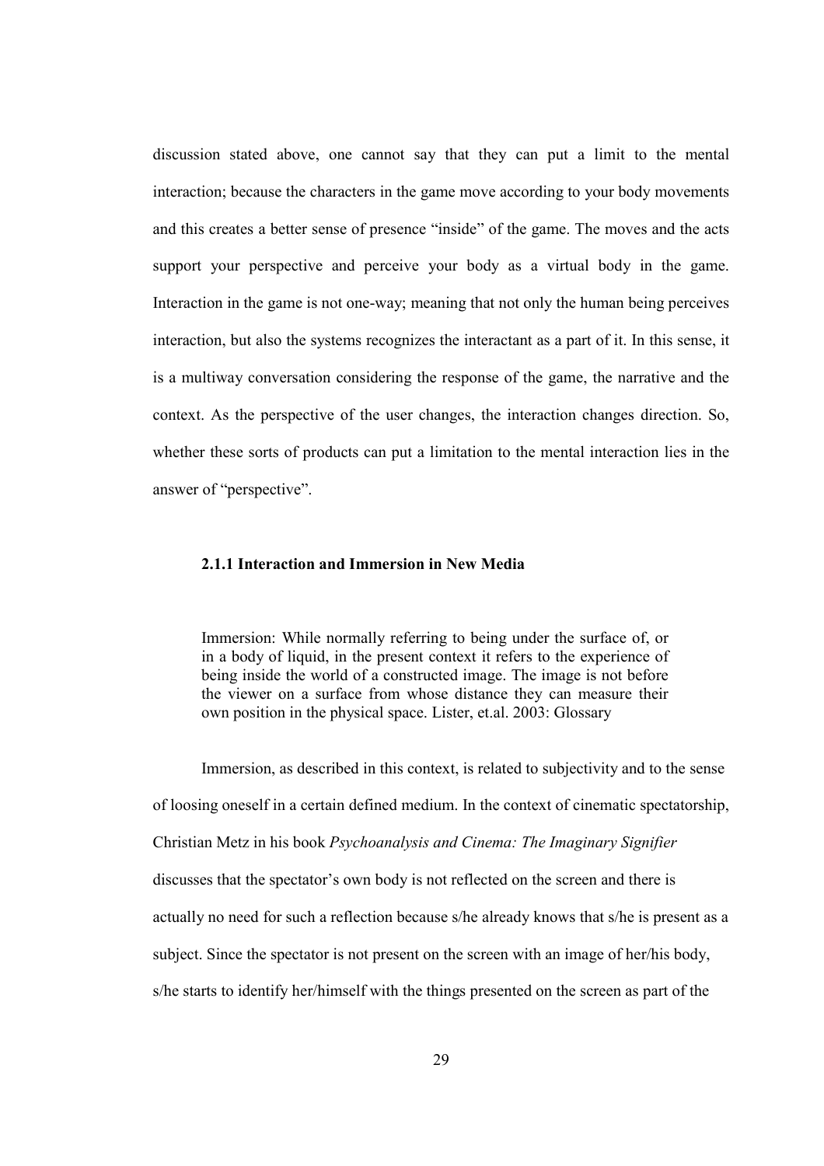discussion stated above, one cannot say that they can put a limit to the mental interaction; because the characters in the game move according to your body movements and this creates a better sense of presence "inside" of the game. The moves and the acts support your perspective and perceive your body as a virtual body in the game. Interaction in the game is not one-way; meaning that not only the human being perceives interaction, but also the systems recognizes the interactant as a part of it. In this sense, it is a multiway conversation considering the response of the game, the narrative and the context. As the perspective of the user changes, the interaction changes direction. So, whether these sorts of products can put a limitation to the mental interaction lies in the answer of "perspective".

# 2.1.1 Interaction and Immersion in New Media

Immersion: While normally referring to being under the surface of, or in a body of liquid, in the present context it refers to the experience of being inside the world of a constructed image. The image is not before the viewer on a surface from whose distance they can measure their own position in the physical space. Lister, et.al. 2003: Glossary

Immersion, as described in this context, is related to subjectivity and to the sense of loosing oneself in a certain defined medium. In the context of cinematic spectatorship, Christian Metz in his book Psychoanalysis and Cinema: The Imaginary Signifier discusses that the spectator's own body is not reflected on the screen and there is actually no need for such a reflection because s/he already knows that s/he is present as a subject. Since the spectator is not present on the screen with an image of her/his body, s/he starts to identify her/himself with the things presented on the screen as part of the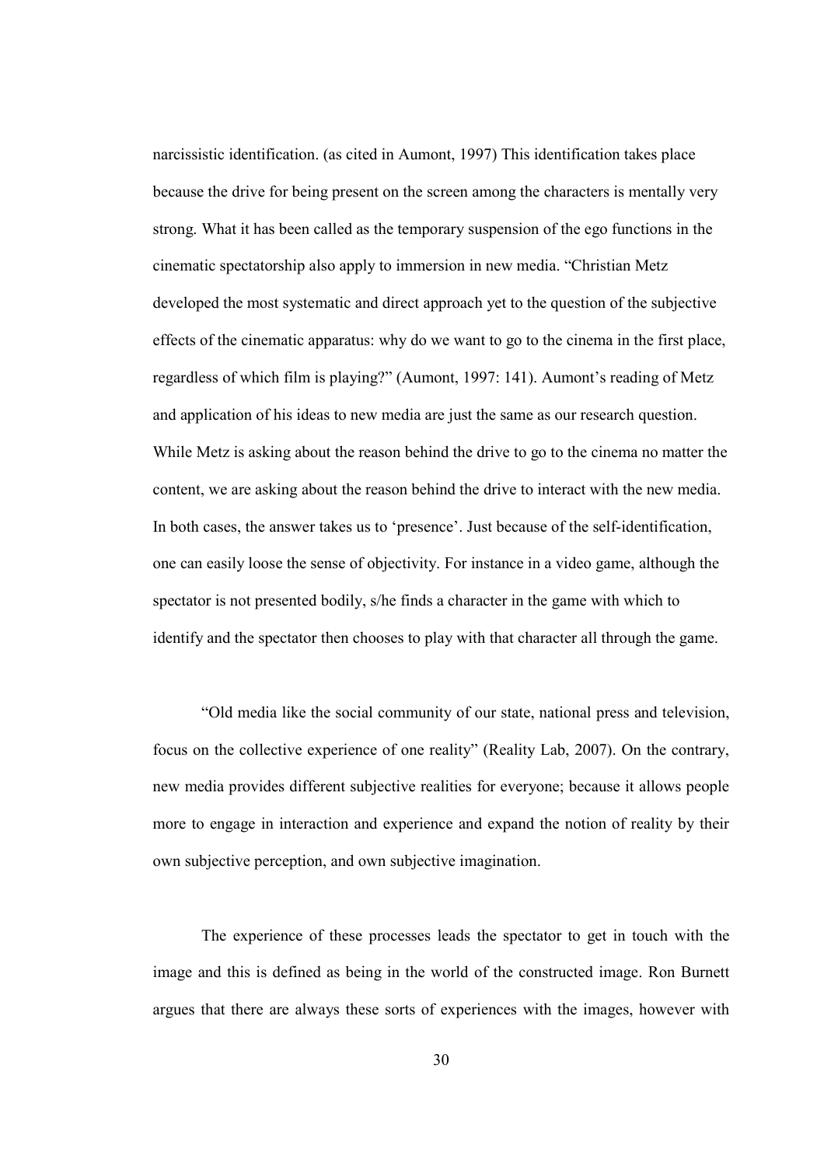narcissistic identification. (as cited in Aumont, 1997) This identification takes place because the drive for being present on the screen among the characters is mentally very strong. What it has been called as the temporary suspension of the ego functions in the cinematic spectatorship also apply to immersion in new media. "Christian Metz developed the most systematic and direct approach yet to the question of the subjective effects of the cinematic apparatus: why do we want to go to the cinema in the first place, regardless of which film is playing?" (Aumont, 1997: 141). Aumont's reading of Metz and application of his ideas to new media are just the same as our research question. While Metz is asking about the reason behind the drive to go to the cinema no matter the content, we are asking about the reason behind the drive to interact with the new media. In both cases, the answer takes us to 'presence'. Just because of the self-identification, one can easily loose the sense of objectivity. For instance in a video game, although the spectator is not presented bodily, s/he finds a character in the game with which to identify and the spectator then chooses to play with that character all through the game.

"Old media like the social community of our state, national press and television, focus on the collective experience of one reality" (Reality Lab, 2007). On the contrary, new media provides different subjective realities for everyone; because it allows people more to engage in interaction and experience and expand the notion of reality by their own subjective perception, and own subjective imagination.

The experience of these processes leads the spectator to get in touch with the image and this is defined as being in the world of the constructed image. Ron Burnett argues that there are always these sorts of experiences with the images, however with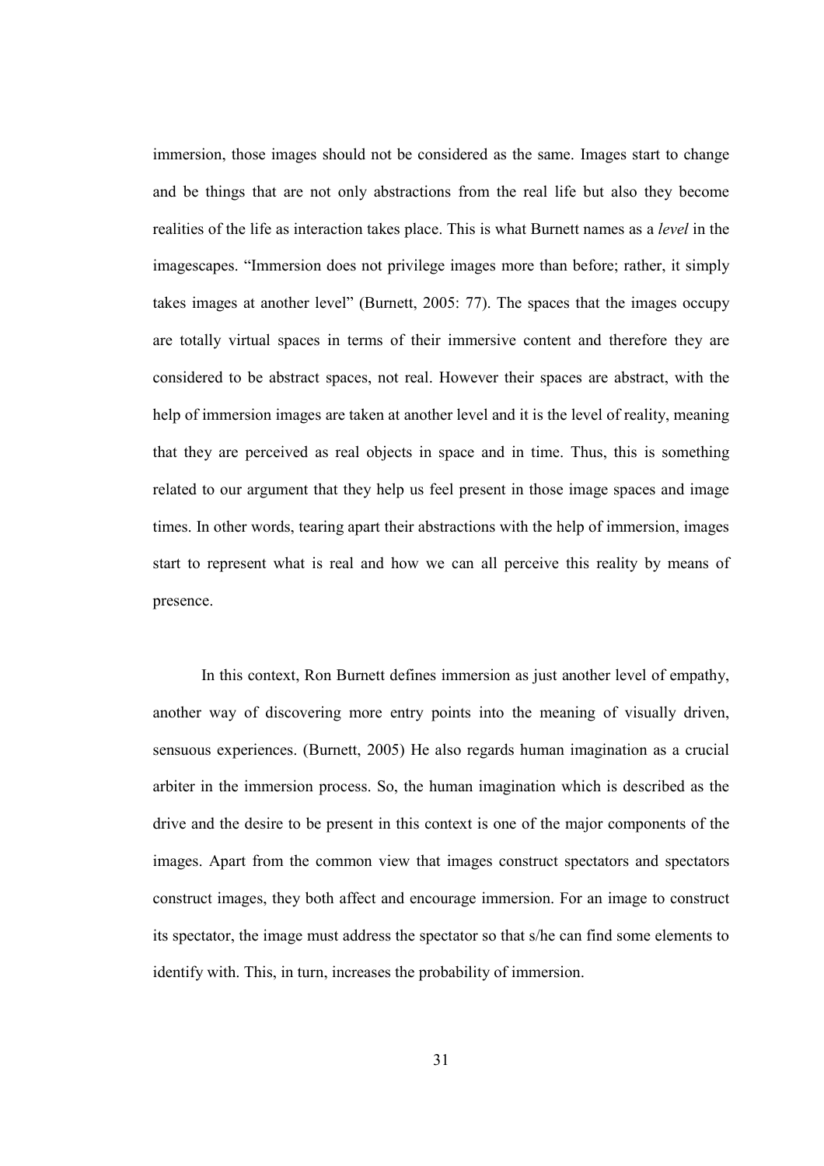immersion, those images should not be considered as the same. Images start to change and be things that are not only abstractions from the real life but also they become realities of the life as interaction takes place. This is what Burnett names as a *level* in the imagescapes. "Immersion does not privilege images more than before; rather, it simply takes images at another level" (Burnett, 2005: 77). The spaces that the images occupy are totally virtual spaces in terms of their immersive content and therefore they are considered to be abstract spaces, not real. However their spaces are abstract, with the help of immersion images are taken at another level and it is the level of reality, meaning that they are perceived as real objects in space and in time. Thus, this is something related to our argument that they help us feel present in those image spaces and image times. In other words, tearing apart their abstractions with the help of immersion, images start to represent what is real and how we can all perceive this reality by means of presence.

In this context, Ron Burnett defines immersion as just another level of empathy, another way of discovering more entry points into the meaning of visually driven, sensuous experiences. (Burnett, 2005) He also regards human imagination as a crucial arbiter in the immersion process. So, the human imagination which is described as the drive and the desire to be present in this context is one of the major components of the images. Apart from the common view that images construct spectators and spectators construct images, they both affect and encourage immersion. For an image to construct its spectator, the image must address the spectator so that s/he can find some elements to identify with. This, in turn, increases the probability of immersion.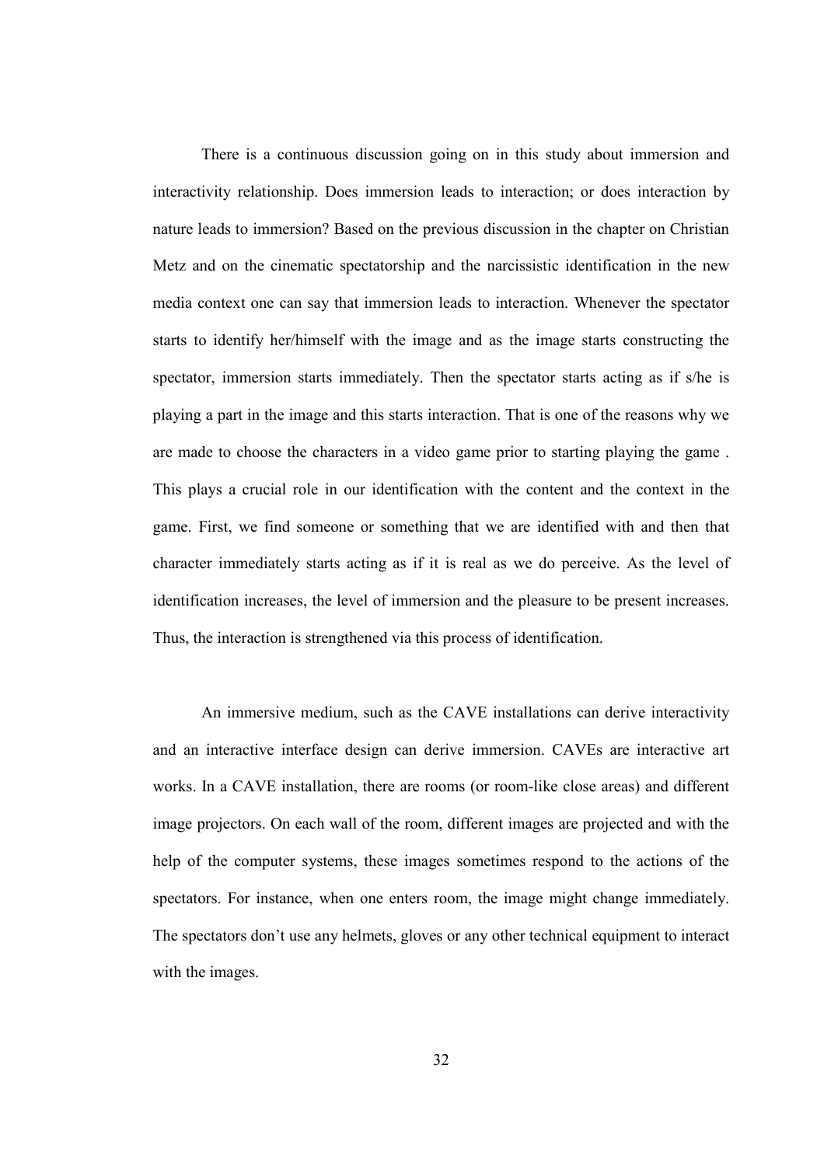There is a continuous discussion going on in this study about immersion and interactivity relationship. Does immersion leads to interaction; or does interaction by nature leads to immersion? Based on the previous discussion in the chapter on Christian Metz and on the cinematic spectatorship and the narcissistic identification in the new media context one can say that immersion leads to interaction. Whenever the spectator starts to identify her/himself with the image and as the image starts constructing the spectator, immersion starts immediately. Then the spectator starts acting as if s/he is playing a part in the image and this starts interaction. That is one of the reasons why we are made to choose the characters in a video game prior to starting playing the game . This plays a crucial role in our identification with the content and the context in the game. First, we find someone or something that we are identified with and then that character immediately starts acting as if it is real as we do perceive. As the level of identification increases, the level of immersion and the pleasure to be present increases. Thus, the interaction is strengthened via this process of identification.

An immersive medium, such as the CAVE installations can derive interactivity and an interactive interface design can derive immersion. CAVEs are interactive art works. In a CAVE installation, there are rooms (or room-like close areas) and different image projectors. On each wall of the room, different images are projected and with the help of the computer systems, these images sometimes respond to the actions of the spectators. For instance, when one enters room, the image might change immediately. The spectators don't use any helmets, gloves or any other technical equipment to interact with the images.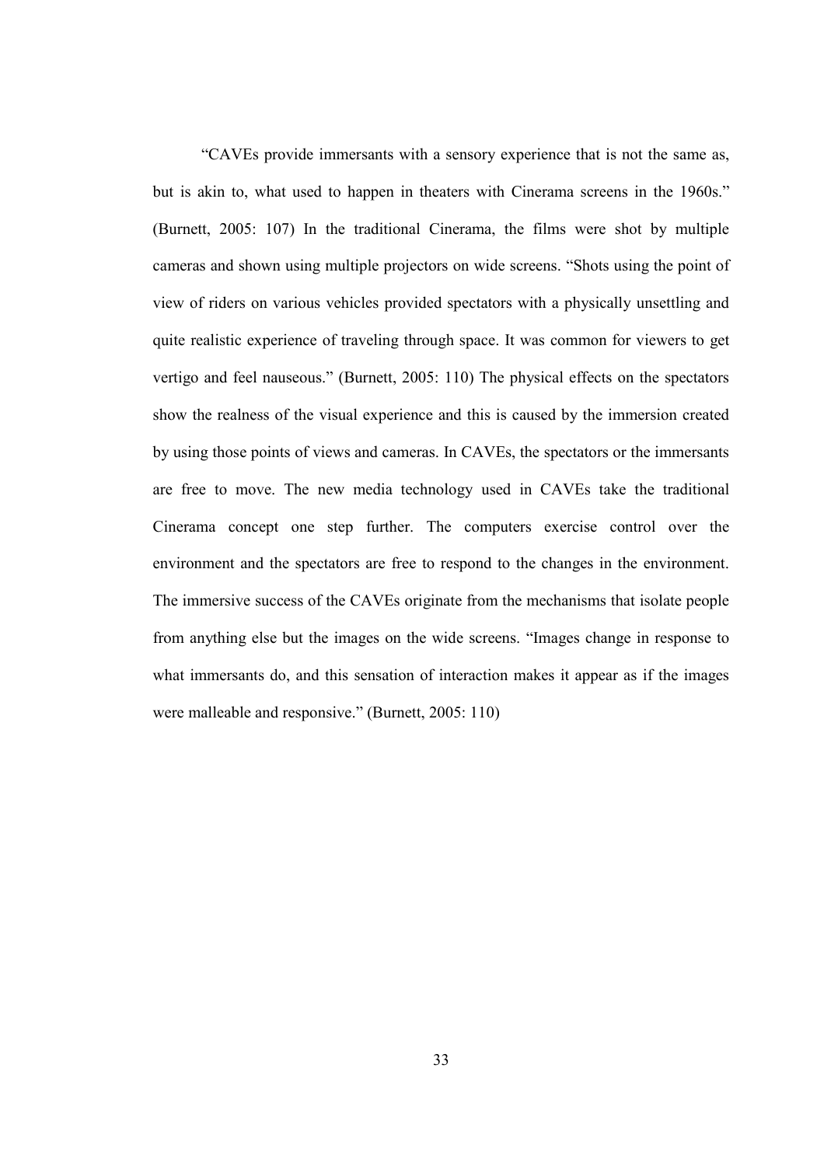"CAVEs provide immersants with a sensory experience that is not the same as, but is akin to, what used to happen in theaters with Cinerama screens in the 1960s." (Burnett, 2005: 107) In the traditional Cinerama, the films were shot by multiple cameras and shown using multiple projectors on wide screens. "Shots using the point of view of riders on various vehicles provided spectators with a physically unsettling and quite realistic experience of traveling through space. It was common for viewers to get vertigo and feel nauseous." (Burnett, 2005: 110) The physical effects on the spectators show the realness of the visual experience and this is caused by the immersion created by using those points of views and cameras. In CAVEs, the spectators or the immersants are free to move. The new media technology used in CAVEs take the traditional Cinerama concept one step further. The computers exercise control over the environment and the spectators are free to respond to the changes in the environment. The immersive success of the CAVEs originate from the mechanisms that isolate people from anything else but the images on the wide screens. "Images change in response to what immersants do, and this sensation of interaction makes it appear as if the images were malleable and responsive." (Burnett, 2005: 110)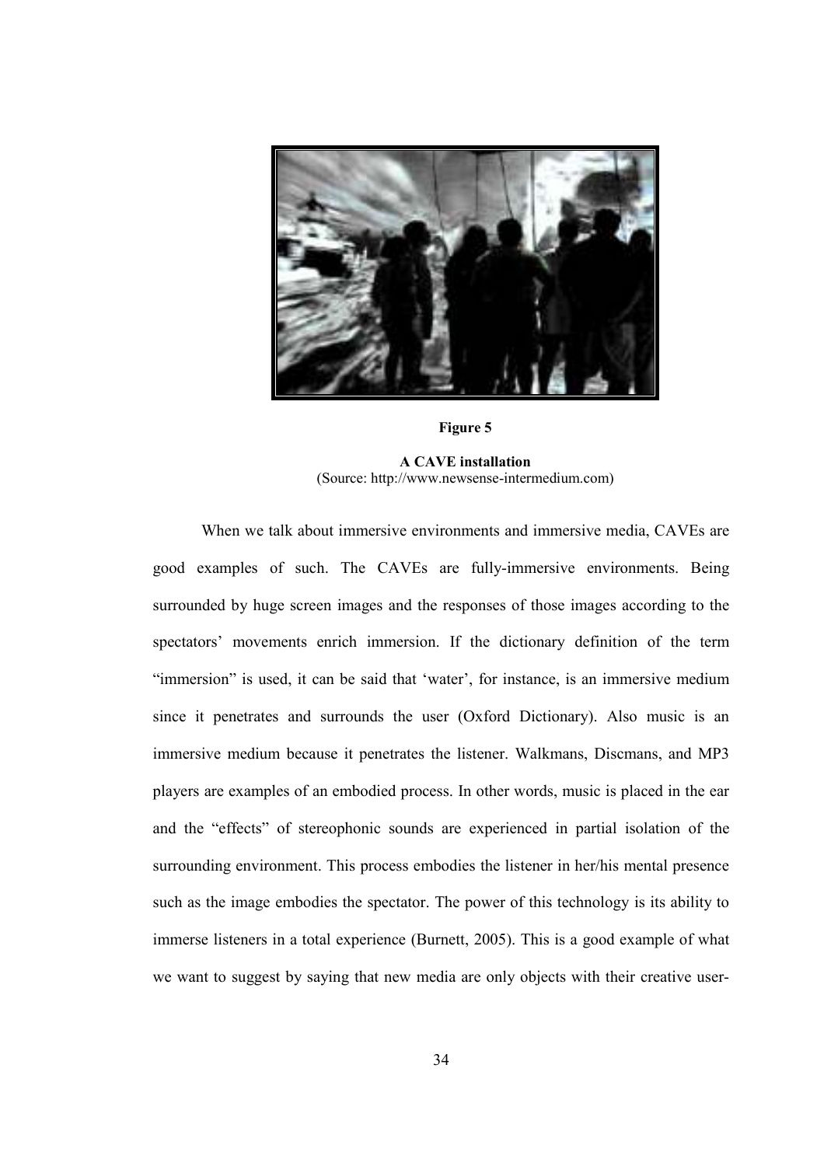

Figure 5

A CAVE installation (Source: http://www.newsense-intermedium.com)

When we talk about immersive environments and immersive media, CAVEs are good examples of such. The CAVEs are fully-immersive environments. Being surrounded by huge screen images and the responses of those images according to the spectators' movements enrich immersion. If the dictionary definition of the term "immersion" is used, it can be said that 'water', for instance, is an immersive medium since it penetrates and surrounds the user (Oxford Dictionary). Also music is an immersive medium because it penetrates the listener. Walkmans, Discmans, and MP3 players are examples of an embodied process. In other words, music is placed in the ear and the "effects" of stereophonic sounds are experienced in partial isolation of the surrounding environment. This process embodies the listener in her/his mental presence such as the image embodies the spectator. The power of this technology is its ability to immerse listeners in a total experience (Burnett, 2005). This is a good example of what we want to suggest by saying that new media are only objects with their creative user-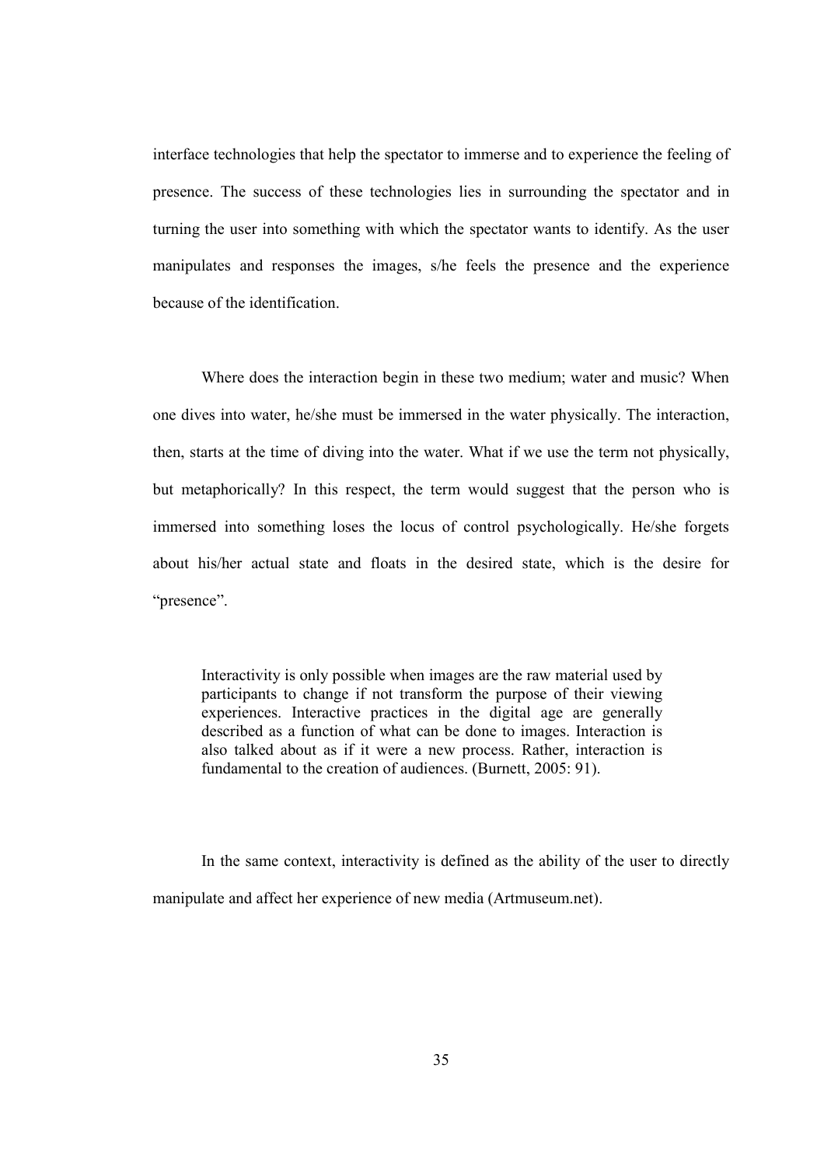interface technologies that help the spectator to immerse and to experience the feeling of presence. The success of these technologies lies in surrounding the spectator and in turning the user into something with which the spectator wants to identify. As the user manipulates and responses the images, s/he feels the presence and the experience because of the identification.

Where does the interaction begin in these two medium; water and music? When one dives into water, he/she must be immersed in the water physically. The interaction, then, starts at the time of diving into the water. What if we use the term not physically, but metaphorically? In this respect, the term would suggest that the person who is immersed into something loses the locus of control psychologically. He/she forgets about his/her actual state and floats in the desired state, which is the desire for "presence".

Interactivity is only possible when images are the raw material used by participants to change if not transform the purpose of their viewing experiences. Interactive practices in the digital age are generally described as a function of what can be done to images. Interaction is also talked about as if it were a new process. Rather, interaction is fundamental to the creation of audiences. (Burnett, 2005: 91).

In the same context, interactivity is defined as the ability of the user to directly manipulate and affect her experience of new media (Artmuseum.net).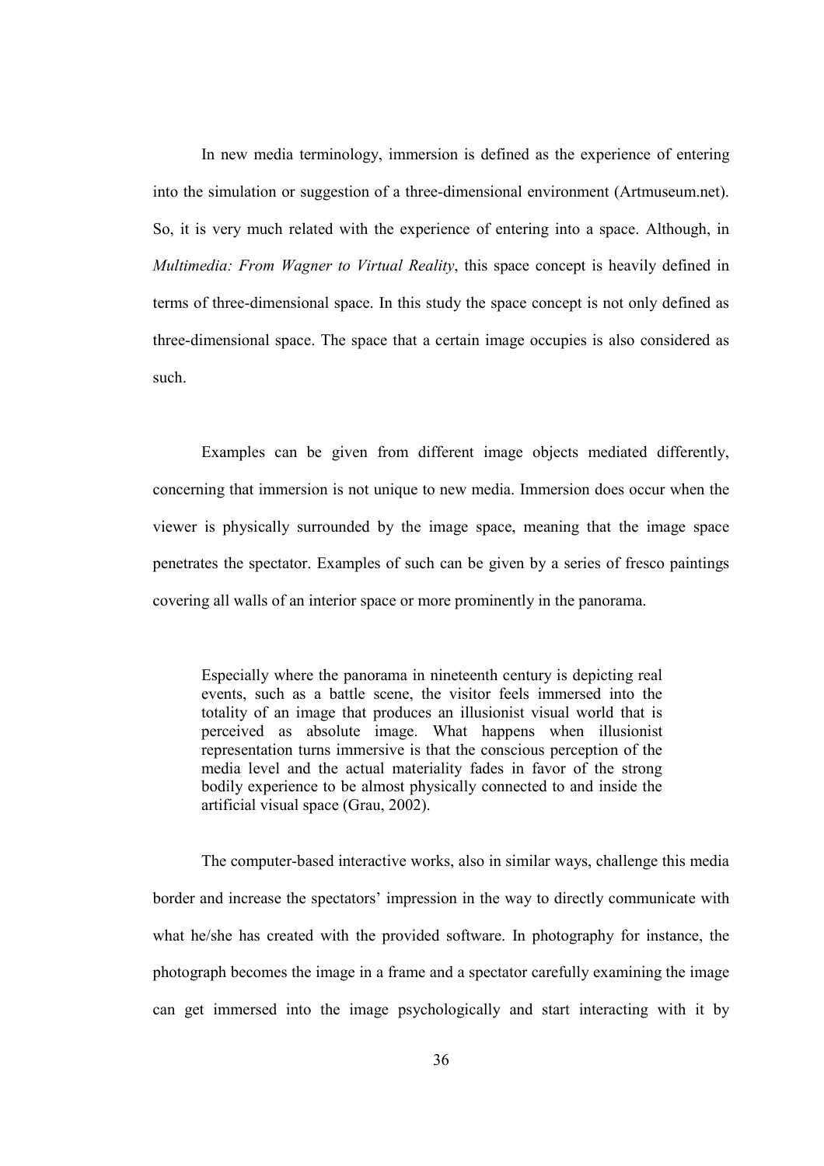In new media terminology, immersion is defined as the experience of entering into the simulation or suggestion of a three-dimensional environment (Artmuseum.net). So, it is very much related with the experience of entering into a space. Although, in Multimedia: From Wagner to Virtual Reality, this space concept is heavily defined in terms of three-dimensional space. In this study the space concept is not only defined as three-dimensional space. The space that a certain image occupies is also considered as such.

Examples can be given from different image objects mediated differently, concerning that immersion is not unique to new media. Immersion does occur when the viewer is physically surrounded by the image space, meaning that the image space penetrates the spectator. Examples of such can be given by a series of fresco paintings covering all walls of an interior space or more prominently in the panorama.

Especially where the panorama in nineteenth century is depicting real events, such as a battle scene, the visitor feels immersed into the totality of an image that produces an illusionist visual world that is perceived as absolute image. What happens when illusionist representation turns immersive is that the conscious perception of the media level and the actual materiality fades in favor of the strong bodily experience to be almost physically connected to and inside the artificial visual space (Grau, 2002).

The computer-based interactive works, also in similar ways, challenge this media border and increase the spectators' impression in the way to directly communicate with what he/she has created with the provided software. In photography for instance, the photograph becomes the image in a frame and a spectator carefully examining the image can get immersed into the image psychologically and start interacting with it by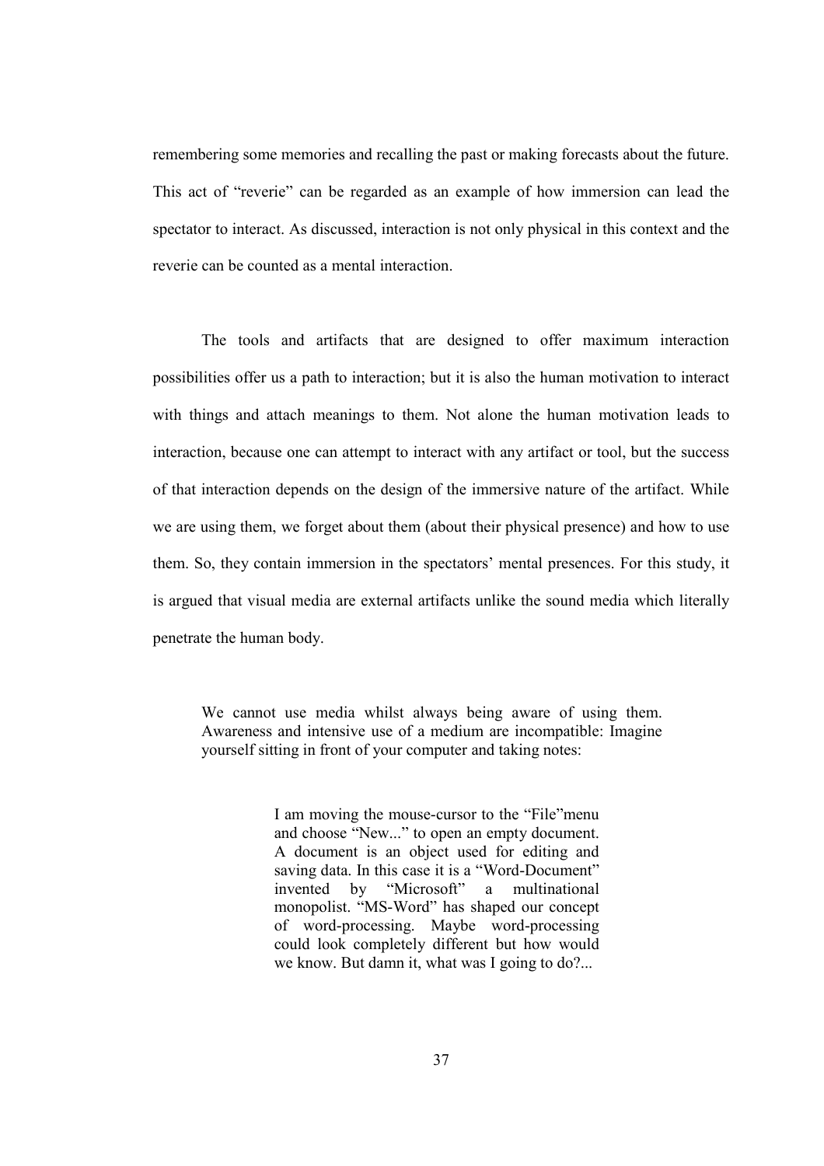remembering some memories and recalling the past or making forecasts about the future. This act of "reverie" can be regarded as an example of how immersion can lead the spectator to interact. As discussed, interaction is not only physical in this context and the reverie can be counted as a mental interaction.

The tools and artifacts that are designed to offer maximum interaction possibilities offer us a path to interaction; but it is also the human motivation to interact with things and attach meanings to them. Not alone the human motivation leads to interaction, because one can attempt to interact with any artifact or tool, but the success of that interaction depends on the design of the immersive nature of the artifact. While we are using them, we forget about them (about their physical presence) and how to use them. So, they contain immersion in the spectators' mental presences. For this study, it is argued that visual media are external artifacts unlike the sound media which literally penetrate the human body.

We cannot use media whilst always being aware of using them. Awareness and intensive use of a medium are incompatible: Imagine yourself sitting in front of your computer and taking notes:

> I am moving the mouse-cursor to the "File"menu and choose "New..." to open an empty document. A document is an object used for editing and saving data. In this case it is a "Word-Document" invented by "Microsoft" a multinational monopolist. "MS-Word" has shaped our concept of word-processing. Maybe word-processing could look completely different but how would we know. But damn it, what was I going to do?...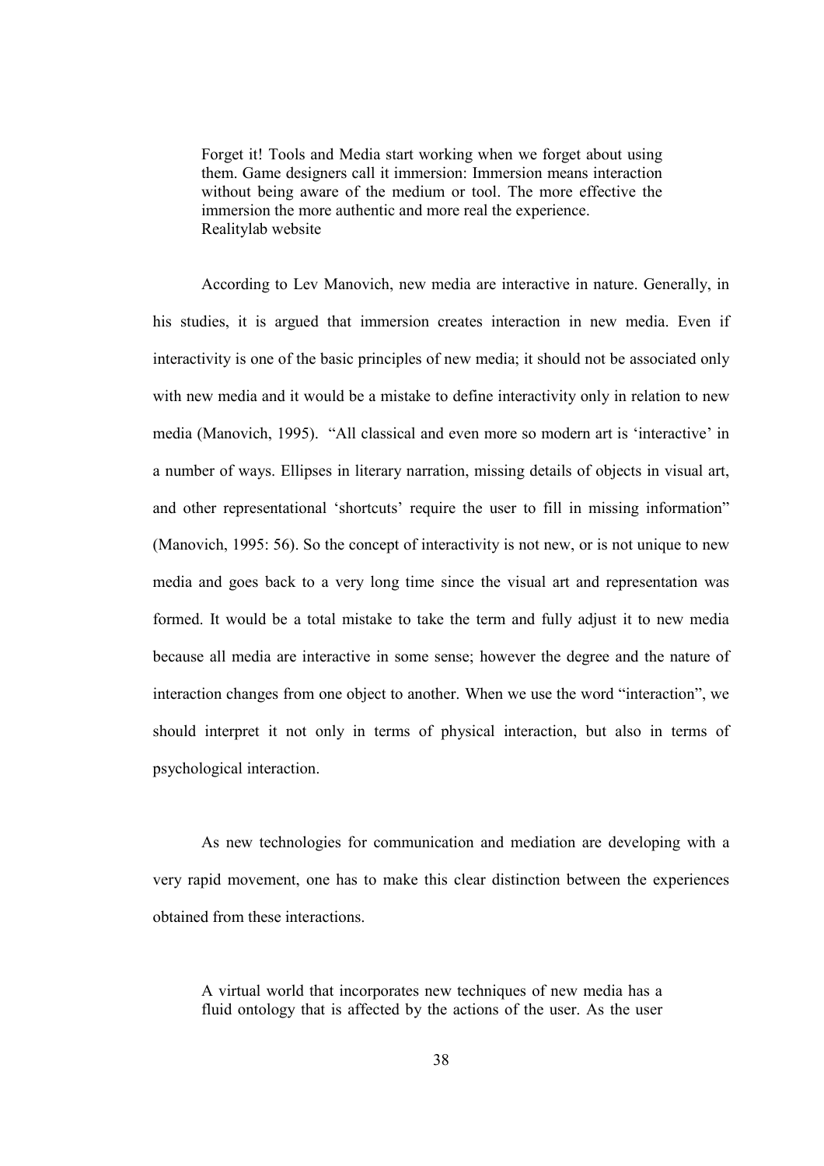Forget it! Tools and Media start working when we forget about using them. Game designers call it immersion: Immersion means interaction without being aware of the medium or tool. The more effective the immersion the more authentic and more real the experience. Realitylab website

According to Lev Manovich, new media are interactive in nature. Generally, in his studies, it is argued that immersion creates interaction in new media. Even if interactivity is one of the basic principles of new media; it should not be associated only with new media and it would be a mistake to define interactivity only in relation to new media (Manovich, 1995). "All classical and even more so modern art is 'interactive' in a number of ways. Ellipses in literary narration, missing details of objects in visual art, and other representational 'shortcuts' require the user to fill in missing information" (Manovich, 1995: 56). So the concept of interactivity is not new, or is not unique to new media and goes back to a very long time since the visual art and representation was formed. It would be a total mistake to take the term and fully adjust it to new media because all media are interactive in some sense; however the degree and the nature of interaction changes from one object to another. When we use the word "interaction", we should interpret it not only in terms of physical interaction, but also in terms of psychological interaction.

As new technologies for communication and mediation are developing with a very rapid movement, one has to make this clear distinction between the experiences obtained from these interactions.

A virtual world that incorporates new techniques of new media has a fluid ontology that is affected by the actions of the user. As the user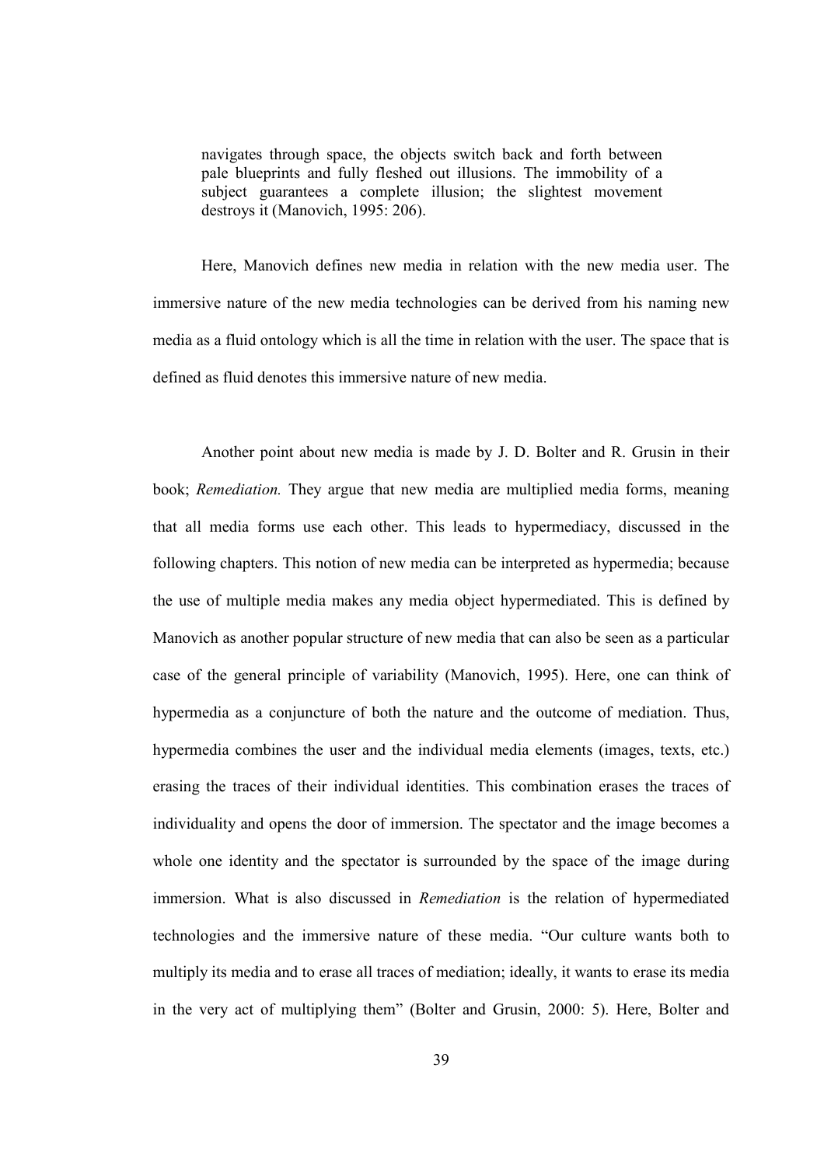navigates through space, the objects switch back and forth between pale blueprints and fully fleshed out illusions. The immobility of a subject guarantees a complete illusion; the slightest movement destroys it (Manovich, 1995: 206).

Here, Manovich defines new media in relation with the new media user. The immersive nature of the new media technologies can be derived from his naming new media as a fluid ontology which is all the time in relation with the user. The space that is defined as fluid denotes this immersive nature of new media.

Another point about new media is made by J. D. Bolter and R. Grusin in their book; Remediation. They argue that new media are multiplied media forms, meaning that all media forms use each other. This leads to hypermediacy, discussed in the following chapters. This notion of new media can be interpreted as hypermedia; because the use of multiple media makes any media object hypermediated. This is defined by Manovich as another popular structure of new media that can also be seen as a particular case of the general principle of variability (Manovich, 1995). Here, one can think of hypermedia as a conjuncture of both the nature and the outcome of mediation. Thus, hypermedia combines the user and the individual media elements (images, texts, etc.) erasing the traces of their individual identities. This combination erases the traces of individuality and opens the door of immersion. The spectator and the image becomes a whole one identity and the spectator is surrounded by the space of the image during immersion. What is also discussed in Remediation is the relation of hypermediated technologies and the immersive nature of these media. "Our culture wants both to multiply its media and to erase all traces of mediation; ideally, it wants to erase its media in the very act of multiplying them" (Bolter and Grusin, 2000: 5). Here, Bolter and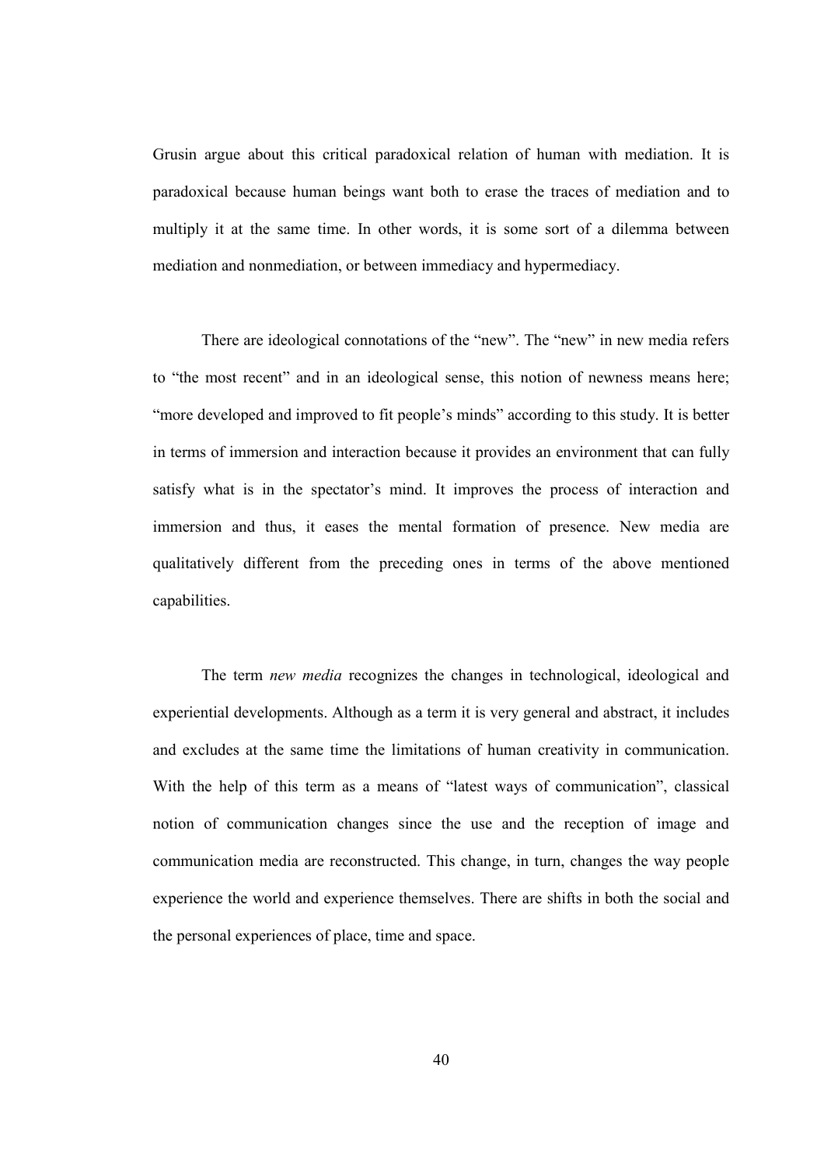Grusin argue about this critical paradoxical relation of human with mediation. It is paradoxical because human beings want both to erase the traces of mediation and to multiply it at the same time. In other words, it is some sort of a dilemma between mediation and nonmediation, or between immediacy and hypermediacy.

There are ideological connotations of the "new". The "new" in new media refers to "the most recent" and in an ideological sense, this notion of newness means here; "more developed and improved to fit people's minds" according to this study. It is better in terms of immersion and interaction because it provides an environment that can fully satisfy what is in the spectator's mind. It improves the process of interaction and immersion and thus, it eases the mental formation of presence. New media are qualitatively different from the preceding ones in terms of the above mentioned capabilities.

The term new media recognizes the changes in technological, ideological and experiential developments. Although as a term it is very general and abstract, it includes and excludes at the same time the limitations of human creativity in communication. With the help of this term as a means of "latest ways of communication", classical notion of communication changes since the use and the reception of image and communication media are reconstructed. This change, in turn, changes the way people experience the world and experience themselves. There are shifts in both the social and the personal experiences of place, time and space.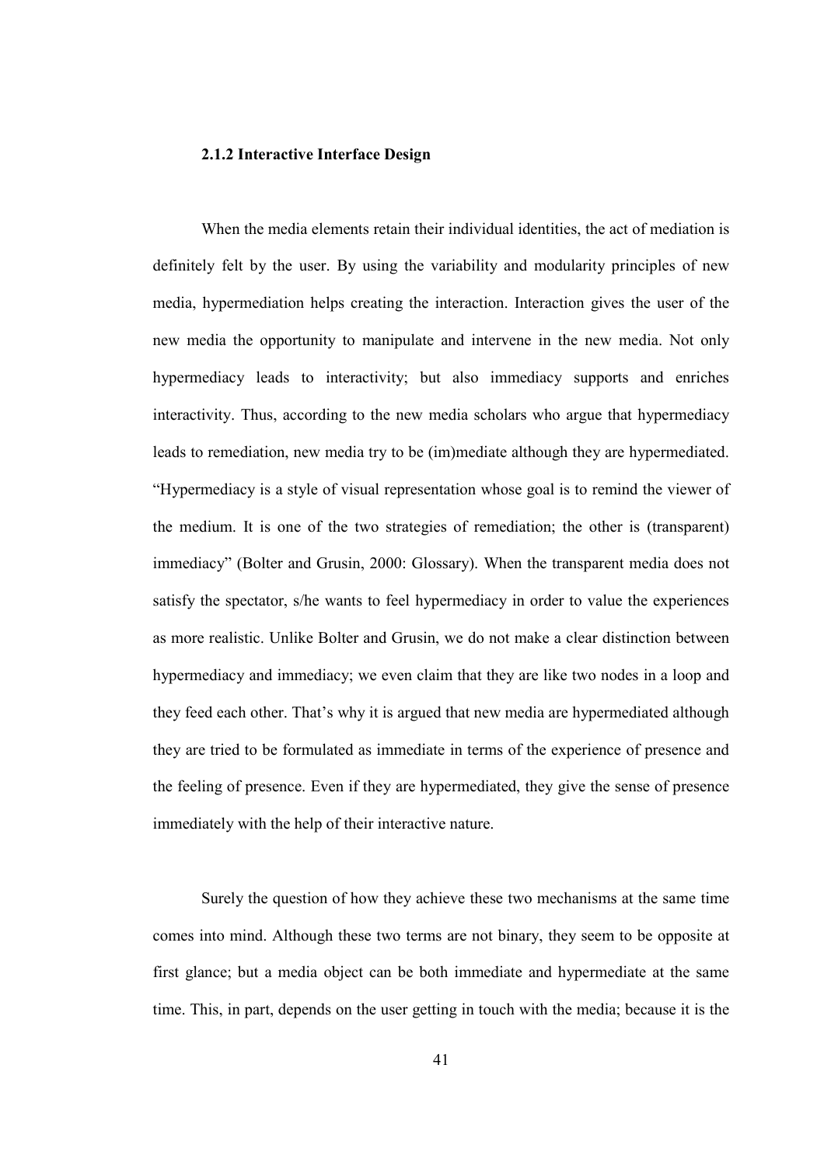#### 2.1.2 Interactive Interface Design

When the media elements retain their individual identities, the act of mediation is definitely felt by the user. By using the variability and modularity principles of new media, hypermediation helps creating the interaction. Interaction gives the user of the new media the opportunity to manipulate and intervene in the new media. Not only hypermediacy leads to interactivity; but also immediacy supports and enriches interactivity. Thus, according to the new media scholars who argue that hypermediacy leads to remediation, new media try to be (im)mediate although they are hypermediated. "Hypermediacy is a style of visual representation whose goal is to remind the viewer of the medium. It is one of the two strategies of remediation; the other is (transparent) immediacy" (Bolter and Grusin, 2000: Glossary). When the transparent media does not satisfy the spectator, s/he wants to feel hypermediacy in order to value the experiences as more realistic. Unlike Bolter and Grusin, we do not make a clear distinction between hypermediacy and immediacy; we even claim that they are like two nodes in a loop and they feed each other. That's why it is argued that new media are hypermediated although they are tried to be formulated as immediate in terms of the experience of presence and the feeling of presence. Even if they are hypermediated, they give the sense of presence immediately with the help of their interactive nature.

Surely the question of how they achieve these two mechanisms at the same time comes into mind. Although these two terms are not binary, they seem to be opposite at first glance; but a media object can be both immediate and hypermediate at the same time. This, in part, depends on the user getting in touch with the media; because it is the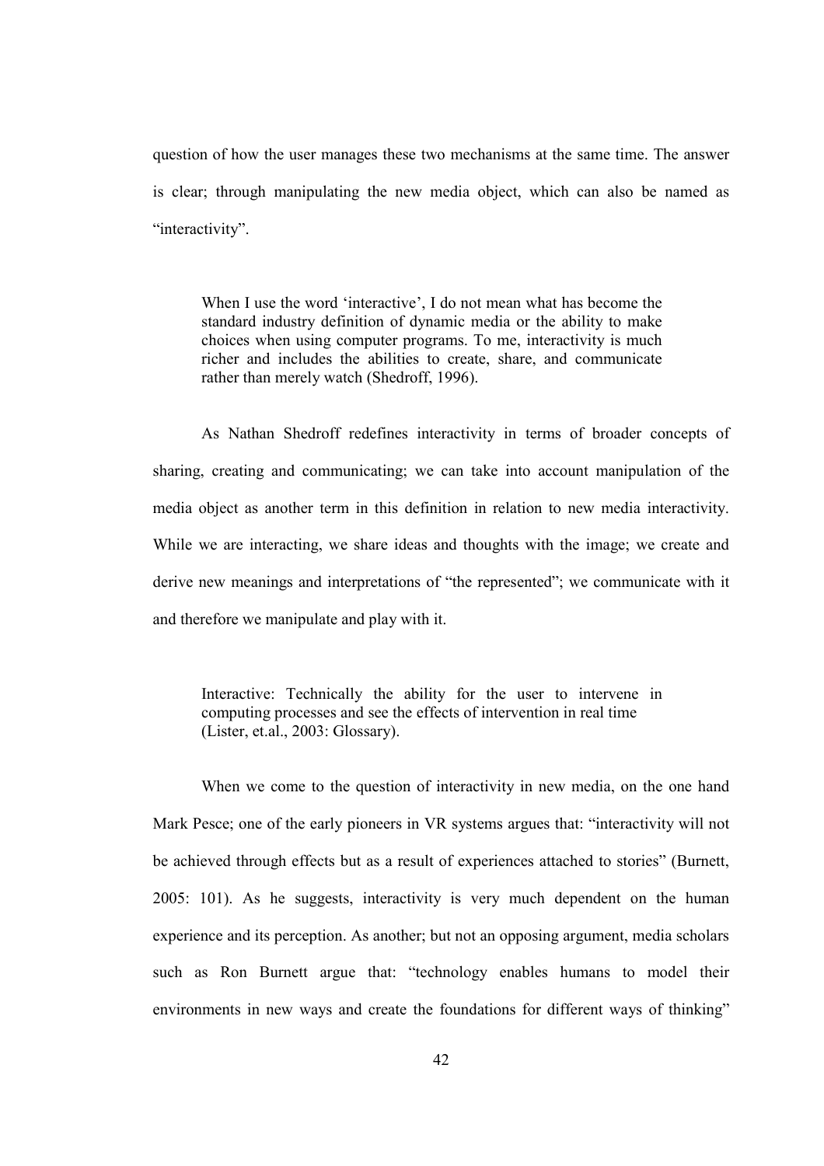question of how the user manages these two mechanisms at the same time. The answer is clear; through manipulating the new media object, which can also be named as "interactivity".

When I use the word 'interactive', I do not mean what has become the standard industry definition of dynamic media or the ability to make choices when using computer programs. To me, interactivity is much richer and includes the abilities to create, share, and communicate rather than merely watch (Shedroff, 1996).

As Nathan Shedroff redefines interactivity in terms of broader concepts of sharing, creating and communicating; we can take into account manipulation of the media object as another term in this definition in relation to new media interactivity. While we are interacting, we share ideas and thoughts with the image; we create and derive new meanings and interpretations of "the represented"; we communicate with it and therefore we manipulate and play with it.

Interactive: Technically the ability for the user to intervene in computing processes and see the effects of intervention in real time (Lister, et.al., 2003: Glossary).

When we come to the question of interactivity in new media, on the one hand Mark Pesce; one of the early pioneers in VR systems argues that: "interactivity will not be achieved through effects but as a result of experiences attached to stories" (Burnett, 2005: 101). As he suggests, interactivity is very much dependent on the human experience and its perception. As another; but not an opposing argument, media scholars such as Ron Burnett argue that: "technology enables humans to model their environments in new ways and create the foundations for different ways of thinking"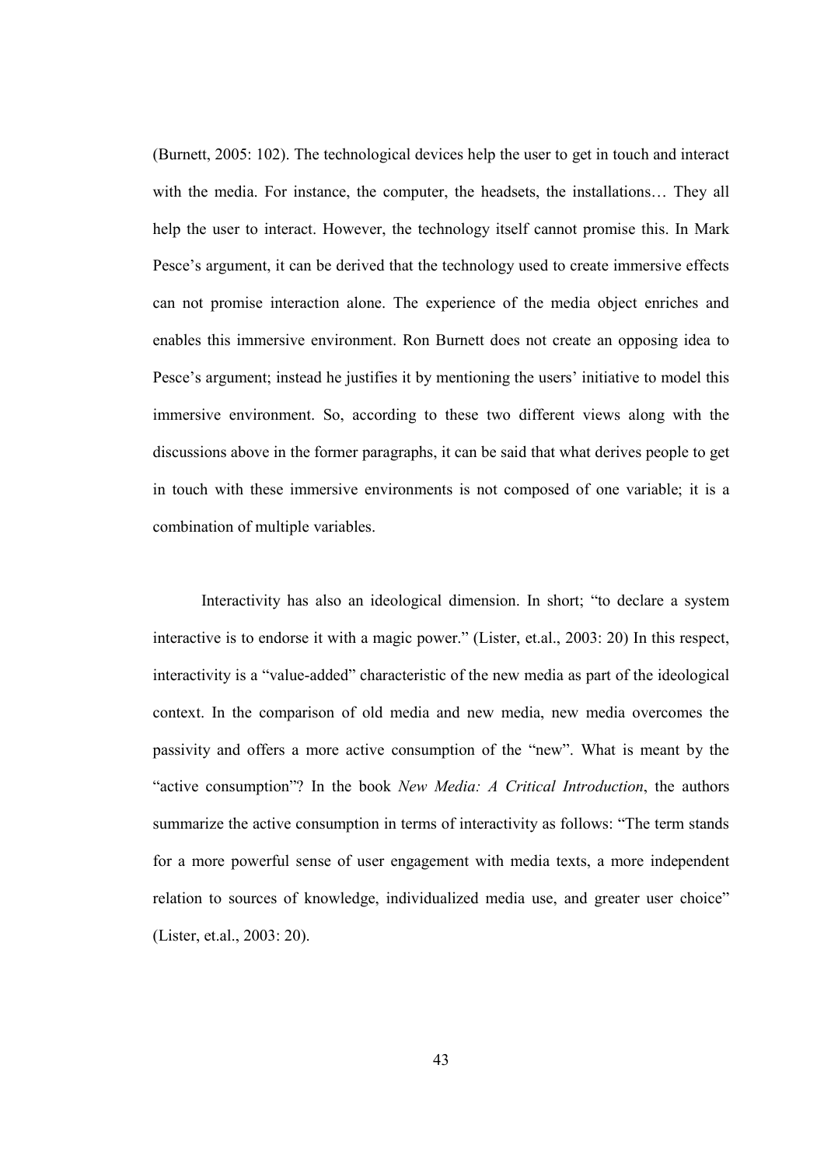(Burnett, 2005: 102). The technological devices help the user to get in touch and interact with the media. For instance, the computer, the headsets, the installations... They all help the user to interact. However, the technology itself cannot promise this. In Mark Pesce's argument, it can be derived that the technology used to create immersive effects can not promise interaction alone. The experience of the media object enriches and enables this immersive environment. Ron Burnett does not create an opposing idea to Pesce's argument; instead he justifies it by mentioning the users' initiative to model this immersive environment. So, according to these two different views along with the discussions above in the former paragraphs, it can be said that what derives people to get in touch with these immersive environments is not composed of one variable; it is a combination of multiple variables.

Interactivity has also an ideological dimension. In short; "to declare a system interactive is to endorse it with a magic power." (Lister, et.al., 2003: 20) In this respect, interactivity is a "value-added" characteristic of the new media as part of the ideological context. In the comparison of old media and new media, new media overcomes the passivity and offers a more active consumption of the "new". What is meant by the "active consumption"? In the book New Media: A Critical Introduction, the authors summarize the active consumption in terms of interactivity as follows: "The term stands for a more powerful sense of user engagement with media texts, a more independent relation to sources of knowledge, individualized media use, and greater user choice" (Lister, et.al., 2003: 20).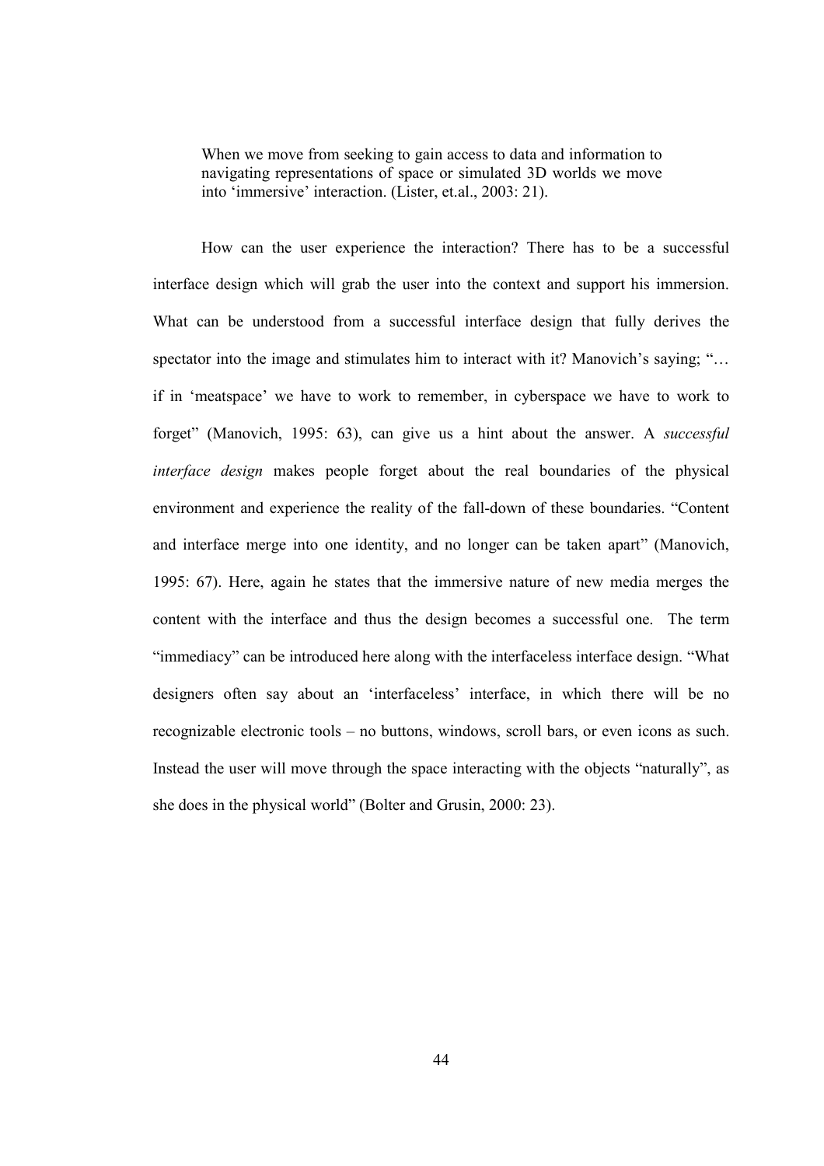When we move from seeking to gain access to data and information to navigating representations of space or simulated 3D worlds we move into 'immersive' interaction. (Lister, et.al., 2003: 21).

How can the user experience the interaction? There has to be a successful interface design which will grab the user into the context and support his immersion. What can be understood from a successful interface design that fully derives the spectator into the image and stimulates him to interact with it? Manovich's saying; "... if in 'meatspace' we have to work to remember, in cyberspace we have to work to forget" (Manovich, 1995: 63), can give us a hint about the answer. A successful interface design makes people forget about the real boundaries of the physical environment and experience the reality of the fall-down of these boundaries. "Content and interface merge into one identity, and no longer can be taken apart" (Manovich, 1995: 67). Here, again he states that the immersive nature of new media merges the content with the interface and thus the design becomes a successful one. The term "immediacy" can be introduced here along with the interfaceless interface design. "What designers often say about an 'interfaceless' interface, in which there will be no recognizable electronic tools – no buttons, windows, scroll bars, or even icons as such. Instead the user will move through the space interacting with the objects "naturally", as she does in the physical world" (Bolter and Grusin, 2000: 23).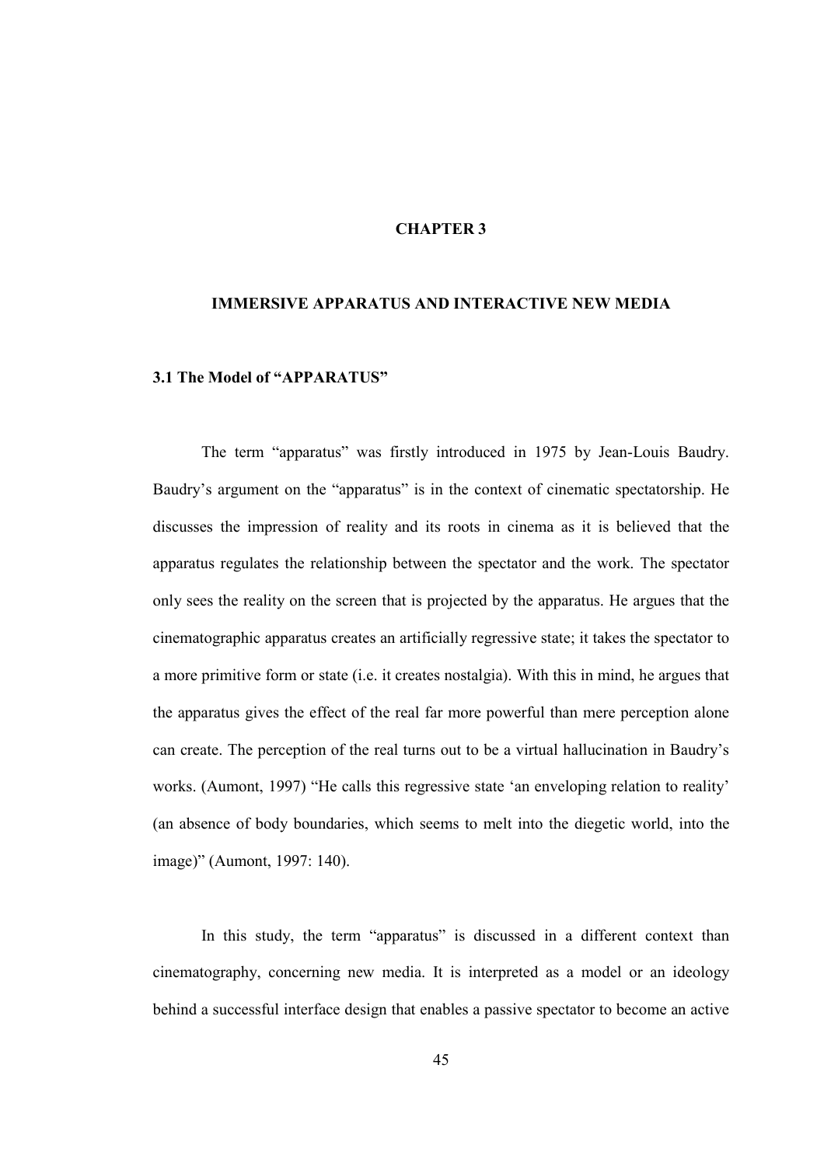#### CHAPTER 3

#### IMMERSIVE APPARATUS AND INTERACTIVE NEW MEDIA

#### 3.1 The Model of "APPARATUS"

The term "apparatus" was firstly introduced in 1975 by Jean-Louis Baudry. Baudry's argument on the "apparatus" is in the context of cinematic spectatorship. He discusses the impression of reality and its roots in cinema as it is believed that the apparatus regulates the relationship between the spectator and the work. The spectator only sees the reality on the screen that is projected by the apparatus. He argues that the cinematographic apparatus creates an artificially regressive state; it takes the spectator to a more primitive form or state (i.e. it creates nostalgia). With this in mind, he argues that the apparatus gives the effect of the real far more powerful than mere perception alone can create. The perception of the real turns out to be a virtual hallucination in Baudry's works. (Aumont, 1997) "He calls this regressive state 'an enveloping relation to reality' (an absence of body boundaries, which seems to melt into the diegetic world, into the image)" (Aumont, 1997: 140).

In this study, the term "apparatus" is discussed in a different context than cinematography, concerning new media. It is interpreted as a model or an ideology behind a successful interface design that enables a passive spectator to become an active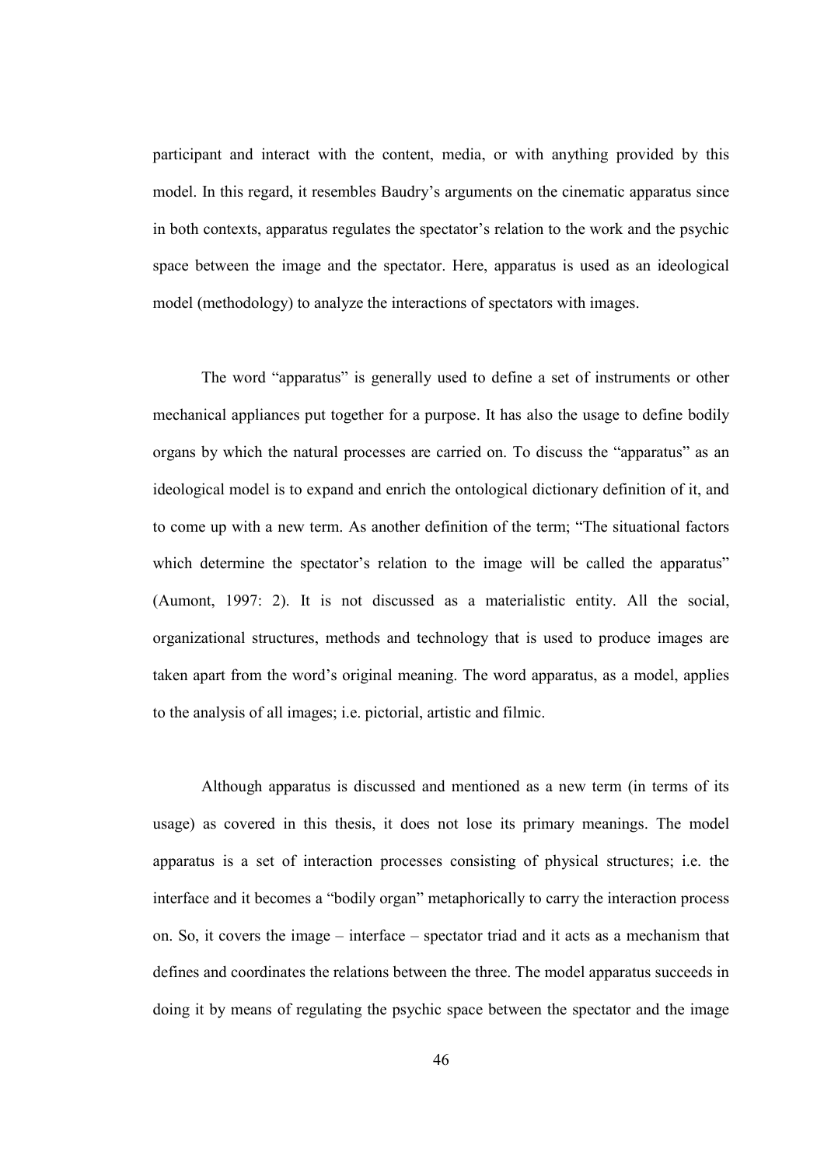participant and interact with the content, media, or with anything provided by this model. In this regard, it resembles Baudry's arguments on the cinematic apparatus since in both contexts, apparatus regulates the spectator's relation to the work and the psychic space between the image and the spectator. Here, apparatus is used as an ideological model (methodology) to analyze the interactions of spectators with images.

The word "apparatus" is generally used to define a set of instruments or other mechanical appliances put together for a purpose. It has also the usage to define bodily organs by which the natural processes are carried on. To discuss the "apparatus" as an ideological model is to expand and enrich the ontological dictionary definition of it, and to come up with a new term. As another definition of the term; "The situational factors which determine the spectator's relation to the image will be called the apparatus" (Aumont, 1997: 2). It is not discussed as a materialistic entity. All the social, organizational structures, methods and technology that is used to produce images are taken apart from the word's original meaning. The word apparatus, as a model, applies to the analysis of all images; i.e. pictorial, artistic and filmic.

Although apparatus is discussed and mentioned as a new term (in terms of its usage) as covered in this thesis, it does not lose its primary meanings. The model apparatus is a set of interaction processes consisting of physical structures; i.e. the interface and it becomes a "bodily organ" metaphorically to carry the interaction process on. So, it covers the image – interface – spectator triad and it acts as a mechanism that defines and coordinates the relations between the three. The model apparatus succeeds in doing it by means of regulating the psychic space between the spectator and the image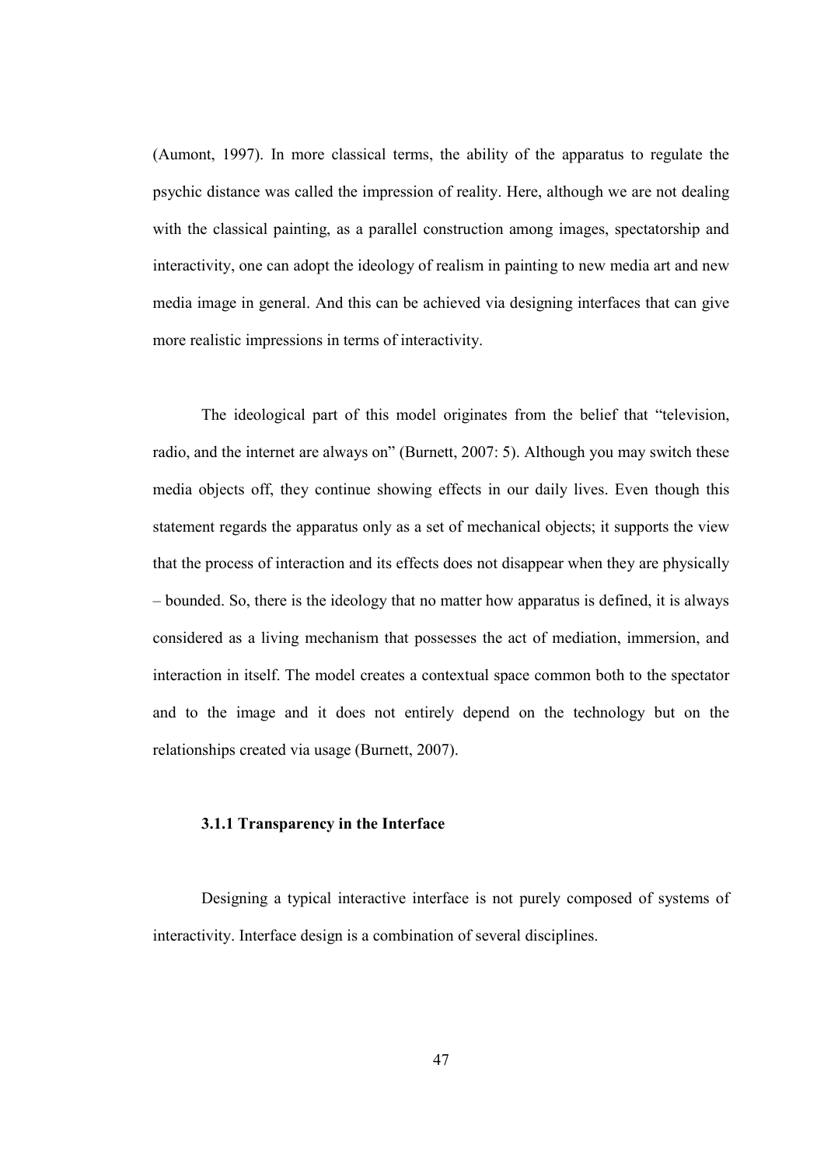(Aumont, 1997). In more classical terms, the ability of the apparatus to regulate the psychic distance was called the impression of reality. Here, although we are not dealing with the classical painting, as a parallel construction among images, spectatorship and interactivity, one can adopt the ideology of realism in painting to new media art and new media image in general. And this can be achieved via designing interfaces that can give more realistic impressions in terms of interactivity.

The ideological part of this model originates from the belief that "television, radio, and the internet are always on" (Burnett, 2007: 5). Although you may switch these media objects off, they continue showing effects in our daily lives. Even though this statement regards the apparatus only as a set of mechanical objects; it supports the view that the process of interaction and its effects does not disappear when they are physically – bounded. So, there is the ideology that no matter how apparatus is defined, it is always considered as a living mechanism that possesses the act of mediation, immersion, and interaction in itself. The model creates a contextual space common both to the spectator and to the image and it does not entirely depend on the technology but on the relationships created via usage (Burnett, 2007).

# 3.1.1 Transparency in the Interface

Designing a typical interactive interface is not purely composed of systems of interactivity. Interface design is a combination of several disciplines.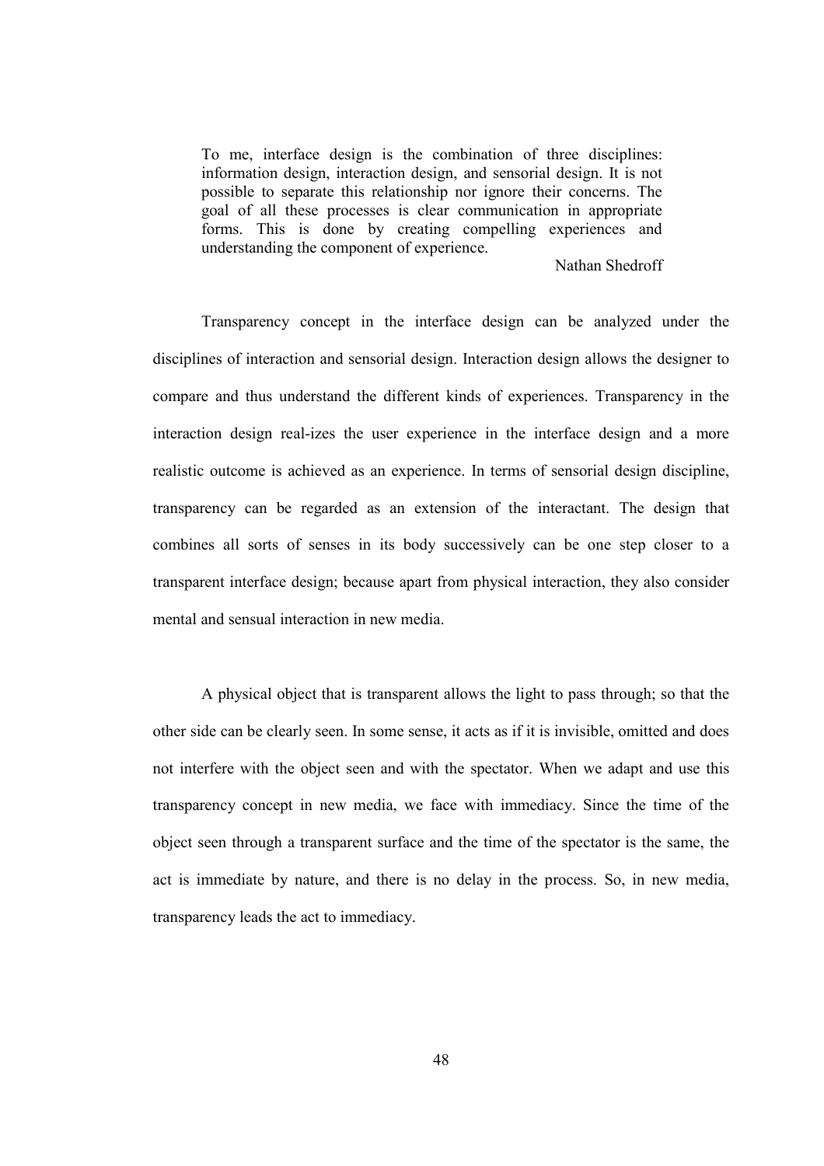To me, interface design is the combination of three disciplines: information design, interaction design, and sensorial design. It is not possible to separate this relationship nor ignore their concerns. The goal of all these processes is clear communication in appropriate forms. This is done by creating compelling experiences and understanding the component of experience.

#### Nathan Shedroff

Transparency concept in the interface design can be analyzed under the disciplines of interaction and sensorial design. Interaction design allows the designer to compare and thus understand the different kinds of experiences. Transparency in the interaction design real-izes the user experience in the interface design and a more realistic outcome is achieved as an experience. In terms of sensorial design discipline, transparency can be regarded as an extension of the interactant. The design that combines all sorts of senses in its body successively can be one step closer to a transparent interface design; because apart from physical interaction, they also consider mental and sensual interaction in new media.

A physical object that is transparent allows the light to pass through; so that the other side can be clearly seen. In some sense, it acts as if it is invisible, omitted and does not interfere with the object seen and with the spectator. When we adapt and use this transparency concept in new media, we face with immediacy. Since the time of the object seen through a transparent surface and the time of the spectator is the same, the act is immediate by nature, and there is no delay in the process. So, in new media, transparency leads the act to immediacy.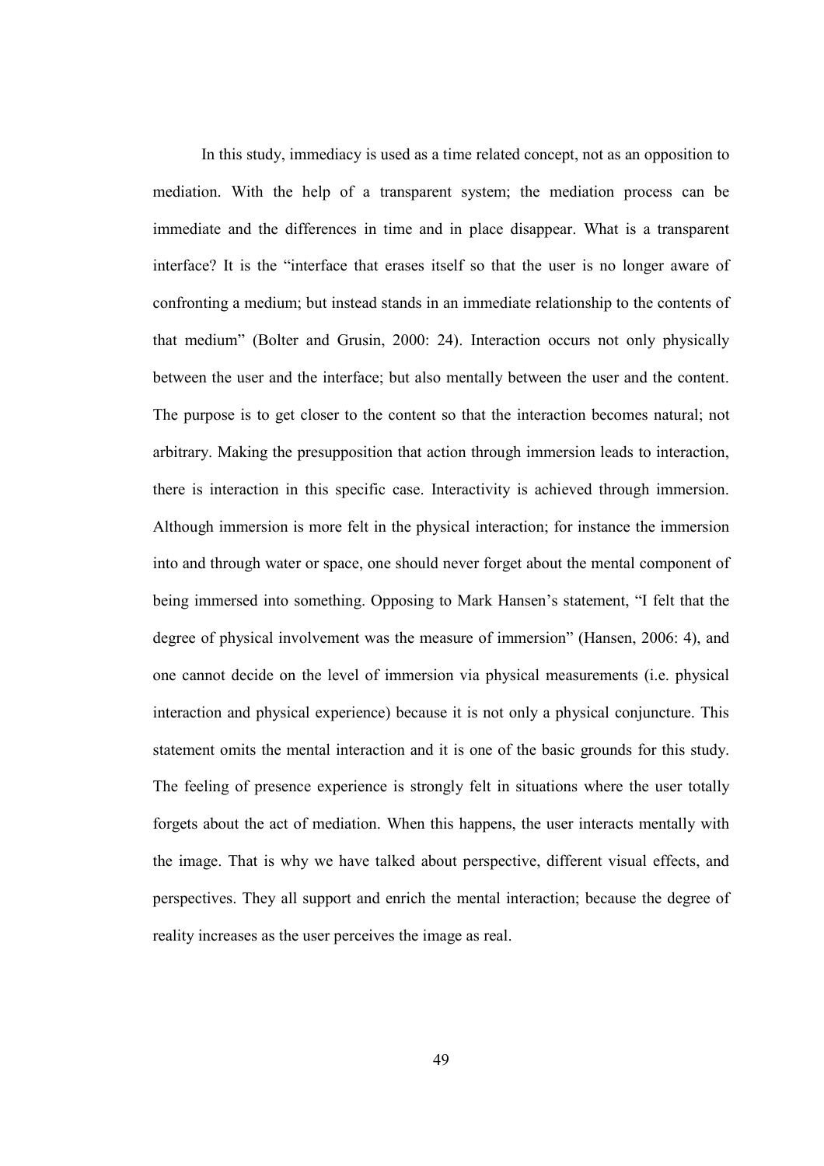In this study, immediacy is used as a time related concept, not as an opposition to mediation. With the help of a transparent system; the mediation process can be immediate and the differences in time and in place disappear. What is a transparent interface? It is the "interface that erases itself so that the user is no longer aware of confronting a medium; but instead stands in an immediate relationship to the contents of that medium" (Bolter and Grusin, 2000: 24). Interaction occurs not only physically between the user and the interface; but also mentally between the user and the content. The purpose is to get closer to the content so that the interaction becomes natural; not arbitrary. Making the presupposition that action through immersion leads to interaction, there is interaction in this specific case. Interactivity is achieved through immersion. Although immersion is more felt in the physical interaction; for instance the immersion into and through water or space, one should never forget about the mental component of being immersed into something. Opposing to Mark Hansen's statement, "I felt that the degree of physical involvement was the measure of immersion" (Hansen, 2006: 4), and one cannot decide on the level of immersion via physical measurements (i.e. physical interaction and physical experience) because it is not only a physical conjuncture. This statement omits the mental interaction and it is one of the basic grounds for this study. The feeling of presence experience is strongly felt in situations where the user totally forgets about the act of mediation. When this happens, the user interacts mentally with the image. That is why we have talked about perspective, different visual effects, and perspectives. They all support and enrich the mental interaction; because the degree of reality increases as the user perceives the image as real.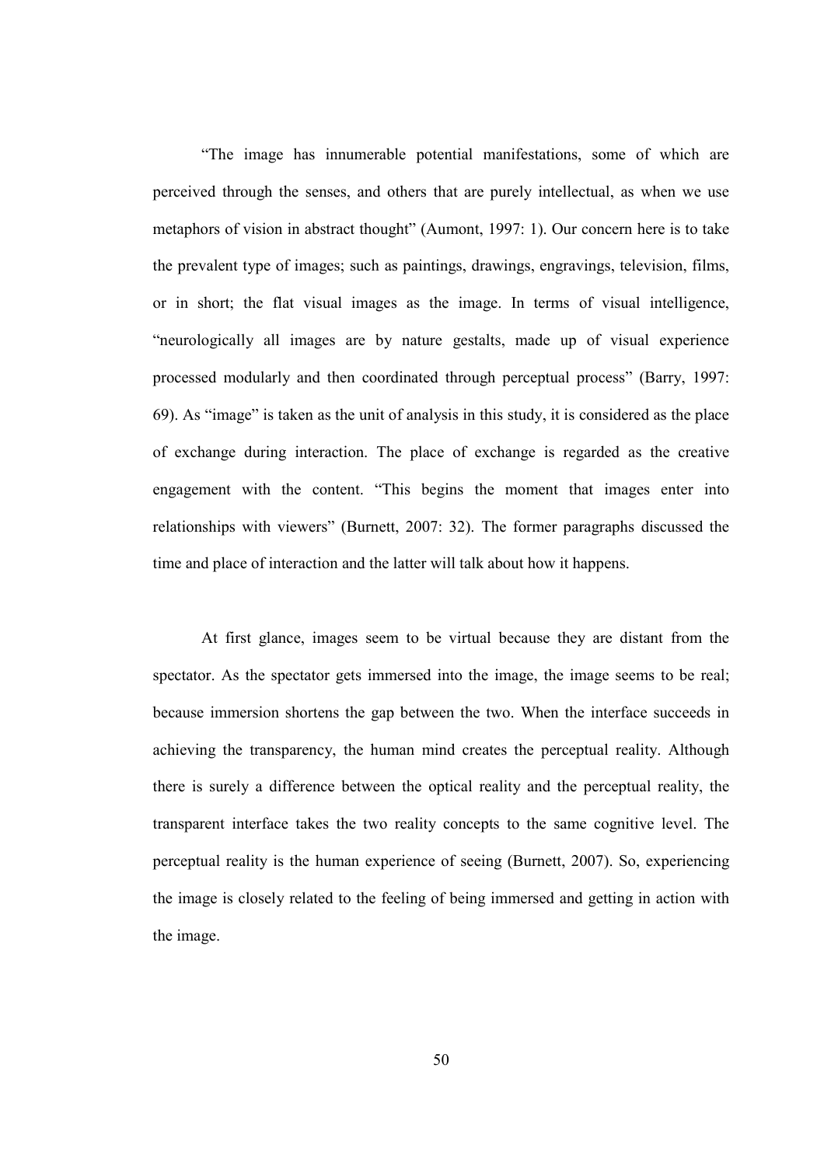"The image has innumerable potential manifestations, some of which are perceived through the senses, and others that are purely intellectual, as when we use metaphors of vision in abstract thought" (Aumont, 1997: 1). Our concern here is to take the prevalent type of images; such as paintings, drawings, engravings, television, films, or in short; the flat visual images as the image. In terms of visual intelligence, "neurologically all images are by nature gestalts, made up of visual experience processed modularly and then coordinated through perceptual process" (Barry, 1997: 69). As "image" is taken as the unit of analysis in this study, it is considered as the place of exchange during interaction. The place of exchange is regarded as the creative engagement with the content. "This begins the moment that images enter into relationships with viewers" (Burnett, 2007: 32). The former paragraphs discussed the time and place of interaction and the latter will talk about how it happens.

At first glance, images seem to be virtual because they are distant from the spectator. As the spectator gets immersed into the image, the image seems to be real; because immersion shortens the gap between the two. When the interface succeeds in achieving the transparency, the human mind creates the perceptual reality. Although there is surely a difference between the optical reality and the perceptual reality, the transparent interface takes the two reality concepts to the same cognitive level. The perceptual reality is the human experience of seeing (Burnett, 2007). So, experiencing the image is closely related to the feeling of being immersed and getting in action with the image.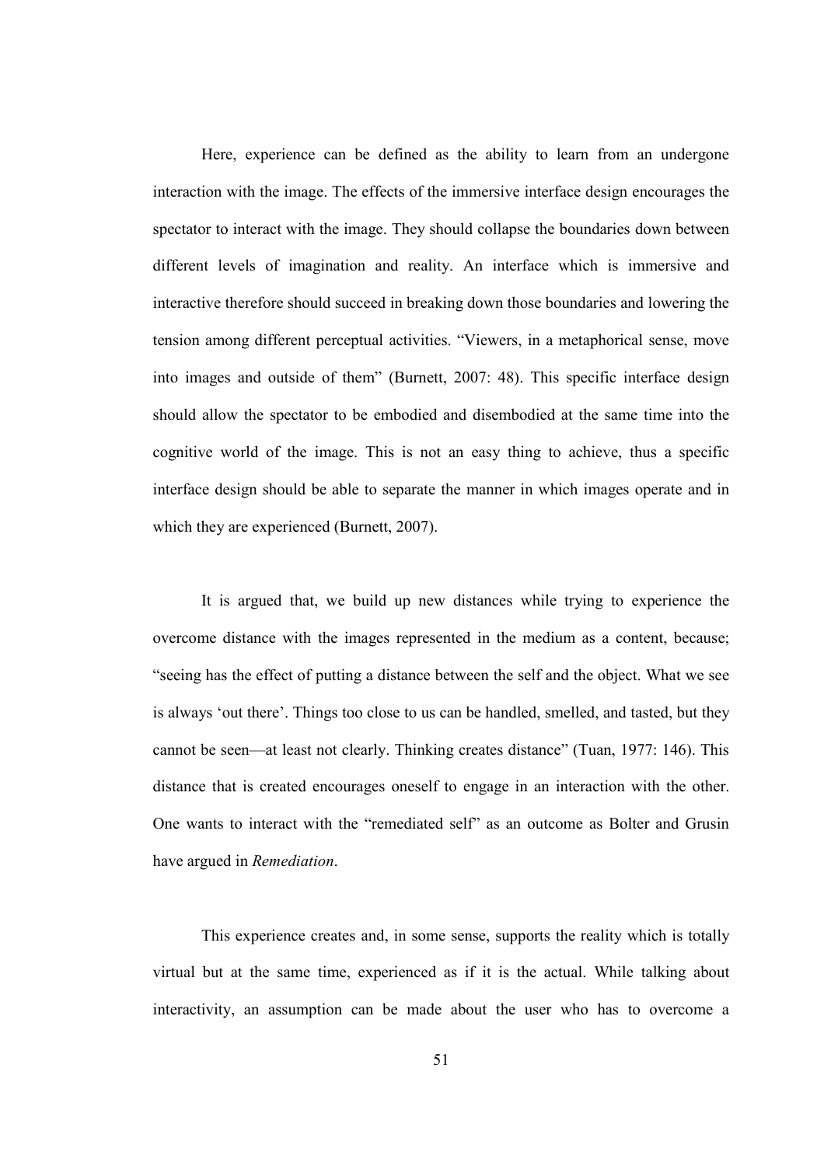Here, experience can be defined as the ability to learn from an undergone interaction with the image. The effects of the immersive interface design encourages the spectator to interact with the image. They should collapse the boundaries down between different levels of imagination and reality. An interface which is immersive and interactive therefore should succeed in breaking down those boundaries and lowering the tension among different perceptual activities. "Viewers, in a metaphorical sense, move into images and outside of them" (Burnett, 2007: 48). This specific interface design should allow the spectator to be embodied and disembodied at the same time into the cognitive world of the image. This is not an easy thing to achieve, thus a specific interface design should be able to separate the manner in which images operate and in which they are experienced (Burnett, 2007).

It is argued that, we build up new distances while trying to experience the overcome distance with the images represented in the medium as a content, because; "seeing has the effect of putting a distance between the self and the object. What we see is always 'out there'. Things too close to us can be handled, smelled, and tasted, but they cannot be seen—at least not clearly. Thinking creates distance" (Tuan, 1977: 146). This distance that is created encourages oneself to engage in an interaction with the other. One wants to interact with the "remediated self" as an outcome as Bolter and Grusin have argued in Remediation.

This experience creates and, in some sense, supports the reality which is totally virtual but at the same time, experienced as if it is the actual. While talking about interactivity, an assumption can be made about the user who has to overcome a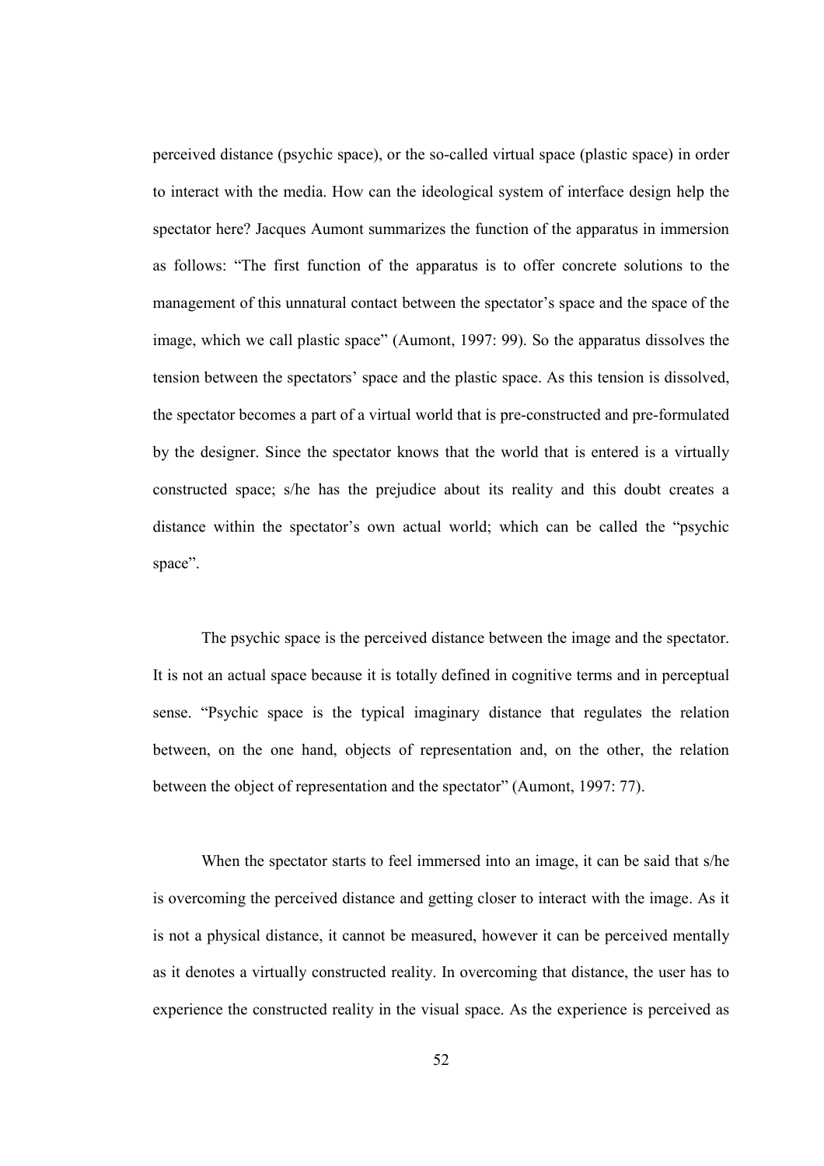perceived distance (psychic space), or the so-called virtual space (plastic space) in order to interact with the media. How can the ideological system of interface design help the spectator here? Jacques Aumont summarizes the function of the apparatus in immersion as follows: "The first function of the apparatus is to offer concrete solutions to the management of this unnatural contact between the spectator's space and the space of the image, which we call plastic space" (Aumont, 1997: 99). So the apparatus dissolves the tension between the spectators' space and the plastic space. As this tension is dissolved, the spectator becomes a part of a virtual world that is pre-constructed and pre-formulated by the designer. Since the spectator knows that the world that is entered is a virtually constructed space; s/he has the prejudice about its reality and this doubt creates a distance within the spectator's own actual world; which can be called the "psychic space".

The psychic space is the perceived distance between the image and the spectator. It is not an actual space because it is totally defined in cognitive terms and in perceptual sense. "Psychic space is the typical imaginary distance that regulates the relation between, on the one hand, objects of representation and, on the other, the relation between the object of representation and the spectator" (Aumont, 1997: 77).

When the spectator starts to feel immersed into an image, it can be said that s/he is overcoming the perceived distance and getting closer to interact with the image. As it is not a physical distance, it cannot be measured, however it can be perceived mentally as it denotes a virtually constructed reality. In overcoming that distance, the user has to experience the constructed reality in the visual space. As the experience is perceived as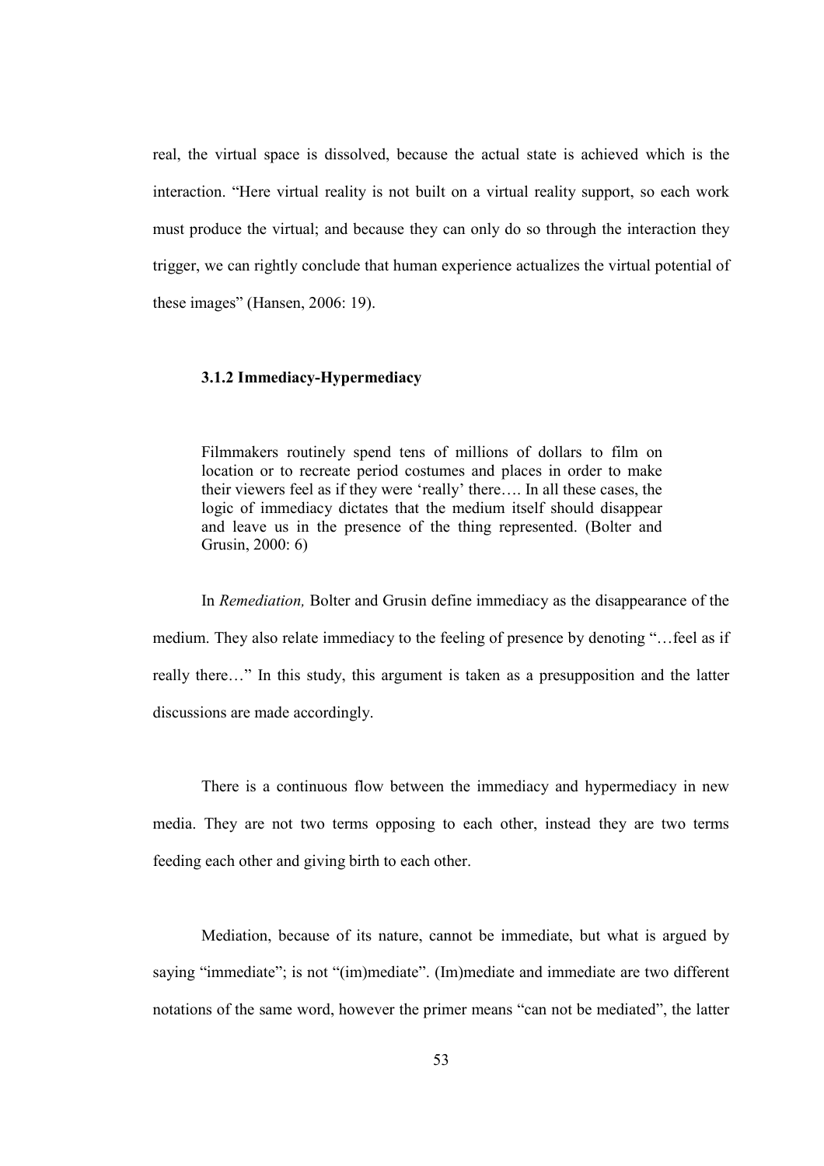real, the virtual space is dissolved, because the actual state is achieved which is the interaction. "Here virtual reality is not built on a virtual reality support, so each work must produce the virtual; and because they can only do so through the interaction they trigger, we can rightly conclude that human experience actualizes the virtual potential of these images" (Hansen, 2006: 19).

#### 3.1.2 Immediacy-Hypermediacy

Filmmakers routinely spend tens of millions of dollars to film on location or to recreate period costumes and places in order to make their viewers feel as if they were 'really' there…. In all these cases, the logic of immediacy dictates that the medium itself should disappear and leave us in the presence of the thing represented. (Bolter and Grusin, 2000: 6)

In Remediation, Bolter and Grusin define immediacy as the disappearance of the medium. They also relate immediacy to the feeling of presence by denoting "…feel as if really there…" In this study, this argument is taken as a presupposition and the latter discussions are made accordingly.

There is a continuous flow between the immediacy and hypermediacy in new media. They are not two terms opposing to each other, instead they are two terms feeding each other and giving birth to each other.

Mediation, because of its nature, cannot be immediate, but what is argued by saying "immediate"; is not "(im)mediate". (Im)mediate and immediate are two different notations of the same word, however the primer means "can not be mediated", the latter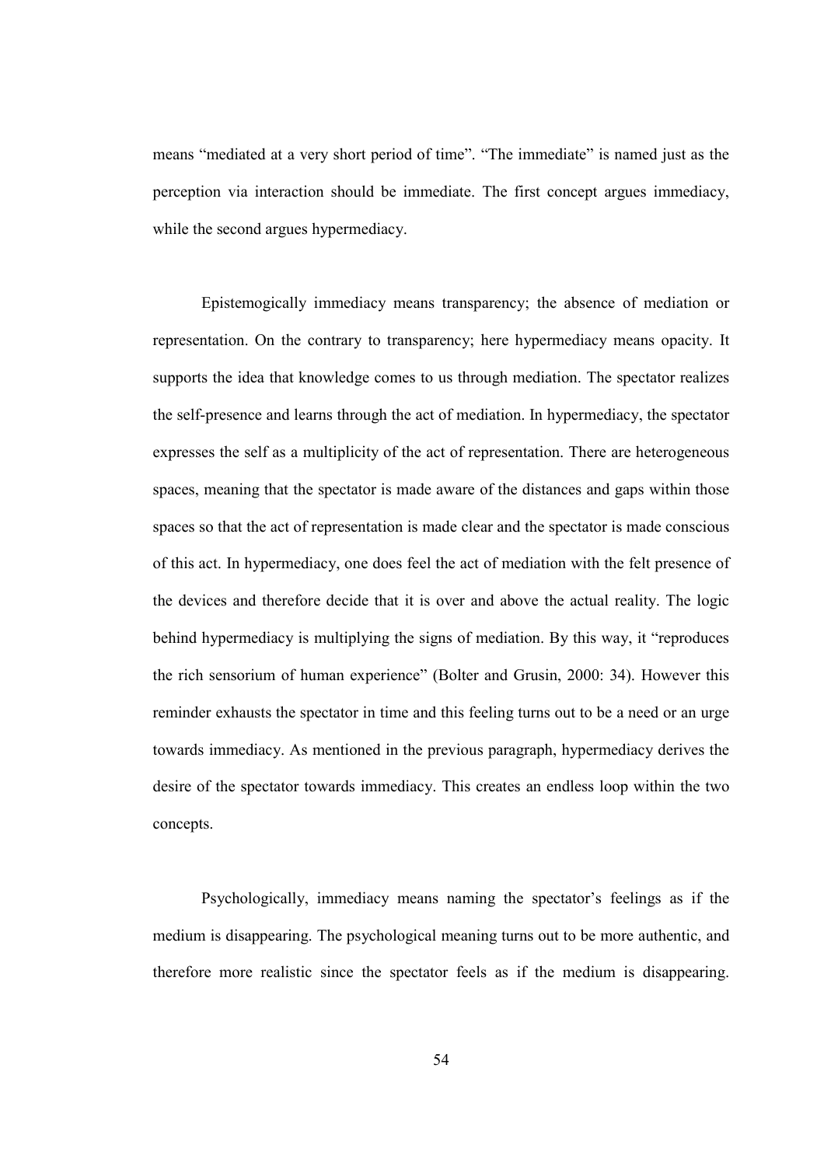means "mediated at a very short period of time". "The immediate" is named just as the perception via interaction should be immediate. The first concept argues immediacy, while the second argues hypermediacy.

Epistemogically immediacy means transparency; the absence of mediation or representation. On the contrary to transparency; here hypermediacy means opacity. It supports the idea that knowledge comes to us through mediation. The spectator realizes the self-presence and learns through the act of mediation. In hypermediacy, the spectator expresses the self as a multiplicity of the act of representation. There are heterogeneous spaces, meaning that the spectator is made aware of the distances and gaps within those spaces so that the act of representation is made clear and the spectator is made conscious of this act. In hypermediacy, one does feel the act of mediation with the felt presence of the devices and therefore decide that it is over and above the actual reality. The logic behind hypermediacy is multiplying the signs of mediation. By this way, it "reproduces the rich sensorium of human experience" (Bolter and Grusin, 2000: 34). However this reminder exhausts the spectator in time and this feeling turns out to be a need or an urge towards immediacy. As mentioned in the previous paragraph, hypermediacy derives the desire of the spectator towards immediacy. This creates an endless loop within the two concepts.

Psychologically, immediacy means naming the spectator's feelings as if the medium is disappearing. The psychological meaning turns out to be more authentic, and therefore more realistic since the spectator feels as if the medium is disappearing.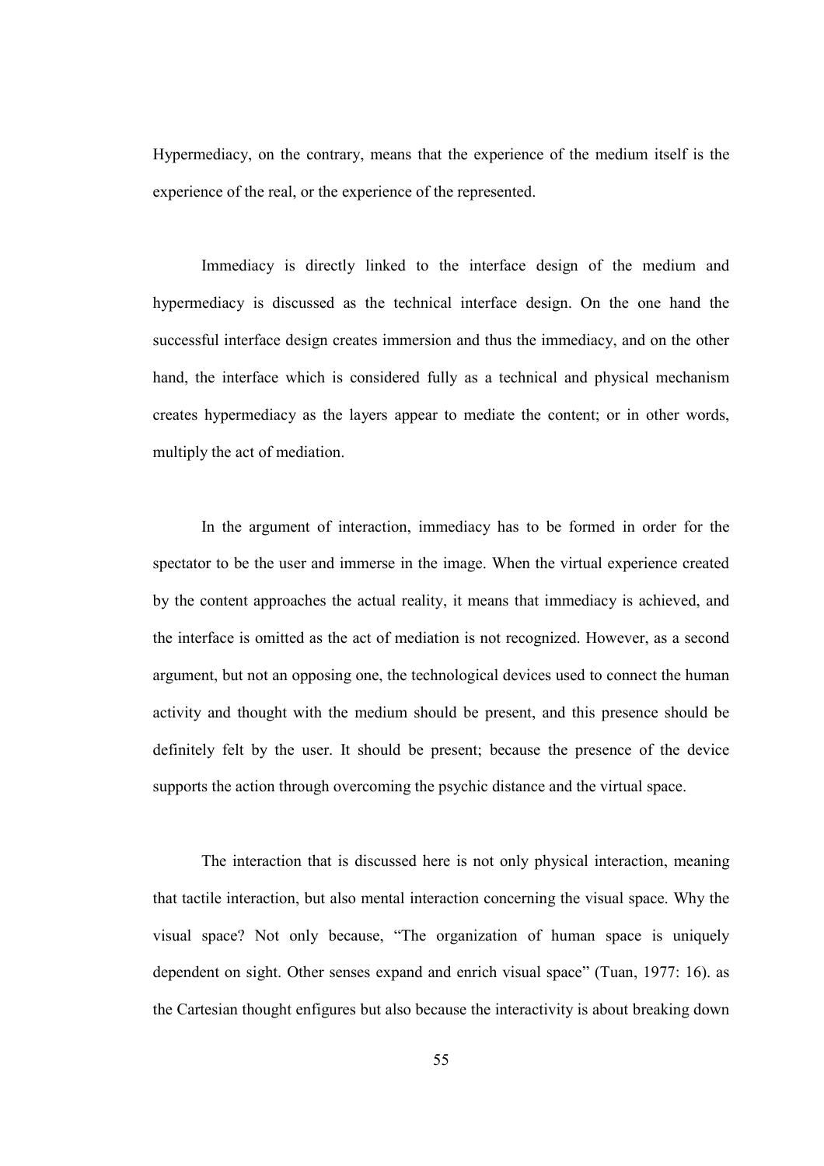Hypermediacy, on the contrary, means that the experience of the medium itself is the experience of the real, or the experience of the represented.

Immediacy is directly linked to the interface design of the medium and hypermediacy is discussed as the technical interface design. On the one hand the successful interface design creates immersion and thus the immediacy, and on the other hand, the interface which is considered fully as a technical and physical mechanism creates hypermediacy as the layers appear to mediate the content; or in other words, multiply the act of mediation.

In the argument of interaction, immediacy has to be formed in order for the spectator to be the user and immerse in the image. When the virtual experience created by the content approaches the actual reality, it means that immediacy is achieved, and the interface is omitted as the act of mediation is not recognized. However, as a second argument, but not an opposing one, the technological devices used to connect the human activity and thought with the medium should be present, and this presence should be definitely felt by the user. It should be present; because the presence of the device supports the action through overcoming the psychic distance and the virtual space.

The interaction that is discussed here is not only physical interaction, meaning that tactile interaction, but also mental interaction concerning the visual space. Why the visual space? Not only because, "The organization of human space is uniquely dependent on sight. Other senses expand and enrich visual space" (Tuan, 1977: 16). as the Cartesian thought enfigures but also because the interactivity is about breaking down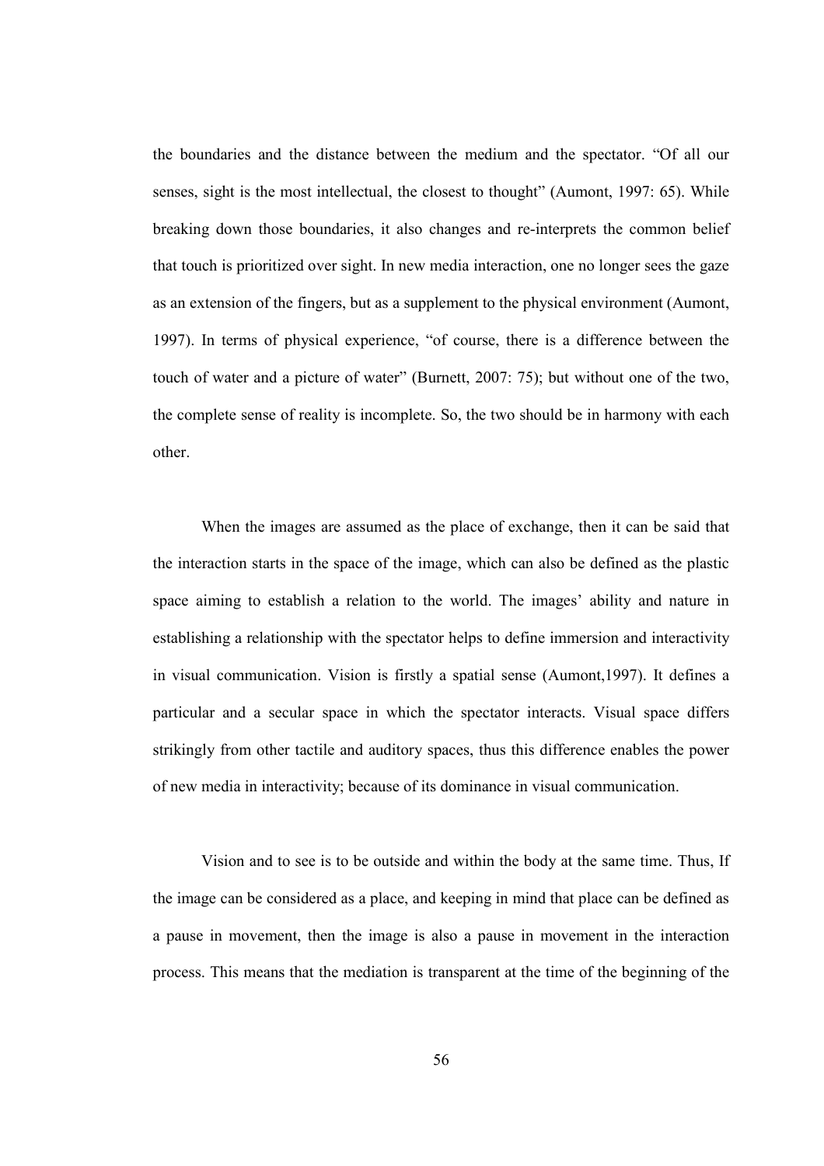the boundaries and the distance between the medium and the spectator. "Of all our senses, sight is the most intellectual, the closest to thought" (Aumont, 1997: 65). While breaking down those boundaries, it also changes and re-interprets the common belief that touch is prioritized over sight. In new media interaction, one no longer sees the gaze as an extension of the fingers, but as a supplement to the physical environment (Aumont, 1997). In terms of physical experience, "of course, there is a difference between the touch of water and a picture of water" (Burnett, 2007: 75); but without one of the two, the complete sense of reality is incomplete. So, the two should be in harmony with each other.

When the images are assumed as the place of exchange, then it can be said that the interaction starts in the space of the image, which can also be defined as the plastic space aiming to establish a relation to the world. The images' ability and nature in establishing a relationship with the spectator helps to define immersion and interactivity in visual communication. Vision is firstly a spatial sense (Aumont,1997). It defines a particular and a secular space in which the spectator interacts. Visual space differs strikingly from other tactile and auditory spaces, thus this difference enables the power of new media in interactivity; because of its dominance in visual communication.

Vision and to see is to be outside and within the body at the same time. Thus, If the image can be considered as a place, and keeping in mind that place can be defined as a pause in movement, then the image is also a pause in movement in the interaction process. This means that the mediation is transparent at the time of the beginning of the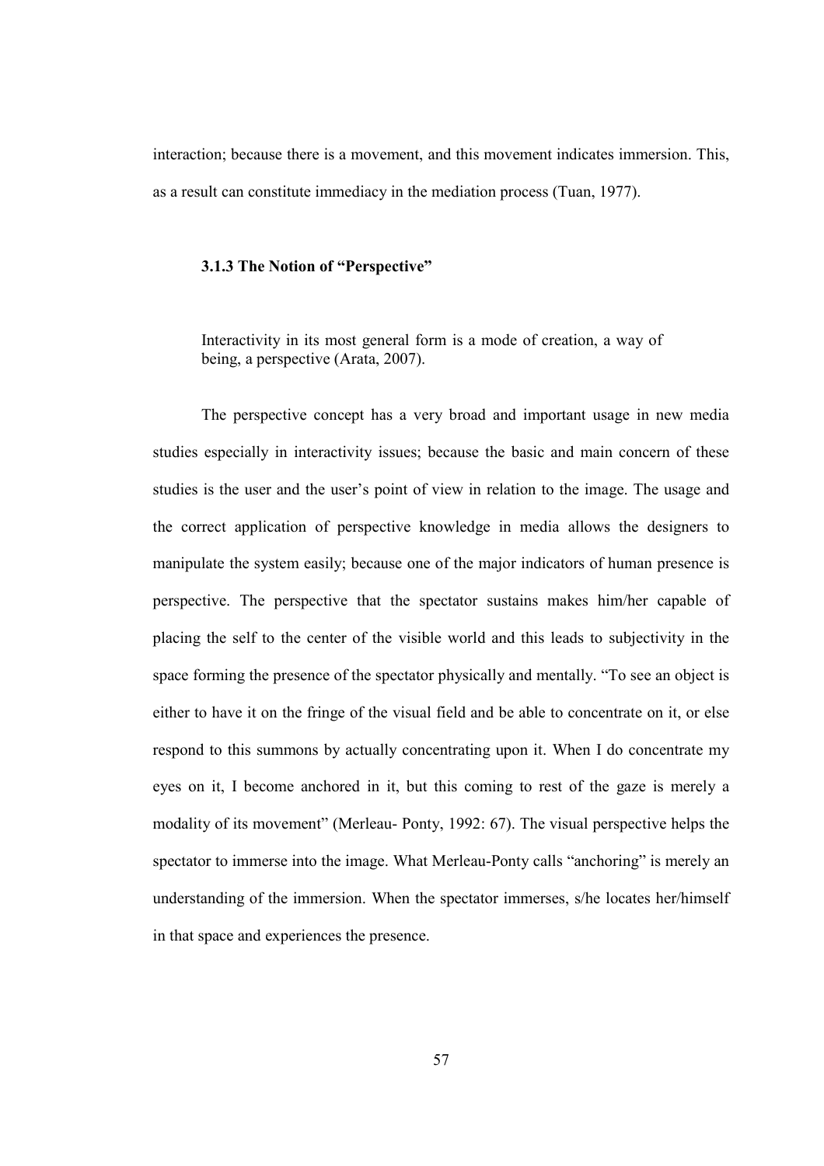interaction; because there is a movement, and this movement indicates immersion. This, as a result can constitute immediacy in the mediation process (Tuan, 1977).

# 3.1.3 The Notion of "Perspective"

Interactivity in its most general form is a mode of creation, a way of being, a perspective (Arata, 2007).

The perspective concept has a very broad and important usage in new media studies especially in interactivity issues; because the basic and main concern of these studies is the user and the user's point of view in relation to the image. The usage and the correct application of perspective knowledge in media allows the designers to manipulate the system easily; because one of the major indicators of human presence is perspective. The perspective that the spectator sustains makes him/her capable of placing the self to the center of the visible world and this leads to subjectivity in the space forming the presence of the spectator physically and mentally. "To see an object is either to have it on the fringe of the visual field and be able to concentrate on it, or else respond to this summons by actually concentrating upon it. When I do concentrate my eyes on it, I become anchored in it, but this coming to rest of the gaze is merely a modality of its movement" (Merleau- Ponty, 1992: 67). The visual perspective helps the spectator to immerse into the image. What Merleau-Ponty calls "anchoring" is merely an understanding of the immersion. When the spectator immerses, s/he locates her/himself in that space and experiences the presence.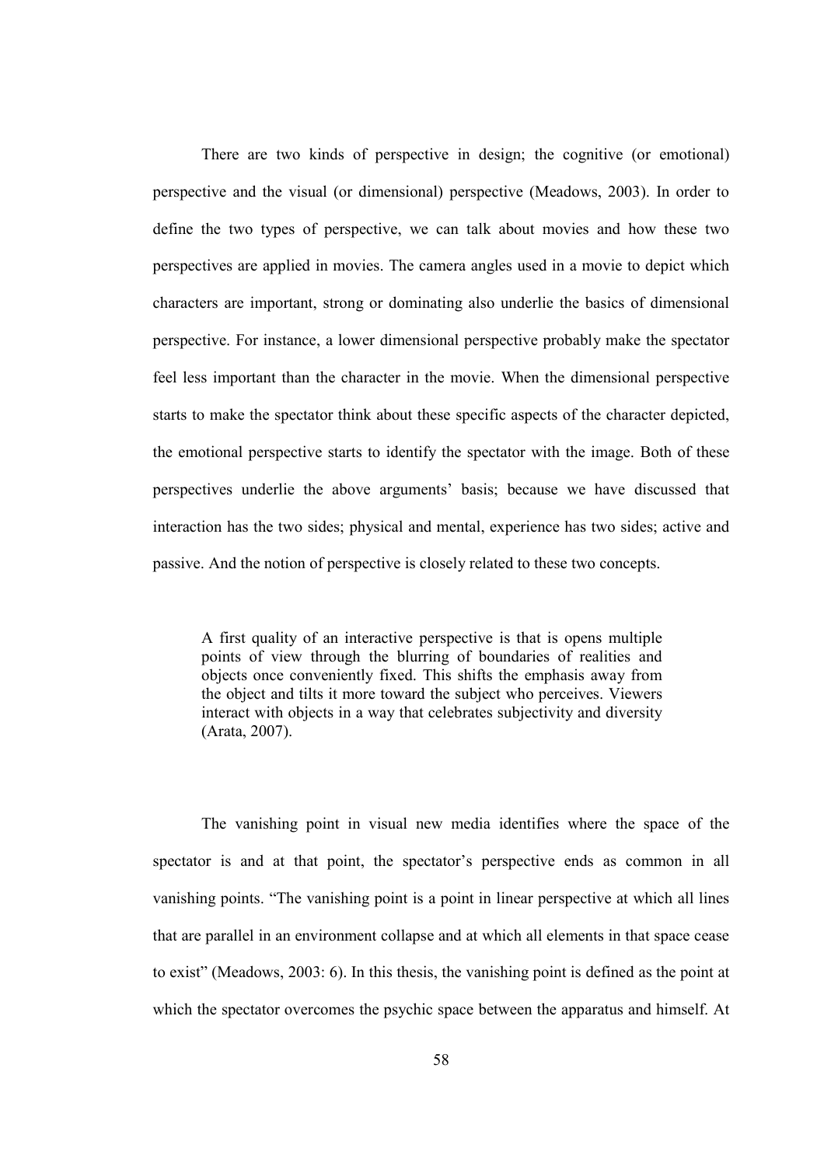There are two kinds of perspective in design; the cognitive (or emotional) perspective and the visual (or dimensional) perspective (Meadows, 2003). In order to define the two types of perspective, we can talk about movies and how these two perspectives are applied in movies. The camera angles used in a movie to depict which characters are important, strong or dominating also underlie the basics of dimensional perspective. For instance, a lower dimensional perspective probably make the spectator feel less important than the character in the movie. When the dimensional perspective starts to make the spectator think about these specific aspects of the character depicted, the emotional perspective starts to identify the spectator with the image. Both of these perspectives underlie the above arguments' basis; because we have discussed that interaction has the two sides; physical and mental, experience has two sides; active and passive. And the notion of perspective is closely related to these two concepts.

A first quality of an interactive perspective is that is opens multiple points of view through the blurring of boundaries of realities and objects once conveniently fixed. This shifts the emphasis away from the object and tilts it more toward the subject who perceives. Viewers interact with objects in a way that celebrates subjectivity and diversity (Arata, 2007).

The vanishing point in visual new media identifies where the space of the spectator is and at that point, the spectator's perspective ends as common in all vanishing points. "The vanishing point is a point in linear perspective at which all lines that are parallel in an environment collapse and at which all elements in that space cease to exist" (Meadows, 2003: 6). In this thesis, the vanishing point is defined as the point at which the spectator overcomes the psychic space between the apparatus and himself. At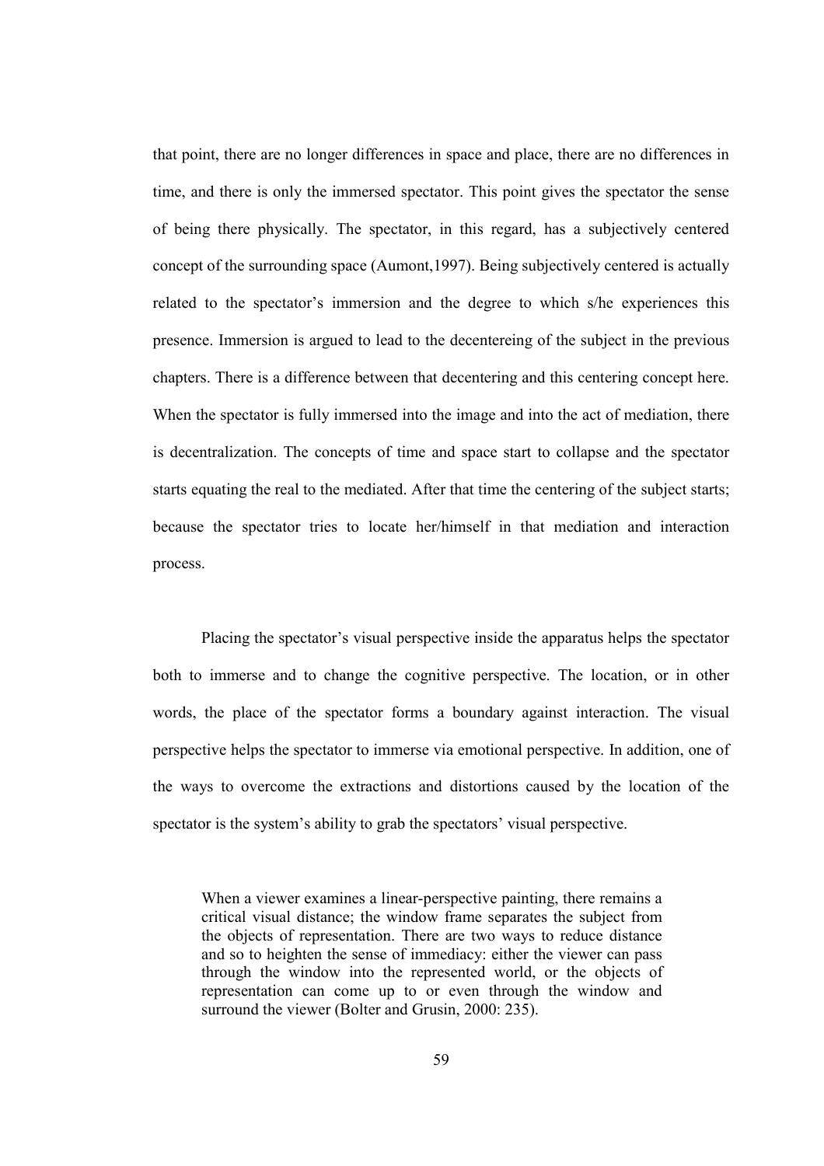that point, there are no longer differences in space and place, there are no differences in time, and there is only the immersed spectator. This point gives the spectator the sense of being there physically. The spectator, in this regard, has a subjectively centered concept of the surrounding space (Aumont,1997). Being subjectively centered is actually related to the spectator's immersion and the degree to which s/he experiences this presence. Immersion is argued to lead to the decentereing of the subject in the previous chapters. There is a difference between that decentering and this centering concept here. When the spectator is fully immersed into the image and into the act of mediation, there is decentralization. The concepts of time and space start to collapse and the spectator starts equating the real to the mediated. After that time the centering of the subject starts; because the spectator tries to locate her/himself in that mediation and interaction process.

Placing the spectator's visual perspective inside the apparatus helps the spectator both to immerse and to change the cognitive perspective. The location, or in other words, the place of the spectator forms a boundary against interaction. The visual perspective helps the spectator to immerse via emotional perspective. In addition, one of the ways to overcome the extractions and distortions caused by the location of the spectator is the system's ability to grab the spectators' visual perspective.

When a viewer examines a linear-perspective painting, there remains a critical visual distance; the window frame separates the subject from the objects of representation. There are two ways to reduce distance and so to heighten the sense of immediacy: either the viewer can pass through the window into the represented world, or the objects of representation can come up to or even through the window and surround the viewer (Bolter and Grusin, 2000: 235).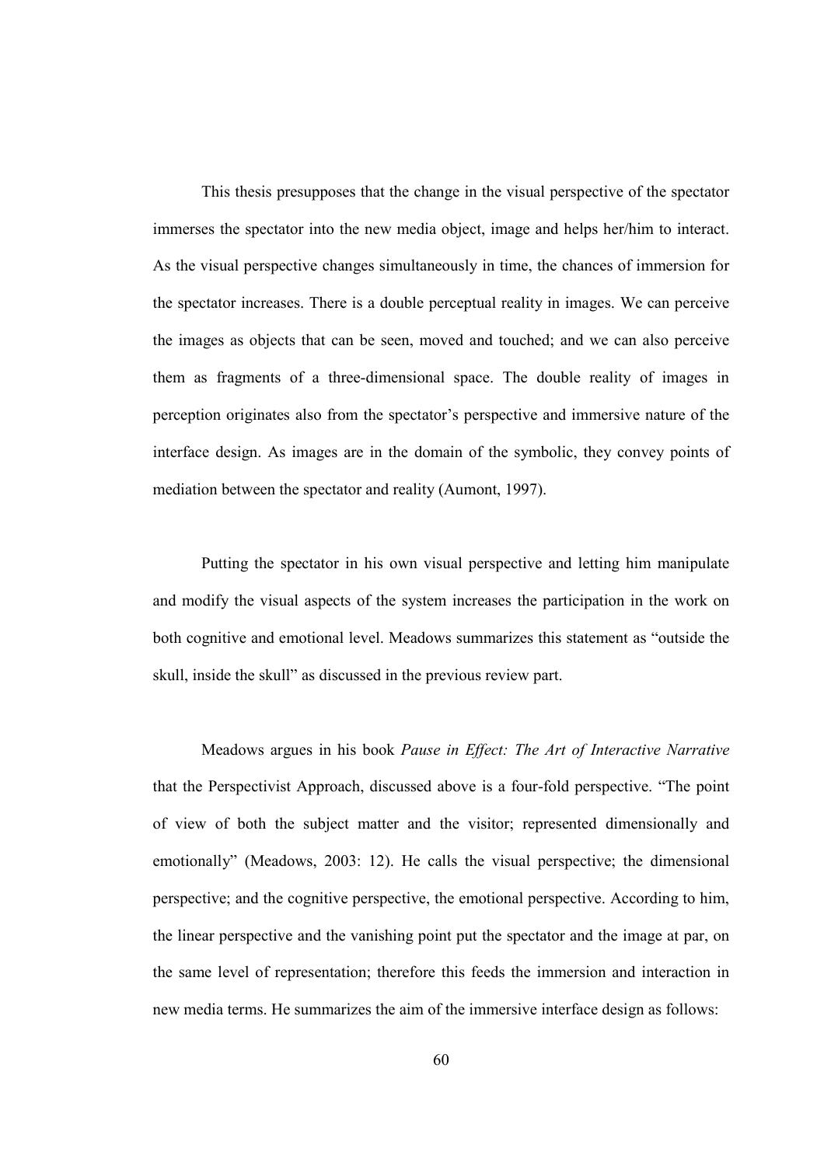This thesis presupposes that the change in the visual perspective of the spectator immerses the spectator into the new media object, image and helps her/him to interact. As the visual perspective changes simultaneously in time, the chances of immersion for the spectator increases. There is a double perceptual reality in images. We can perceive the images as objects that can be seen, moved and touched; and we can also perceive them as fragments of a three-dimensional space. The double reality of images in perception originates also from the spectator's perspective and immersive nature of the interface design. As images are in the domain of the symbolic, they convey points of mediation between the spectator and reality (Aumont, 1997).

Putting the spectator in his own visual perspective and letting him manipulate and modify the visual aspects of the system increases the participation in the work on both cognitive and emotional level. Meadows summarizes this statement as "outside the skull, inside the skull" as discussed in the previous review part.

Meadows argues in his book Pause in Effect: The Art of Interactive Narrative that the Perspectivist Approach, discussed above is a four-fold perspective. "The point of view of both the subject matter and the visitor; represented dimensionally and emotionally" (Meadows, 2003: 12). He calls the visual perspective; the dimensional perspective; and the cognitive perspective, the emotional perspective. According to him, the linear perspective and the vanishing point put the spectator and the image at par, on the same level of representation; therefore this feeds the immersion and interaction in new media terms. He summarizes the aim of the immersive interface design as follows: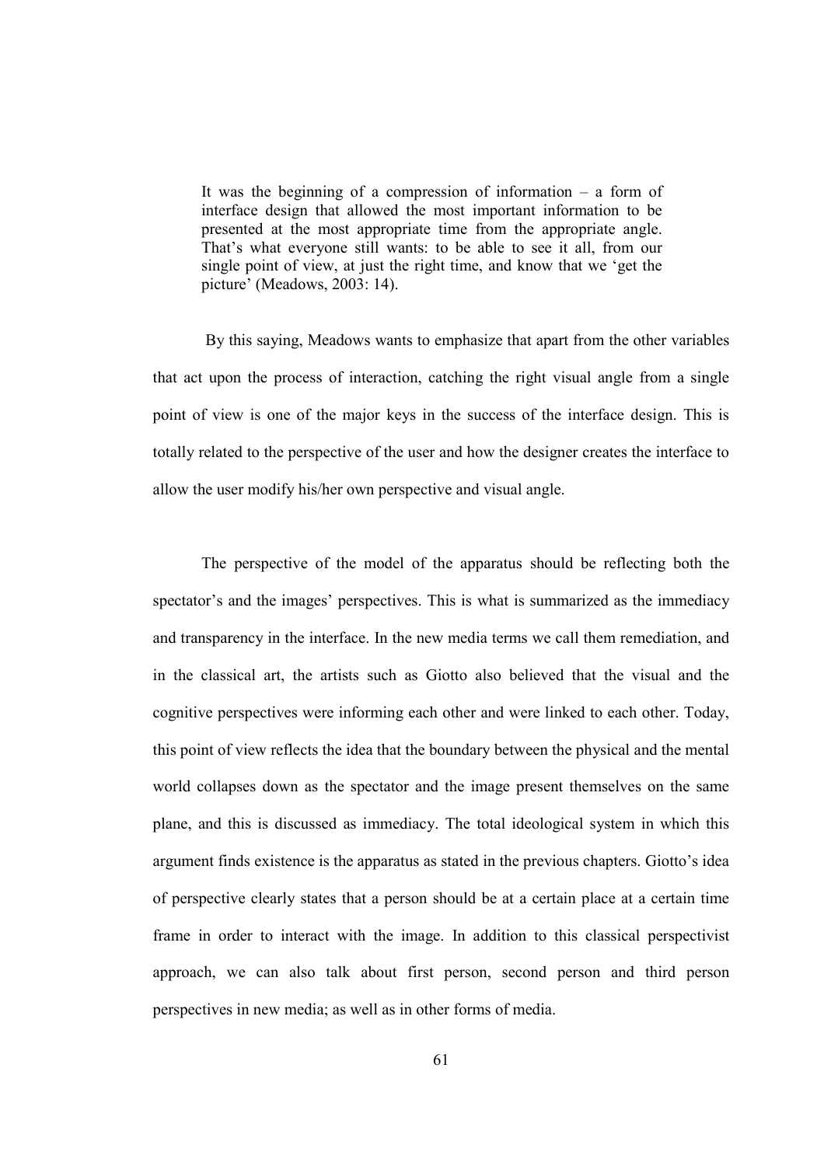It was the beginning of a compression of information – a form of interface design that allowed the most important information to be presented at the most appropriate time from the appropriate angle. That's what everyone still wants: to be able to see it all, from our single point of view, at just the right time, and know that we 'get the picture' (Meadows, 2003: 14).

 By this saying, Meadows wants to emphasize that apart from the other variables that act upon the process of interaction, catching the right visual angle from a single point of view is one of the major keys in the success of the interface design. This is totally related to the perspective of the user and how the designer creates the interface to allow the user modify his/her own perspective and visual angle.

The perspective of the model of the apparatus should be reflecting both the spectator's and the images' perspectives. This is what is summarized as the immediacy and transparency in the interface. In the new media terms we call them remediation, and in the classical art, the artists such as Giotto also believed that the visual and the cognitive perspectives were informing each other and were linked to each other. Today, this point of view reflects the idea that the boundary between the physical and the mental world collapses down as the spectator and the image present themselves on the same plane, and this is discussed as immediacy. The total ideological system in which this argument finds existence is the apparatus as stated in the previous chapters. Giotto's idea of perspective clearly states that a person should be at a certain place at a certain time frame in order to interact with the image. In addition to this classical perspectivist approach, we can also talk about first person, second person and third person perspectives in new media; as well as in other forms of media.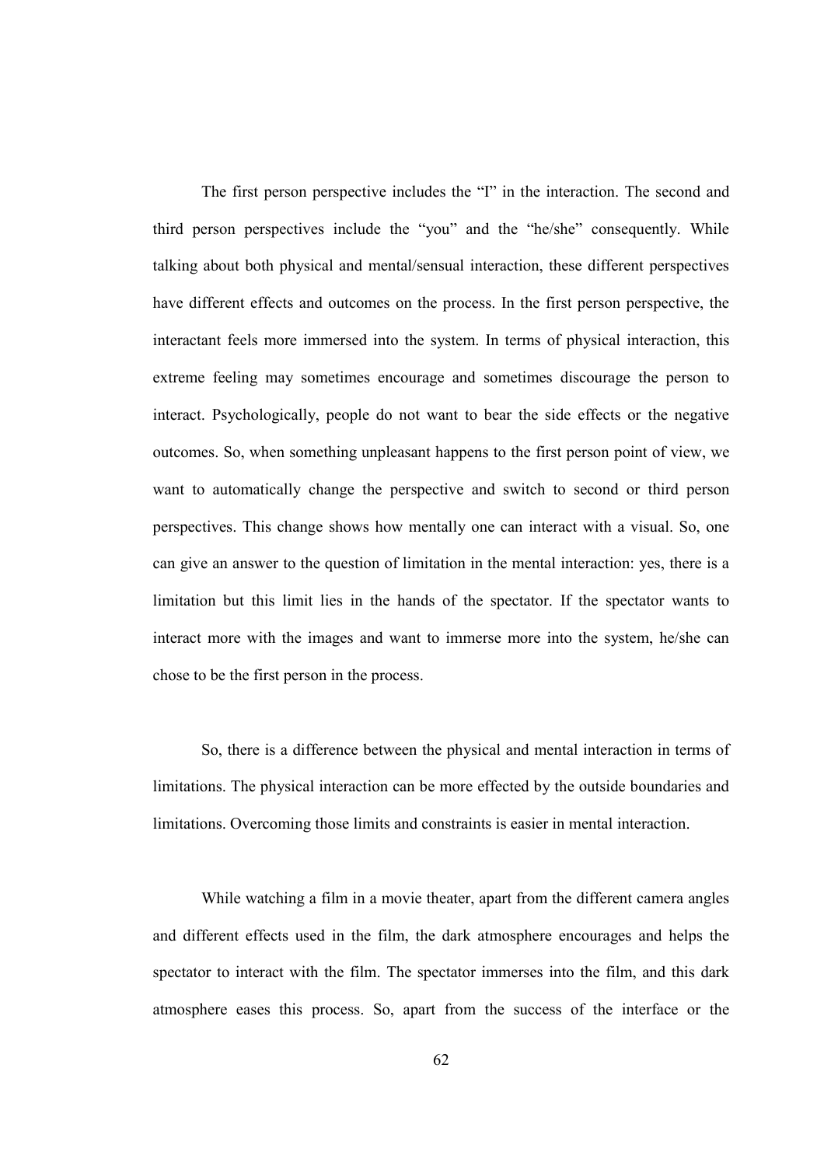The first person perspective includes the "I" in the interaction. The second and third person perspectives include the "you" and the "he/she" consequently. While talking about both physical and mental/sensual interaction, these different perspectives have different effects and outcomes on the process. In the first person perspective, the interactant feels more immersed into the system. In terms of physical interaction, this extreme feeling may sometimes encourage and sometimes discourage the person to interact. Psychologically, people do not want to bear the side effects or the negative outcomes. So, when something unpleasant happens to the first person point of view, we want to automatically change the perspective and switch to second or third person perspectives. This change shows how mentally one can interact with a visual. So, one can give an answer to the question of limitation in the mental interaction: yes, there is a limitation but this limit lies in the hands of the spectator. If the spectator wants to interact more with the images and want to immerse more into the system, he/she can chose to be the first person in the process.

So, there is a difference between the physical and mental interaction in terms of limitations. The physical interaction can be more effected by the outside boundaries and limitations. Overcoming those limits and constraints is easier in mental interaction.

While watching a film in a movie theater, apart from the different camera angles and different effects used in the film, the dark atmosphere encourages and helps the spectator to interact with the film. The spectator immerses into the film, and this dark atmosphere eases this process. So, apart from the success of the interface or the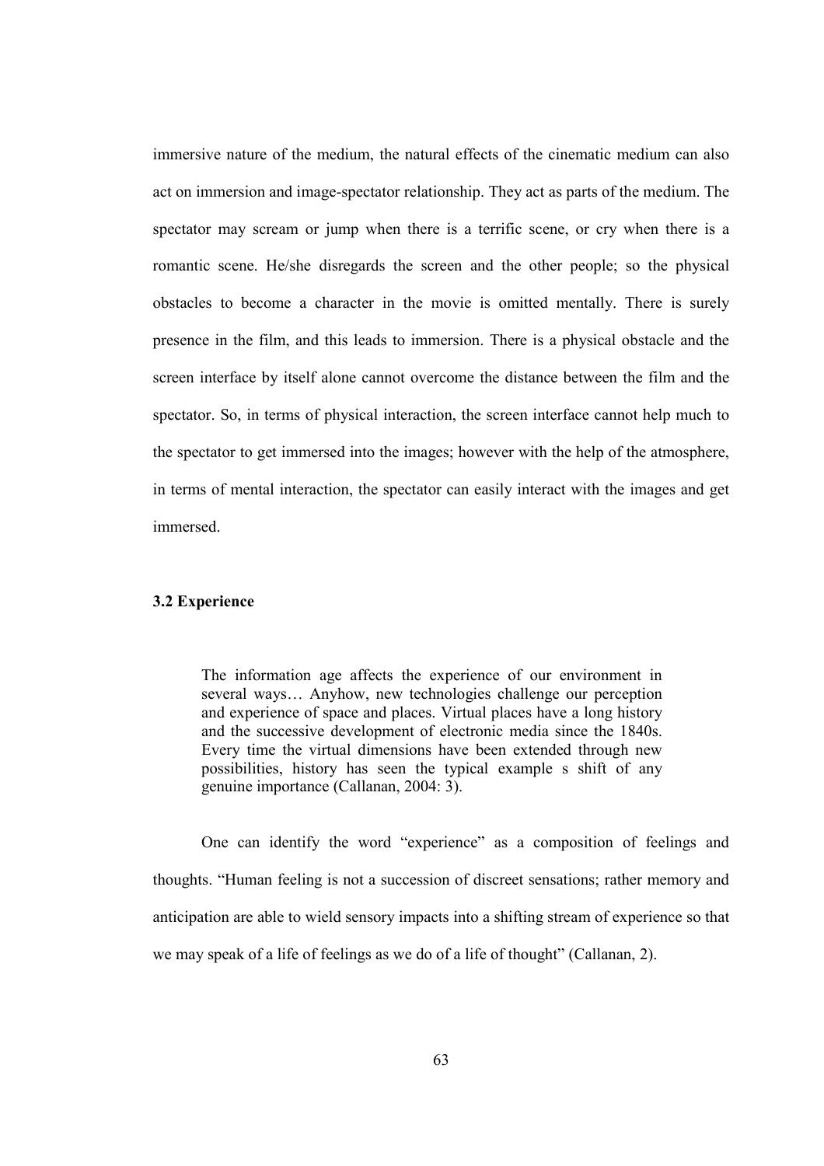immersive nature of the medium, the natural effects of the cinematic medium can also act on immersion and image-spectator relationship. They act as parts of the medium. The spectator may scream or jump when there is a terrific scene, or cry when there is a romantic scene. He/she disregards the screen and the other people; so the physical obstacles to become a character in the movie is omitted mentally. There is surely presence in the film, and this leads to immersion. There is a physical obstacle and the screen interface by itself alone cannot overcome the distance between the film and the spectator. So, in terms of physical interaction, the screen interface cannot help much to the spectator to get immersed into the images; however with the help of the atmosphere, in terms of mental interaction, the spectator can easily interact with the images and get immersed.

# 3.2 Experience

The information age affects the experience of our environment in several ways… Anyhow, new technologies challenge our perception and experience of space and places. Virtual places have a long history and the successive development of electronic media since the 1840s. Every time the virtual dimensions have been extended through new possibilities, history has seen the typical example s shift of any genuine importance (Callanan, 2004: 3).

One can identify the word "experience" as a composition of feelings and thoughts. "Human feeling is not a succession of discreet sensations; rather memory and anticipation are able to wield sensory impacts into a shifting stream of experience so that we may speak of a life of feelings as we do of a life of thought" (Callanan, 2).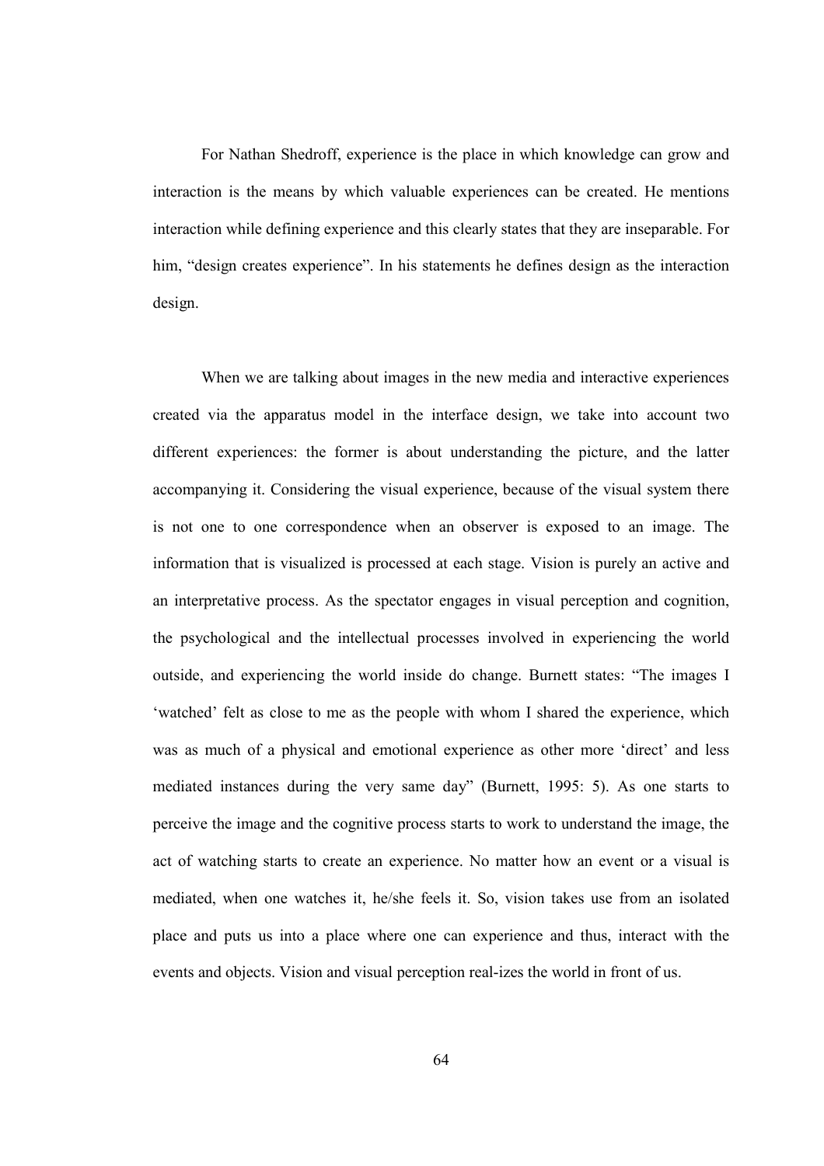For Nathan Shedroff, experience is the place in which knowledge can grow and interaction is the means by which valuable experiences can be created. He mentions interaction while defining experience and this clearly states that they are inseparable. For him, "design creates experience". In his statements he defines design as the interaction design.

When we are talking about images in the new media and interactive experiences created via the apparatus model in the interface design, we take into account two different experiences: the former is about understanding the picture, and the latter accompanying it. Considering the visual experience, because of the visual system there is not one to one correspondence when an observer is exposed to an image. The information that is visualized is processed at each stage. Vision is purely an active and an interpretative process. As the spectator engages in visual perception and cognition, the psychological and the intellectual processes involved in experiencing the world outside, and experiencing the world inside do change. Burnett states: "The images I 'watched' felt as close to me as the people with whom I shared the experience, which was as much of a physical and emotional experience as other more 'direct' and less mediated instances during the very same day" (Burnett, 1995: 5). As one starts to perceive the image and the cognitive process starts to work to understand the image, the act of watching starts to create an experience. No matter how an event or a visual is mediated, when one watches it, he/she feels it. So, vision takes use from an isolated place and puts us into a place where one can experience and thus, interact with the events and objects. Vision and visual perception real-izes the world in front of us.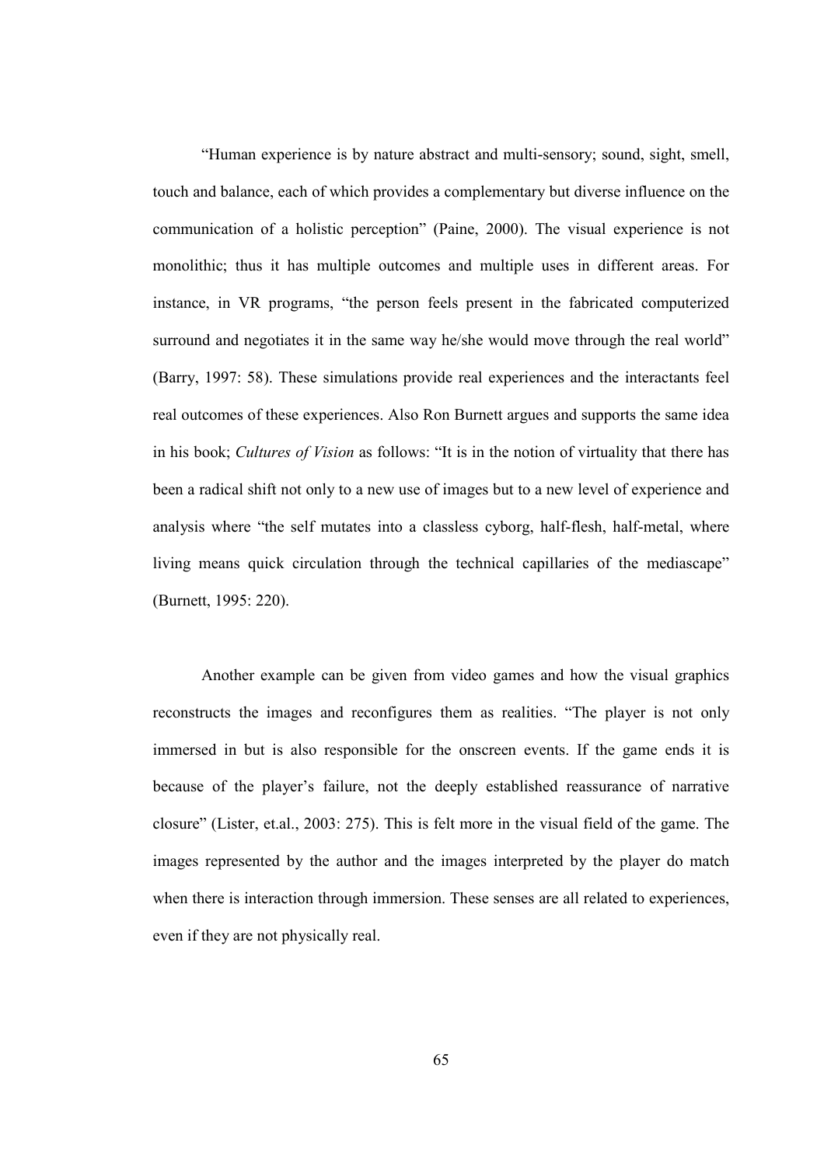"Human experience is by nature abstract and multi-sensory; sound, sight, smell, touch and balance, each of which provides a complementary but diverse influence on the communication of a holistic perception" (Paine, 2000). The visual experience is not monolithic; thus it has multiple outcomes and multiple uses in different areas. For instance, in VR programs, "the person feels present in the fabricated computerized surround and negotiates it in the same way he/she would move through the real world" (Barry, 1997: 58). These simulations provide real experiences and the interactants feel real outcomes of these experiences. Also Ron Burnett argues and supports the same idea in his book; Cultures of Vision as follows: "It is in the notion of virtuality that there has been a radical shift not only to a new use of images but to a new level of experience and analysis where "the self mutates into a classless cyborg, half-flesh, half-metal, where living means quick circulation through the technical capillaries of the mediascape" (Burnett, 1995: 220).

Another example can be given from video games and how the visual graphics reconstructs the images and reconfigures them as realities. "The player is not only immersed in but is also responsible for the onscreen events. If the game ends it is because of the player's failure, not the deeply established reassurance of narrative closure" (Lister, et.al., 2003: 275). This is felt more in the visual field of the game. The images represented by the author and the images interpreted by the player do match when there is interaction through immersion. These senses are all related to experiences, even if they are not physically real.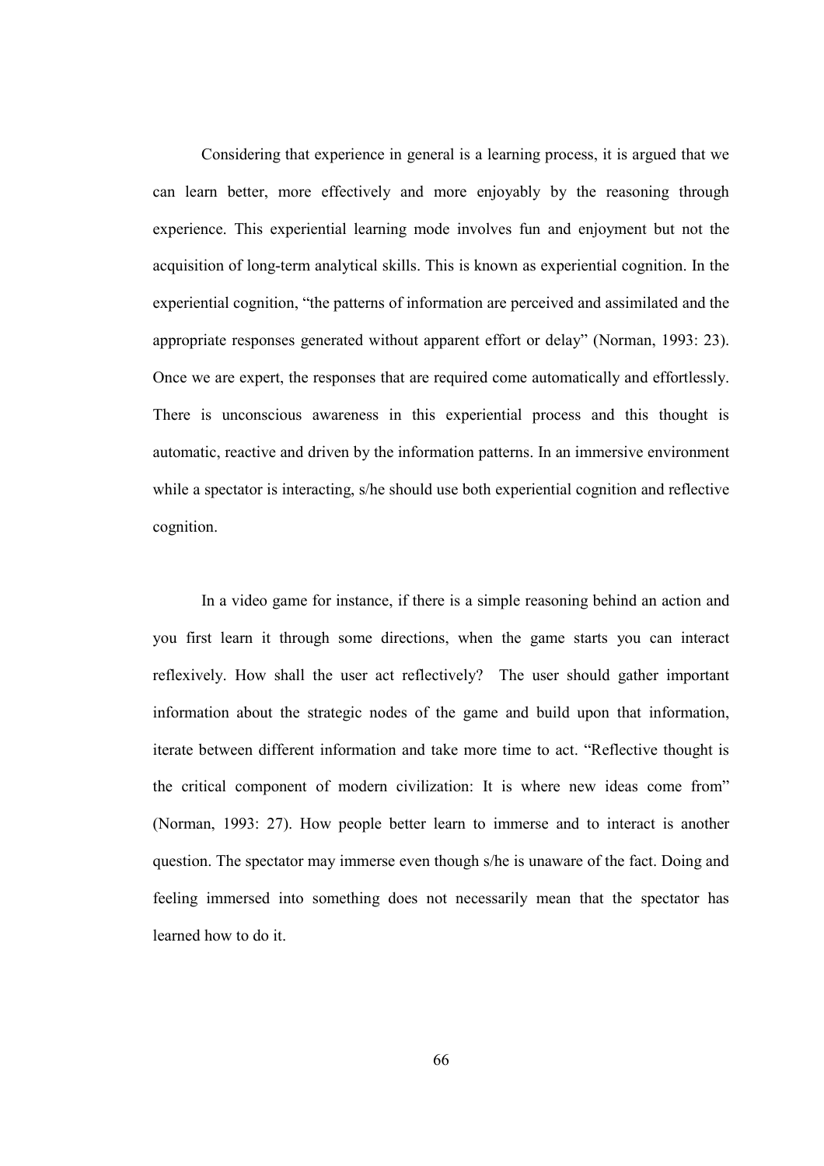Considering that experience in general is a learning process, it is argued that we can learn better, more effectively and more enjoyably by the reasoning through experience. This experiential learning mode involves fun and enjoyment but not the acquisition of long-term analytical skills. This is known as experiential cognition. In the experiential cognition, "the patterns of information are perceived and assimilated and the appropriate responses generated without apparent effort or delay" (Norman, 1993: 23). Once we are expert, the responses that are required come automatically and effortlessly. There is unconscious awareness in this experiential process and this thought is automatic, reactive and driven by the information patterns. In an immersive environment while a spectator is interacting, s/he should use both experiential cognition and reflective cognition.

In a video game for instance, if there is a simple reasoning behind an action and you first learn it through some directions, when the game starts you can interact reflexively. How shall the user act reflectively? The user should gather important information about the strategic nodes of the game and build upon that information, iterate between different information and take more time to act. "Reflective thought is the critical component of modern civilization: It is where new ideas come from" (Norman, 1993: 27). How people better learn to immerse and to interact is another question. The spectator may immerse even though s/he is unaware of the fact. Doing and feeling immersed into something does not necessarily mean that the spectator has learned how to do it.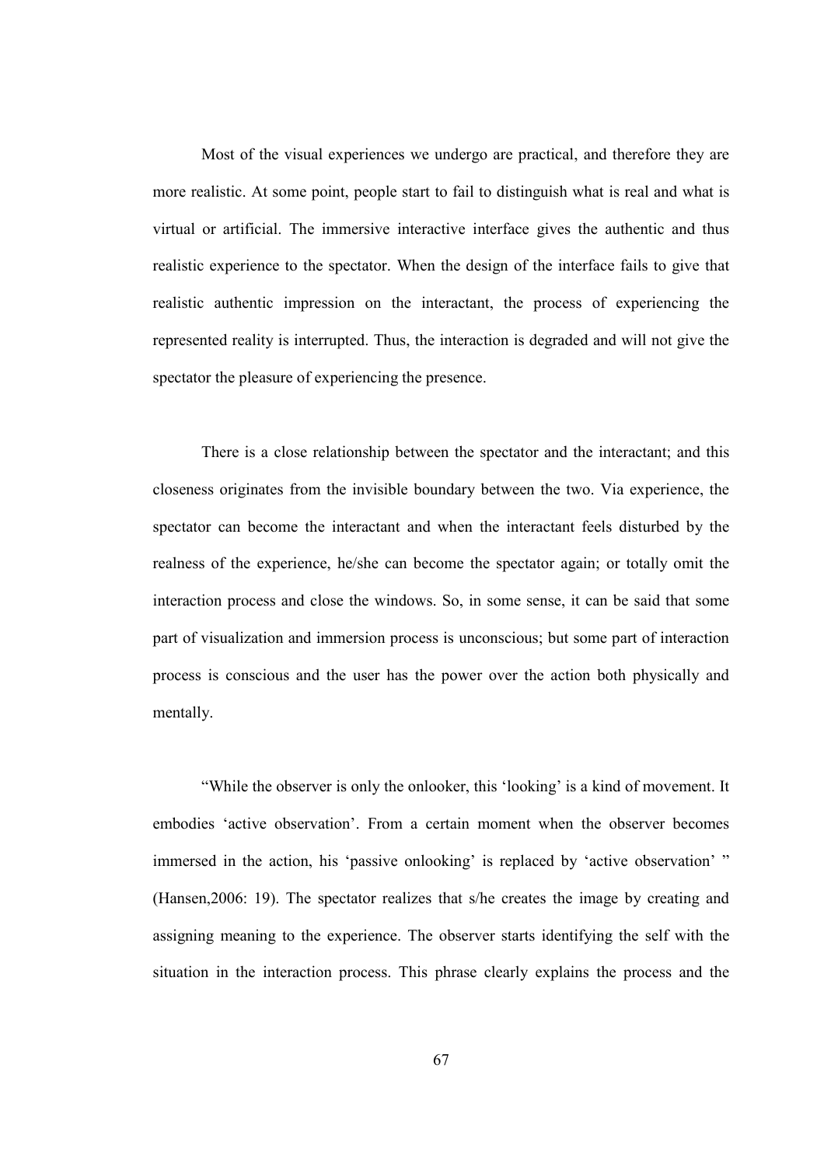Most of the visual experiences we undergo are practical, and therefore they are more realistic. At some point, people start to fail to distinguish what is real and what is virtual or artificial. The immersive interactive interface gives the authentic and thus realistic experience to the spectator. When the design of the interface fails to give that realistic authentic impression on the interactant, the process of experiencing the represented reality is interrupted. Thus, the interaction is degraded and will not give the spectator the pleasure of experiencing the presence.

There is a close relationship between the spectator and the interactant; and this closeness originates from the invisible boundary between the two. Via experience, the spectator can become the interactant and when the interactant feels disturbed by the realness of the experience, he/she can become the spectator again; or totally omit the interaction process and close the windows. So, in some sense, it can be said that some part of visualization and immersion process is unconscious; but some part of interaction process is conscious and the user has the power over the action both physically and mentally.

"While the observer is only the onlooker, this 'looking' is a kind of movement. It embodies 'active observation'. From a certain moment when the observer becomes immersed in the action, his 'passive onlooking' is replaced by 'active observation' " (Hansen,2006: 19). The spectator realizes that s/he creates the image by creating and assigning meaning to the experience. The observer starts identifying the self with the situation in the interaction process. This phrase clearly explains the process and the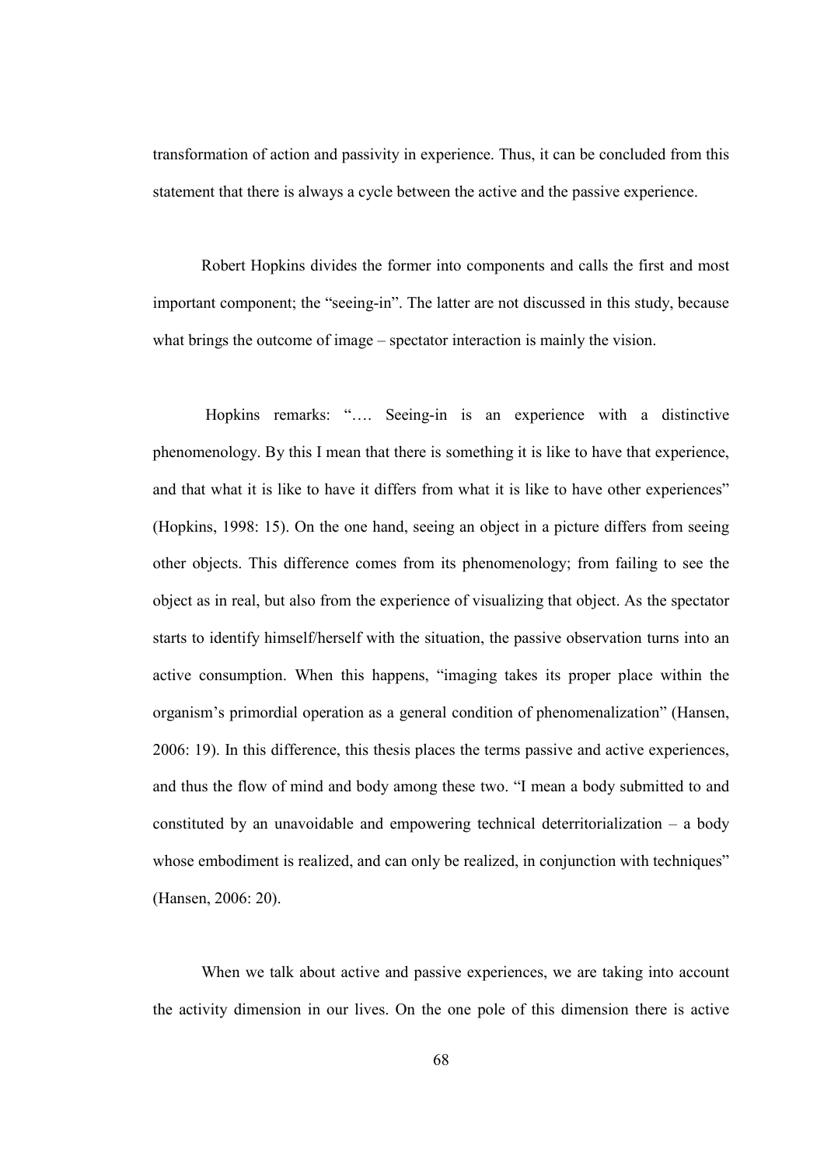transformation of action and passivity in experience. Thus, it can be concluded from this statement that there is always a cycle between the active and the passive experience.

Robert Hopkins divides the former into components and calls the first and most important component; the "seeing-in". The latter are not discussed in this study, because what brings the outcome of image – spectator interaction is mainly the vision.

 Hopkins remarks: "…. Seeing-in is an experience with a distinctive phenomenology. By this I mean that there is something it is like to have that experience, and that what it is like to have it differs from what it is like to have other experiences" (Hopkins, 1998: 15). On the one hand, seeing an object in a picture differs from seeing other objects. This difference comes from its phenomenology; from failing to see the object as in real, but also from the experience of visualizing that object. As the spectator starts to identify himself/herself with the situation, the passive observation turns into an active consumption. When this happens, "imaging takes its proper place within the organism's primordial operation as a general condition of phenomenalization" (Hansen, 2006: 19). In this difference, this thesis places the terms passive and active experiences, and thus the flow of mind and body among these two. "I mean a body submitted to and constituted by an unavoidable and empowering technical deterritorialization – a body whose embodiment is realized, and can only be realized, in conjunction with techniques" (Hansen, 2006: 20).

When we talk about active and passive experiences, we are taking into account the activity dimension in our lives. On the one pole of this dimension there is active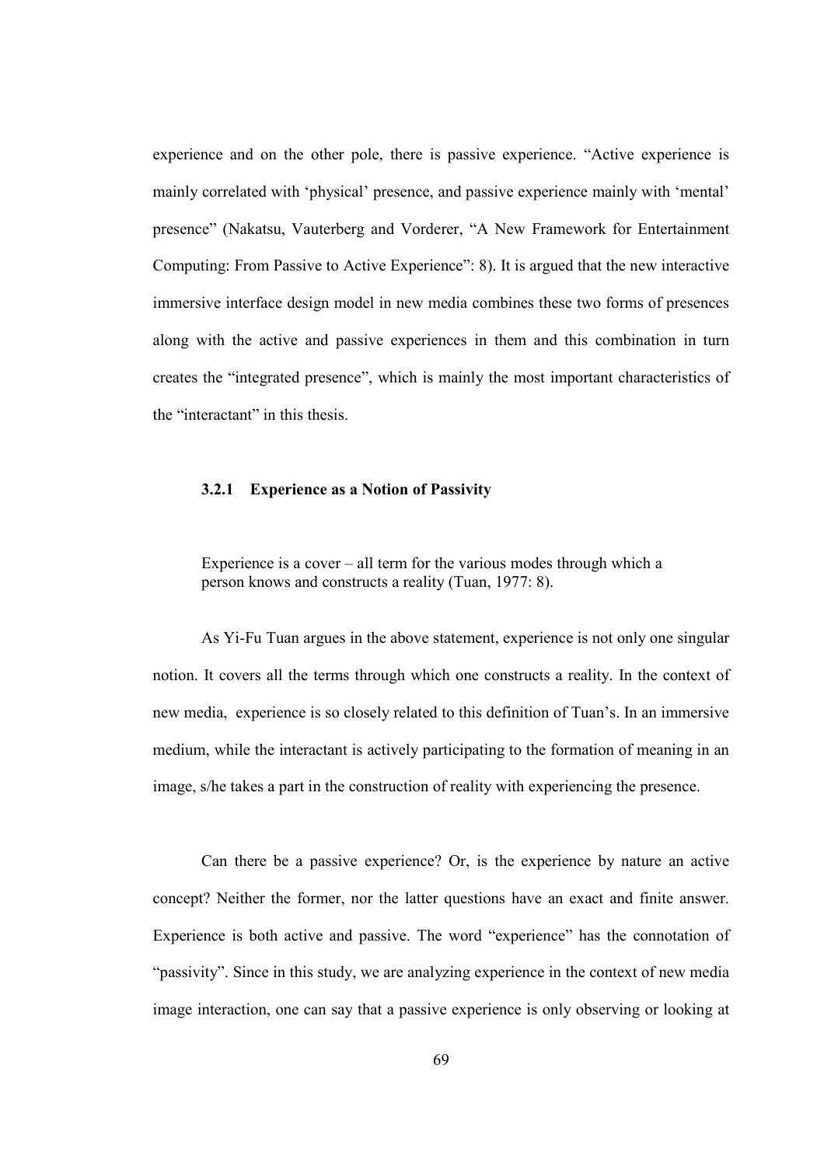experience and on the other pole, there is passive experience. "Active experience is mainly correlated with 'physical' presence, and passive experience mainly with 'mental' presence" (Nakatsu, Vauterberg and Vorderer, "A New Framework for Entertainment Computing: From Passive to Active Experience": 8). It is argued that the new interactive immersive interface design model in new media combines these two forms of presences along with the active and passive experiences in them and this combination in turn creates the "integrated presence", which is mainly the most important characteristics of the "interactant" in this thesis.

#### 3.2.1 Experience as a Notion of Passivity

Experience is a cover  $-$  all term for the various modes through which a person knows and constructs a reality (Tuan, 1977: 8).

As Yi-Fu Tuan argues in the above statement, experience is not only one singular notion. It covers all the terms through which one constructs a reality. In the context of new media, experience is so closely related to this definition of Tuan's. In an immersive medium, while the interactant is actively participating to the formation of meaning in an image, s/he takes a part in the construction of reality with experiencing the presence.

Can there be a passive experience? Or, is the experience by nature an active concept? Neither the former, nor the latter questions have an exact and finite answer. Experience is both active and passive. The word "experience" has the connotation of "passivity". Since in this study, we are analyzing experience in the context of new media image interaction, one can say that a passive experience is only observing or looking at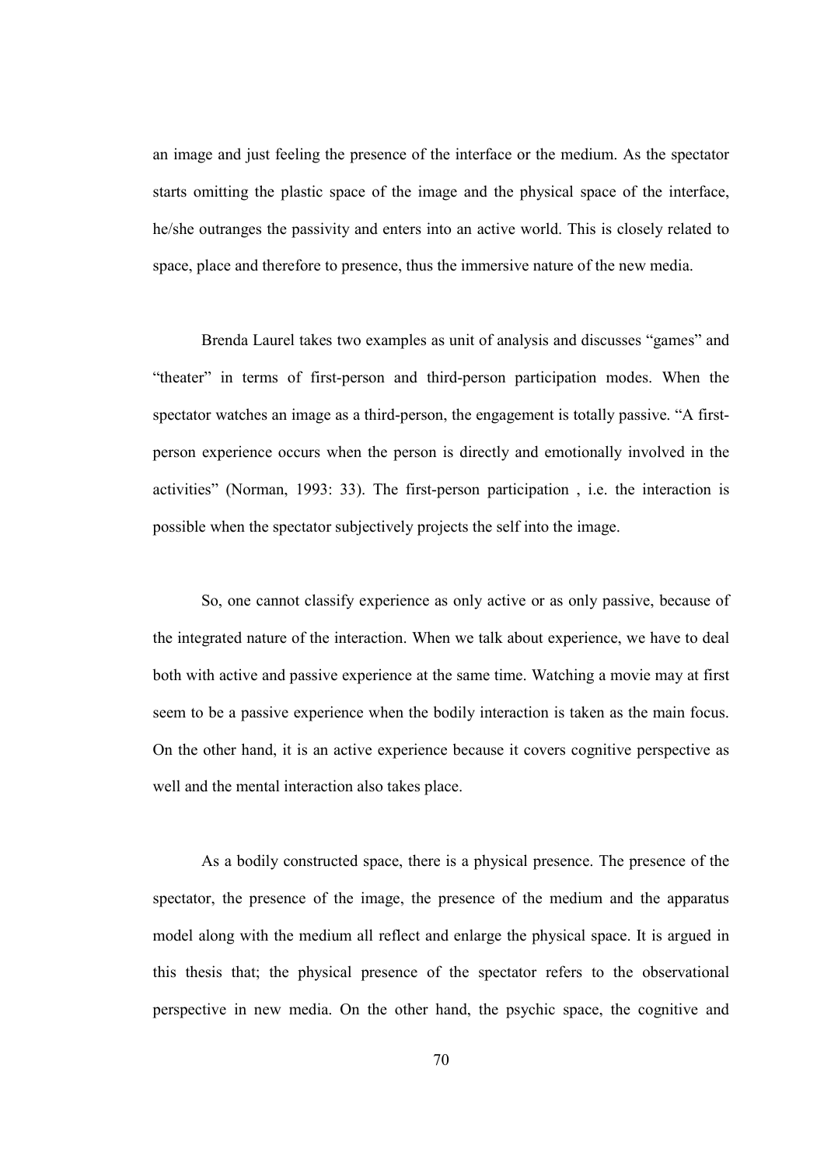an image and just feeling the presence of the interface or the medium. As the spectator starts omitting the plastic space of the image and the physical space of the interface, he/she outranges the passivity and enters into an active world. This is closely related to space, place and therefore to presence, thus the immersive nature of the new media.

Brenda Laurel takes two examples as unit of analysis and discusses "games" and "theater" in terms of first-person and third-person participation modes. When the spectator watches an image as a third-person, the engagement is totally passive. "A firstperson experience occurs when the person is directly and emotionally involved in the activities" (Norman, 1993: 33). The first-person participation , i.e. the interaction is possible when the spectator subjectively projects the self into the image.

So, one cannot classify experience as only active or as only passive, because of the integrated nature of the interaction. When we talk about experience, we have to deal both with active and passive experience at the same time. Watching a movie may at first seem to be a passive experience when the bodily interaction is taken as the main focus. On the other hand, it is an active experience because it covers cognitive perspective as well and the mental interaction also takes place.

As a bodily constructed space, there is a physical presence. The presence of the spectator, the presence of the image, the presence of the medium and the apparatus model along with the medium all reflect and enlarge the physical space. It is argued in this thesis that; the physical presence of the spectator refers to the observational perspective in new media. On the other hand, the psychic space, the cognitive and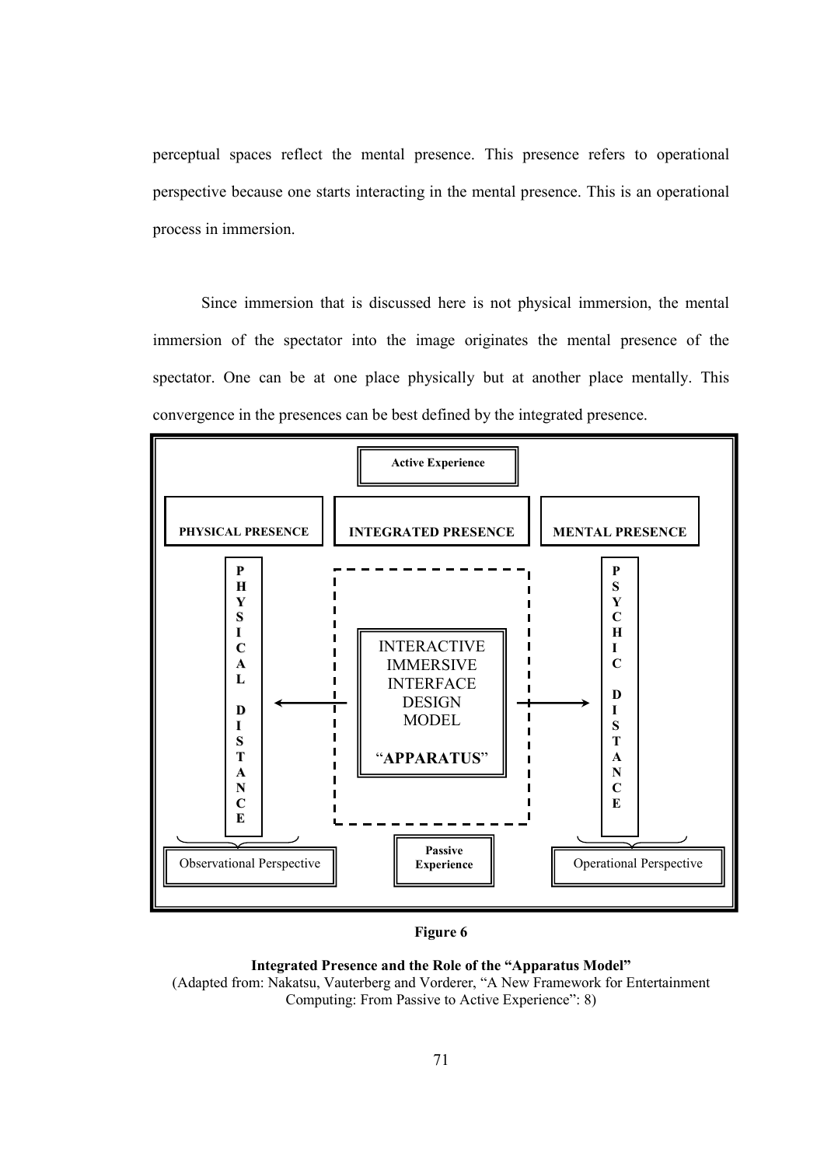perceptual spaces reflect the mental presence. This presence refers to operational perspective because one starts interacting in the mental presence. This is an operational process in immersion.

Since immersion that is discussed here is not physical immersion, the mental immersion of the spectator into the image originates the mental presence of the spectator. One can be at one place physically but at another place mentally. This convergence in the presences can be best defined by the integrated presence.



Figure 6

Integrated Presence and the Role of the "Apparatus Model" (Adapted from: Nakatsu, Vauterberg and Vorderer, "A New Framework for Entertainment Computing: From Passive to Active Experience": 8)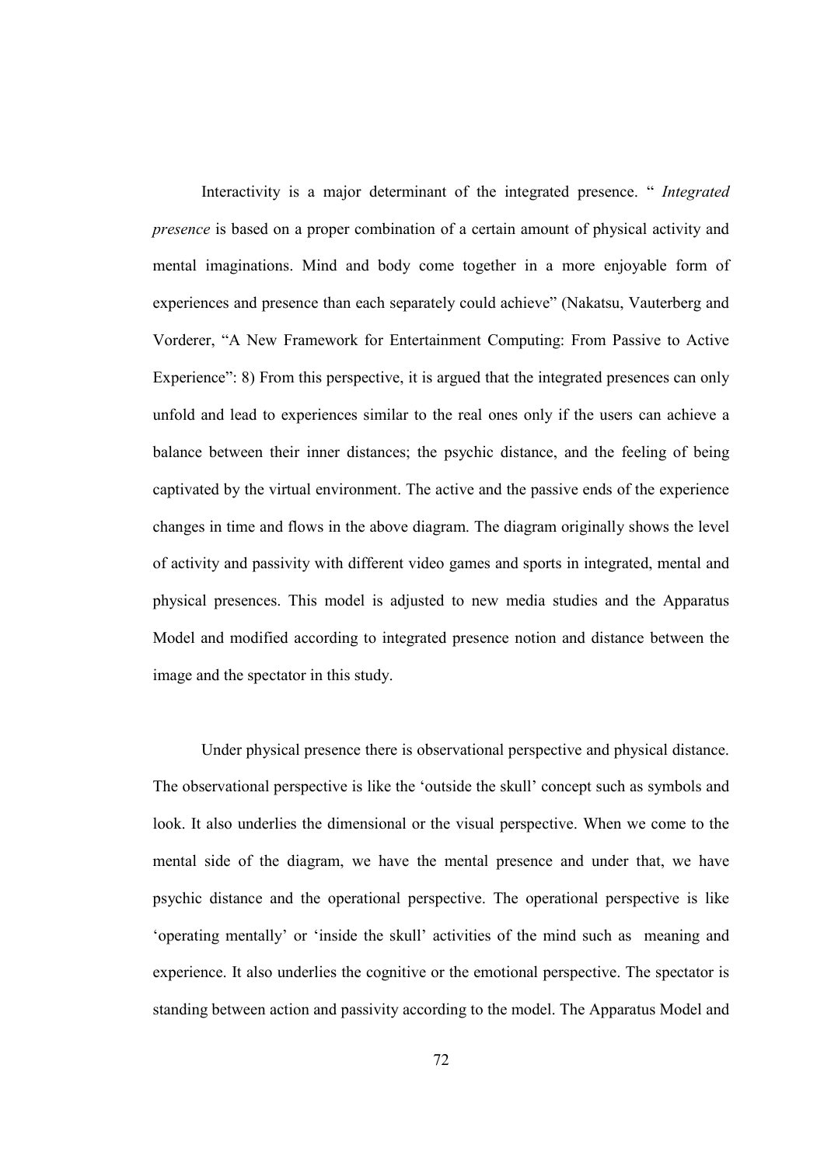Interactivity is a major determinant of the integrated presence. " Integrated presence is based on a proper combination of a certain amount of physical activity and mental imaginations. Mind and body come together in a more enjoyable form of experiences and presence than each separately could achieve" (Nakatsu, Vauterberg and Vorderer, "A New Framework for Entertainment Computing: From Passive to Active Experience": 8) From this perspective, it is argued that the integrated presences can only unfold and lead to experiences similar to the real ones only if the users can achieve a balance between their inner distances; the psychic distance, and the feeling of being captivated by the virtual environment. The active and the passive ends of the experience changes in time and flows in the above diagram. The diagram originally shows the level of activity and passivity with different video games and sports in integrated, mental and physical presences. This model is adjusted to new media studies and the Apparatus Model and modified according to integrated presence notion and distance between the image and the spectator in this study.

Under physical presence there is observational perspective and physical distance. The observational perspective is like the 'outside the skull' concept such as symbols and look. It also underlies the dimensional or the visual perspective. When we come to the mental side of the diagram, we have the mental presence and under that, we have psychic distance and the operational perspective. The operational perspective is like 'operating mentally' or 'inside the skull' activities of the mind such as meaning and experience. It also underlies the cognitive or the emotional perspective. The spectator is standing between action and passivity according to the model. The Apparatus Model and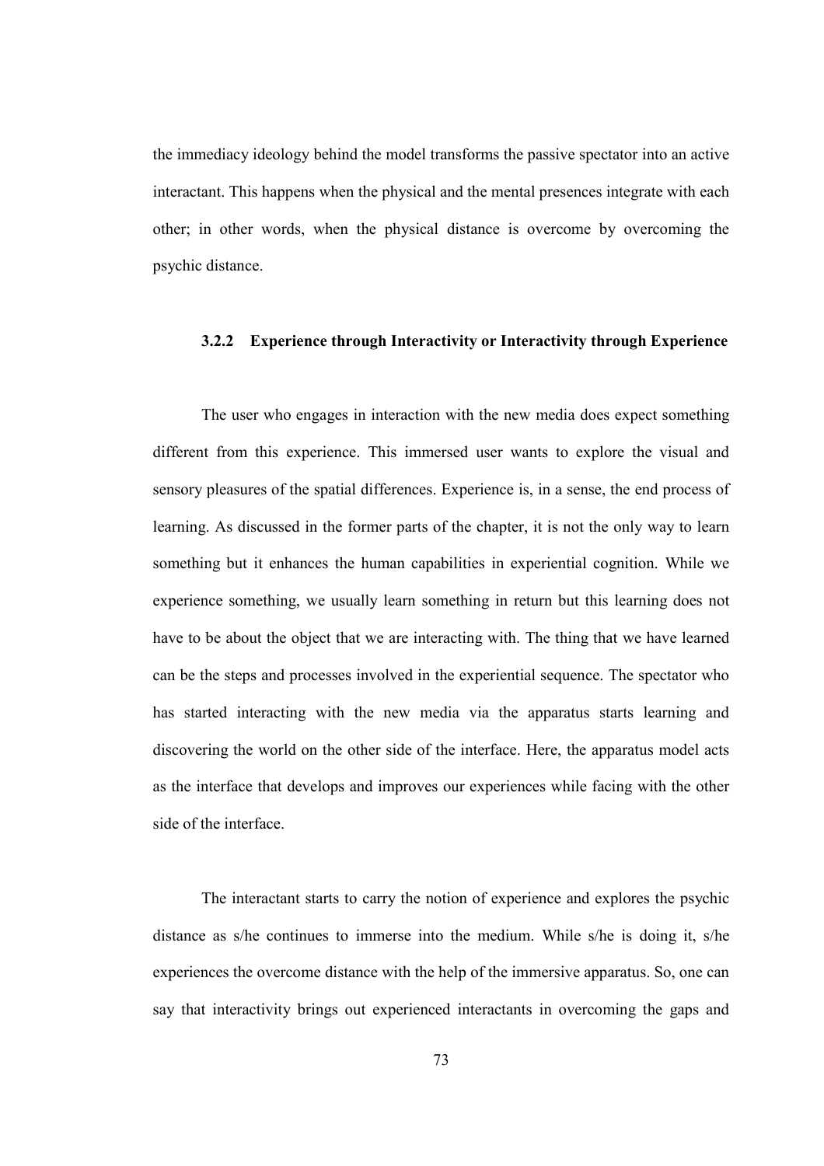the immediacy ideology behind the model transforms the passive spectator into an active interactant. This happens when the physical and the mental presences integrate with each other; in other words, when the physical distance is overcome by overcoming the psychic distance.

# 3.2.2 Experience through Interactivity or Interactivity through Experience

The user who engages in interaction with the new media does expect something different from this experience. This immersed user wants to explore the visual and sensory pleasures of the spatial differences. Experience is, in a sense, the end process of learning. As discussed in the former parts of the chapter, it is not the only way to learn something but it enhances the human capabilities in experiential cognition. While we experience something, we usually learn something in return but this learning does not have to be about the object that we are interacting with. The thing that we have learned can be the steps and processes involved in the experiential sequence. The spectator who has started interacting with the new media via the apparatus starts learning and discovering the world on the other side of the interface. Here, the apparatus model acts as the interface that develops and improves our experiences while facing with the other side of the interface.

The interactant starts to carry the notion of experience and explores the psychic distance as s/he continues to immerse into the medium. While s/he is doing it, s/he experiences the overcome distance with the help of the immersive apparatus. So, one can say that interactivity brings out experienced interactants in overcoming the gaps and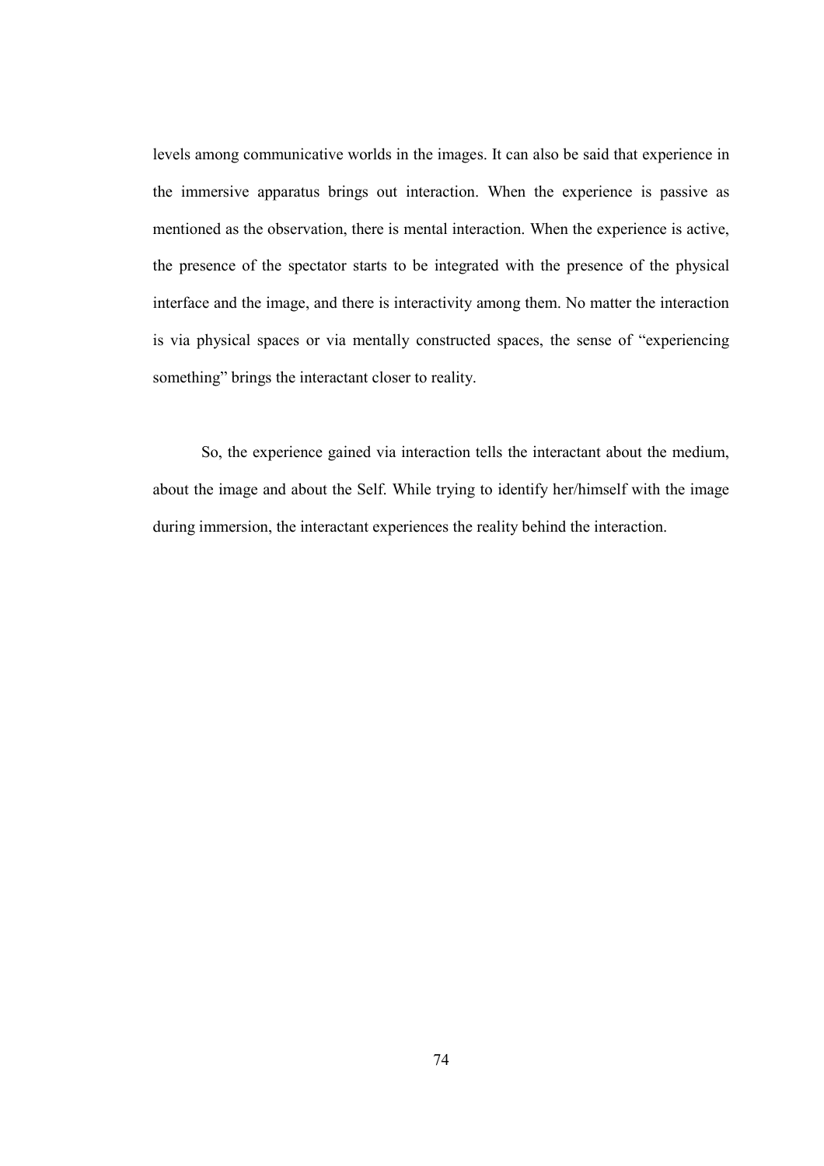levels among communicative worlds in the images. It can also be said that experience in the immersive apparatus brings out interaction. When the experience is passive as mentioned as the observation, there is mental interaction. When the experience is active, the presence of the spectator starts to be integrated with the presence of the physical interface and the image, and there is interactivity among them. No matter the interaction is via physical spaces or via mentally constructed spaces, the sense of "experiencing something" brings the interactant closer to reality.

So, the experience gained via interaction tells the interactant about the medium, about the image and about the Self. While trying to identify her/himself with the image during immersion, the interactant experiences the reality behind the interaction.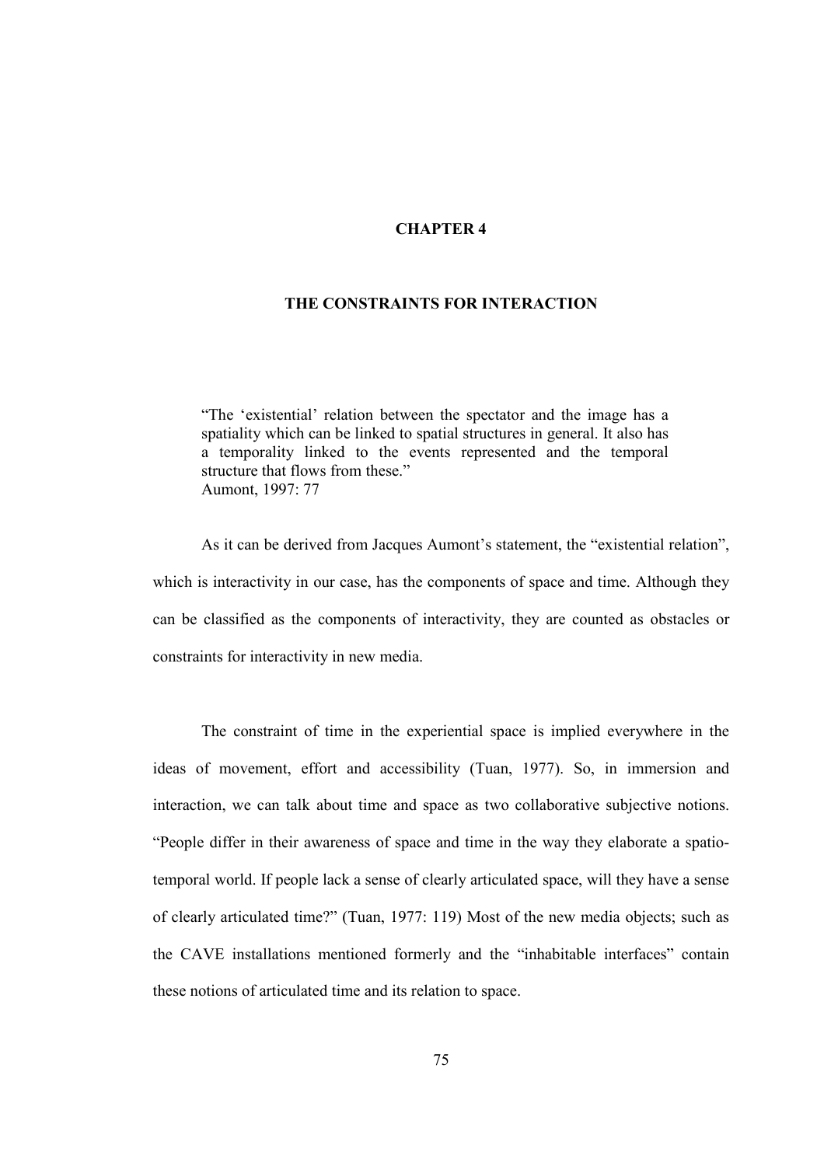## CHAPTER 4

## THE CONSTRAINTS FOR INTERACTION

"The 'existential' relation between the spectator and the image has a spatiality which can be linked to spatial structures in general. It also has a temporality linked to the events represented and the temporal structure that flows from these." Aumont, 1997: 77

As it can be derived from Jacques Aumont's statement, the "existential relation", which is interactivity in our case, has the components of space and time. Although they can be classified as the components of interactivity, they are counted as obstacles or constraints for interactivity in new media.

The constraint of time in the experiential space is implied everywhere in the ideas of movement, effort and accessibility (Tuan, 1977). So, in immersion and interaction, we can talk about time and space as two collaborative subjective notions. "People differ in their awareness of space and time in the way they elaborate a spatiotemporal world. If people lack a sense of clearly articulated space, will they have a sense of clearly articulated time?" (Tuan, 1977: 119) Most of the new media objects; such as the CAVE installations mentioned formerly and the "inhabitable interfaces" contain these notions of articulated time and its relation to space.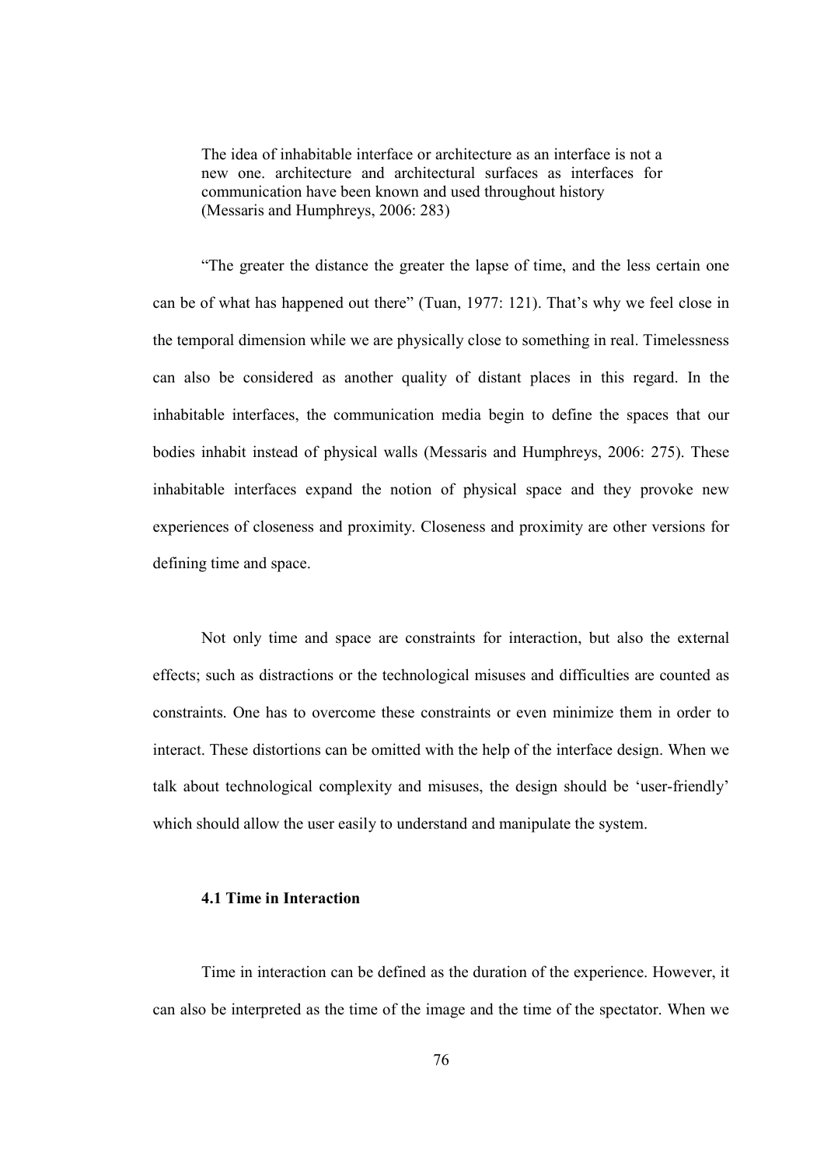The idea of inhabitable interface or architecture as an interface is not a new one. architecture and architectural surfaces as interfaces for communication have been known and used throughout history (Messaris and Humphreys, 2006: 283) I

"The greater the distance the greater the lapse of time, and the less certain one can be of what has happened out there" (Tuan, 1977: 121). That's why we feel close in the temporal dimension while we are physically close to something in real. Timelessness can also be considered as another quality of distant places in this regard. In the inhabitable interfaces, the communication media begin to define the spaces that our bodies inhabit instead of physical walls (Messaris and Humphreys, 2006: 275). These inhabitable interfaces expand the notion of physical space and they provoke new experiences of closeness and proximity. Closeness and proximity are other versions for defining time and space.

Not only time and space are constraints for interaction, but also the external effects; such as distractions or the technological misuses and difficulties are counted as constraints. One has to overcome these constraints or even minimize them in order to interact. These distortions can be omitted with the help of the interface design. When we talk about technological complexity and misuses, the design should be 'user-friendly' which should allow the user easily to understand and manipulate the system.

## 4.1 Time in Interaction

Time in interaction can be defined as the duration of the experience. However, it can also be interpreted as the time of the image and the time of the spectator. When we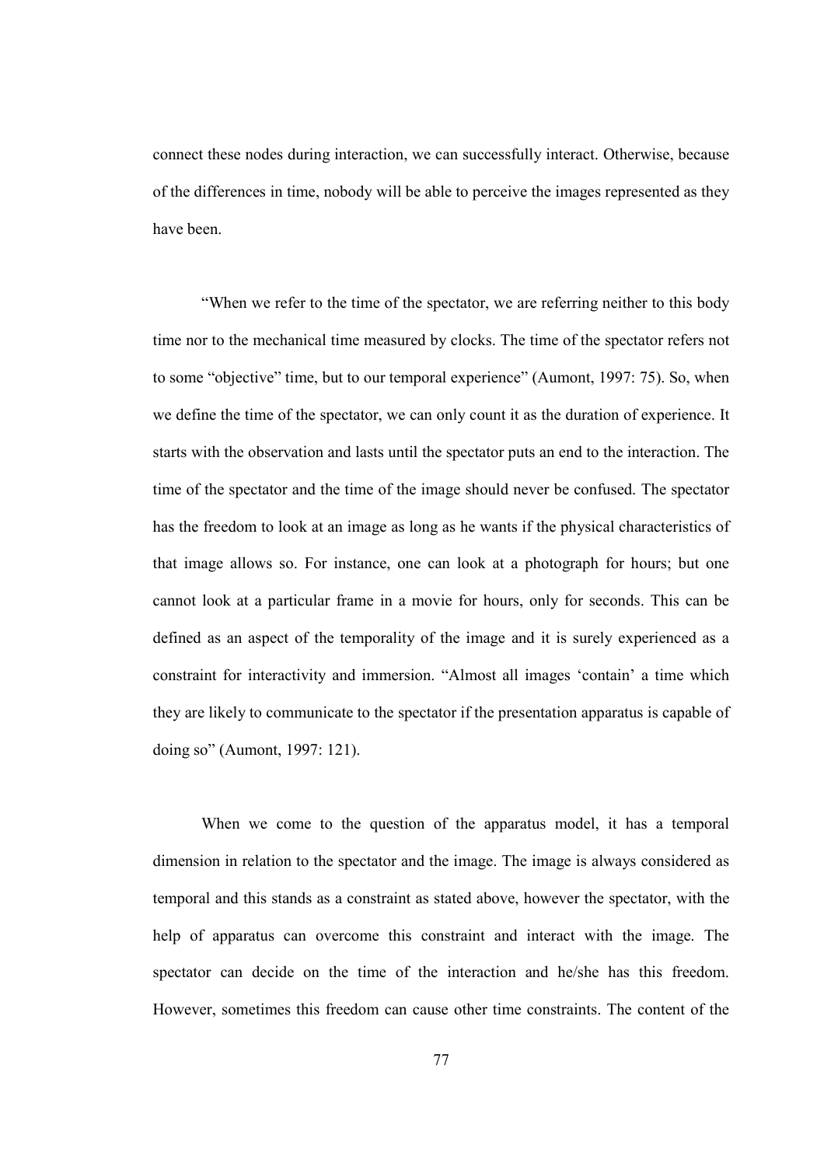connect these nodes during interaction, we can successfully interact. Otherwise, because of the differences in time, nobody will be able to perceive the images represented as they have been.

"When we refer to the time of the spectator, we are referring neither to this body time nor to the mechanical time measured by clocks. The time of the spectator refers not to some "objective" time, but to our temporal experience" (Aumont, 1997: 75). So, when we define the time of the spectator, we can only count it as the duration of experience. It starts with the observation and lasts until the spectator puts an end to the interaction. The time of the spectator and the time of the image should never be confused. The spectator has the freedom to look at an image as long as he wants if the physical characteristics of that image allows so. For instance, one can look at a photograph for hours; but one cannot look at a particular frame in a movie for hours, only for seconds. This can be defined as an aspect of the temporality of the image and it is surely experienced as a constraint for interactivity and immersion. "Almost all images 'contain' a time which they are likely to communicate to the spectator if the presentation apparatus is capable of doing so" (Aumont, 1997: 121).

When we come to the question of the apparatus model, it has a temporal dimension in relation to the spectator and the image. The image is always considered as temporal and this stands as a constraint as stated above, however the spectator, with the help of apparatus can overcome this constraint and interact with the image. The spectator can decide on the time of the interaction and he/she has this freedom. However, sometimes this freedom can cause other time constraints. The content of the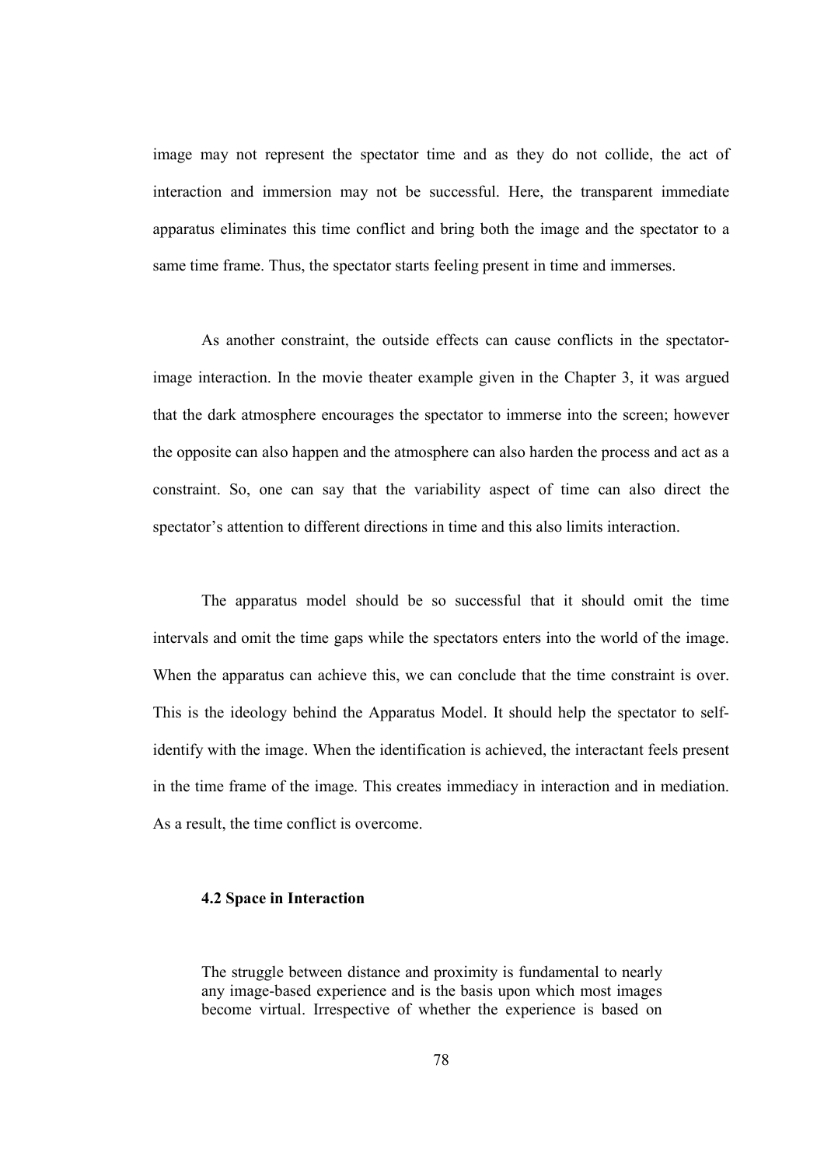image may not represent the spectator time and as they do not collide, the act of interaction and immersion may not be successful. Here, the transparent immediate apparatus eliminates this time conflict and bring both the image and the spectator to a same time frame. Thus, the spectator starts feeling present in time and immerses.

As another constraint, the outside effects can cause conflicts in the spectatorimage interaction. In the movie theater example given in the Chapter 3, it was argued that the dark atmosphere encourages the spectator to immerse into the screen; however the opposite can also happen and the atmosphere can also harden the process and act as a constraint. So, one can say that the variability aspect of time can also direct the spectator's attention to different directions in time and this also limits interaction.

The apparatus model should be so successful that it should omit the time intervals and omit the time gaps while the spectators enters into the world of the image. When the apparatus can achieve this, we can conclude that the time constraint is over. This is the ideology behind the Apparatus Model. It should help the spectator to selfidentify with the image. When the identification is achieved, the interactant feels present in the time frame of the image. This creates immediacy in interaction and in mediation. As a result, the time conflict is overcome.

#### 4.2 Space in Interaction

The struggle between distance and proximity is fundamental to nearly any image-based experience and is the basis upon which most images become virtual. Irrespective of whether the experience is based on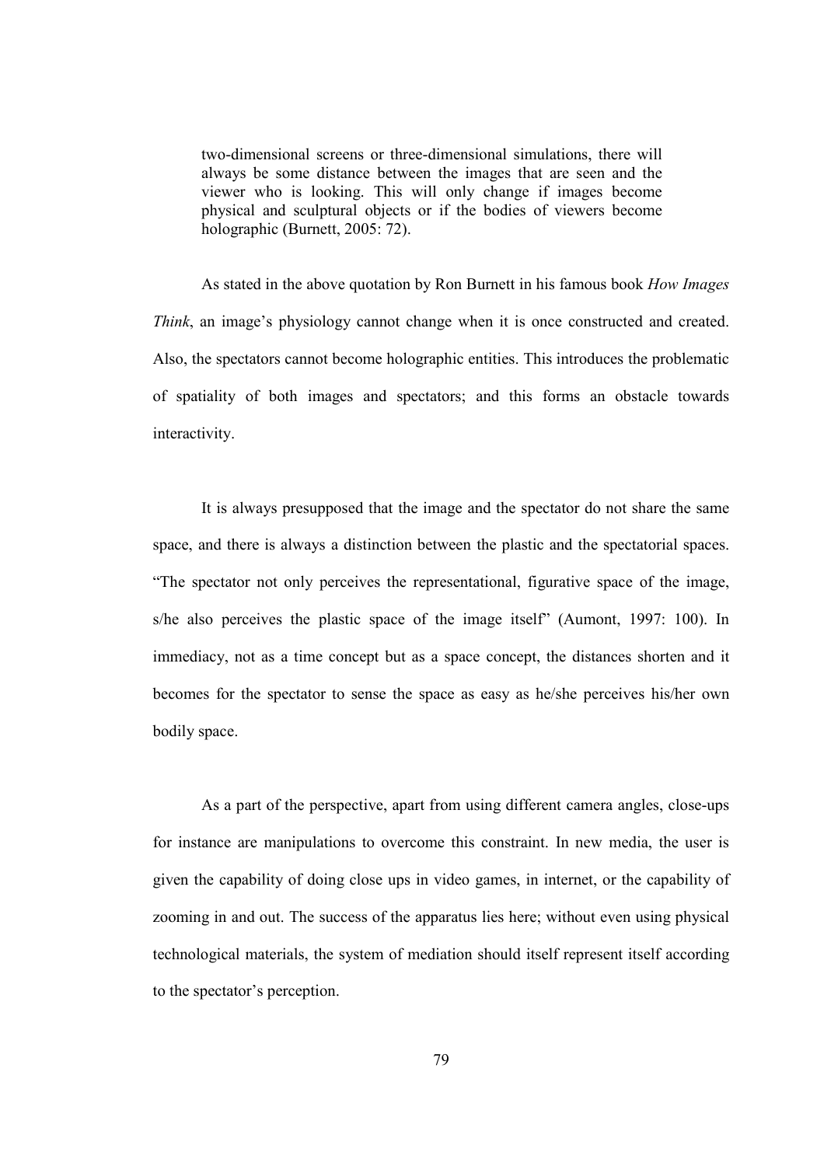two-dimensional screens or three-dimensional simulations, there will always be some distance between the images that are seen and the viewer who is looking. This will only change if images become physical and sculptural objects or if the bodies of viewers become holographic (Burnett, 2005: 72).

As stated in the above quotation by Ron Burnett in his famous book How Images Think, an image's physiology cannot change when it is once constructed and created. Also, the spectators cannot become holographic entities. This introduces the problematic of spatiality of both images and spectators; and this forms an obstacle towards interactivity.

It is always presupposed that the image and the spectator do not share the same space, and there is always a distinction between the plastic and the spectatorial spaces. "The spectator not only perceives the representational, figurative space of the image, s/he also perceives the plastic space of the image itself" (Aumont, 1997: 100). In immediacy, not as a time concept but as a space concept, the distances shorten and it becomes for the spectator to sense the space as easy as he/she perceives his/her own bodily space.

As a part of the perspective, apart from using different camera angles, close-ups for instance are manipulations to overcome this constraint. In new media, the user is given the capability of doing close ups in video games, in internet, or the capability of zooming in and out. The success of the apparatus lies here; without even using physical technological materials, the system of mediation should itself represent itself according to the spectator's perception.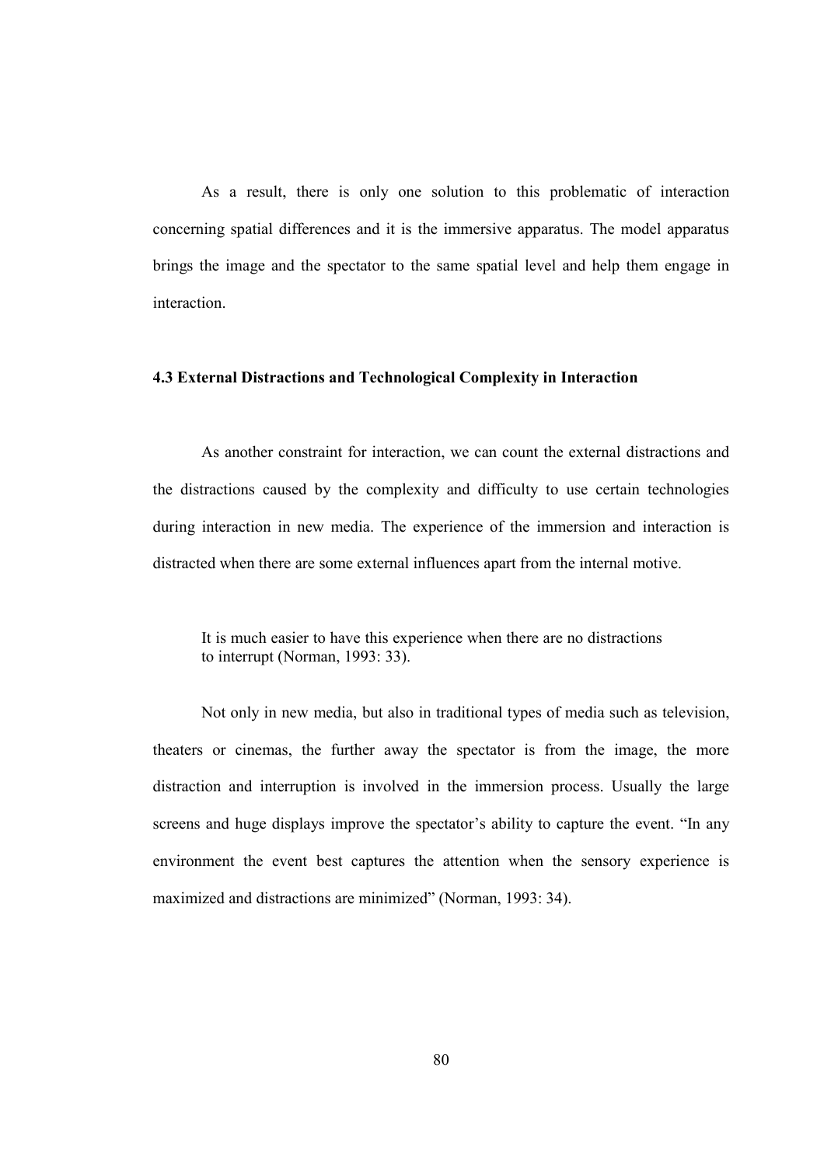As a result, there is only one solution to this problematic of interaction concerning spatial differences and it is the immersive apparatus. The model apparatus brings the image and the spectator to the same spatial level and help them engage in interaction.

## 4.3 External Distractions and Technological Complexity in Interaction

As another constraint for interaction, we can count the external distractions and the distractions caused by the complexity and difficulty to use certain technologies during interaction in new media. The experience of the immersion and interaction is distracted when there are some external influences apart from the internal motive.

It is much easier to have this experience when there are no distractions to interrupt (Norman, 1993: 33).

 Not only in new media, but also in traditional types of media such as television, theaters or cinemas, the further away the spectator is from the image, the more distraction and interruption is involved in the immersion process. Usually the large screens and huge displays improve the spectator's ability to capture the event. "In any environment the event best captures the attention when the sensory experience is maximized and distractions are minimized" (Norman, 1993: 34).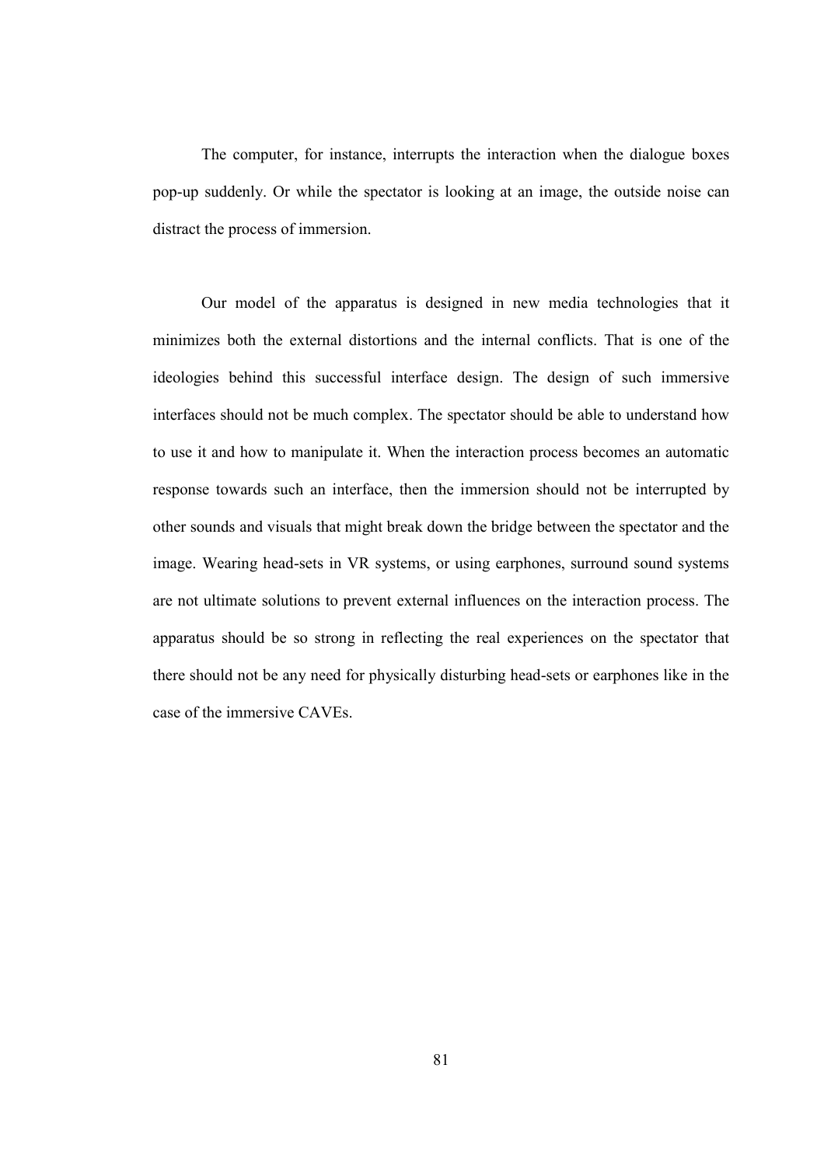The computer, for instance, interrupts the interaction when the dialogue boxes pop-up suddenly. Or while the spectator is looking at an image, the outside noise can distract the process of immersion.

Our model of the apparatus is designed in new media technologies that it minimizes both the external distortions and the internal conflicts. That is one of the ideologies behind this successful interface design. The design of such immersive interfaces should not be much complex. The spectator should be able to understand how to use it and how to manipulate it. When the interaction process becomes an automatic response towards such an interface, then the immersion should not be interrupted by other sounds and visuals that might break down the bridge between the spectator and the image. Wearing head-sets in VR systems, or using earphones, surround sound systems are not ultimate solutions to prevent external influences on the interaction process. The apparatus should be so strong in reflecting the real experiences on the spectator that there should not be any need for physically disturbing head-sets or earphones like in the case of the immersive CAVEs.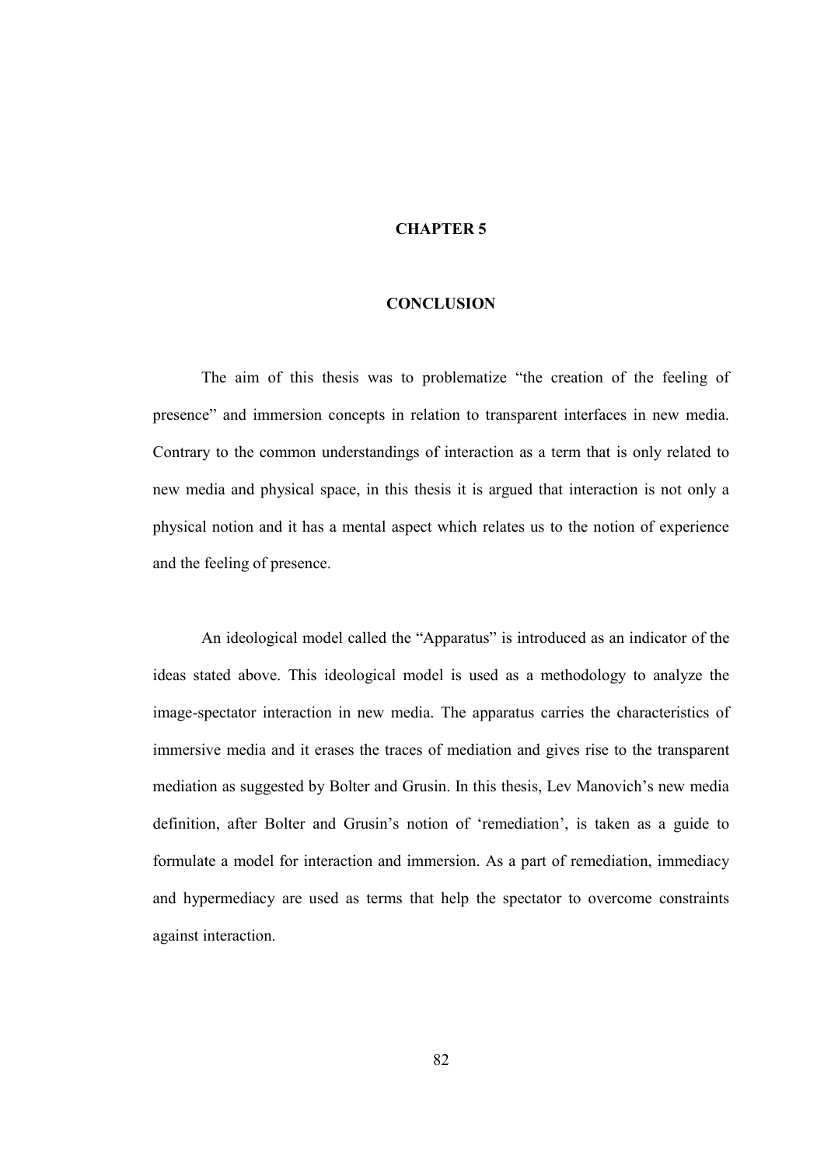## CHAPTER 5

#### **CONCLUSION**

The aim of this thesis was to problematize "the creation of the feeling of presence" and immersion concepts in relation to transparent interfaces in new media. Contrary to the common understandings of interaction as a term that is only related to new media and physical space, in this thesis it is argued that interaction is not only a physical notion and it has a mental aspect which relates us to the notion of experience and the feeling of presence.

An ideological model called the "Apparatus" is introduced as an indicator of the ideas stated above. This ideological model is used as a methodology to analyze the image-spectator interaction in new media. The apparatus carries the characteristics of immersive media and it erases the traces of mediation and gives rise to the transparent mediation as suggested by Bolter and Grusin. In this thesis, Lev Manovich's new media definition, after Bolter and Grusin's notion of 'remediation', is taken as a guide to formulate a model for interaction and immersion. As a part of remediation, immediacy and hypermediacy are used as terms that help the spectator to overcome constraints against interaction.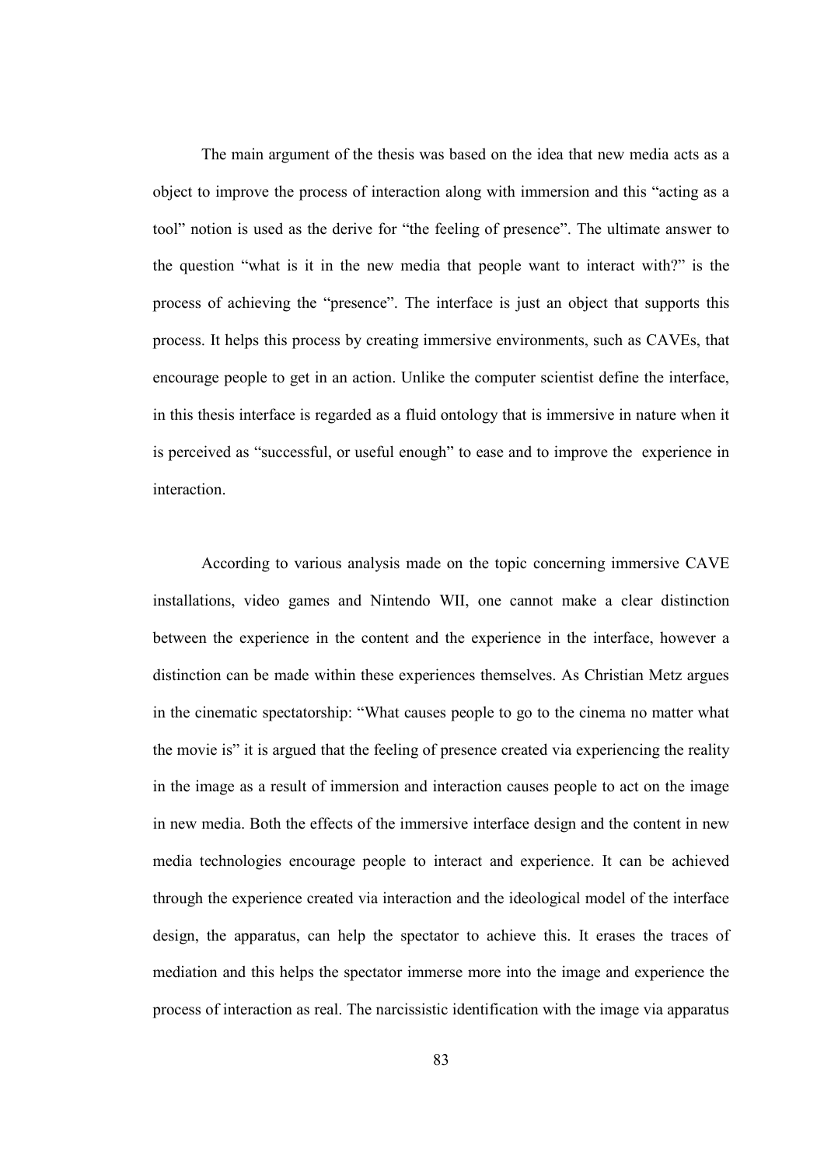The main argument of the thesis was based on the idea that new media acts as a object to improve the process of interaction along with immersion and this "acting as a tool" notion is used as the derive for "the feeling of presence". The ultimate answer to the question "what is it in the new media that people want to interact with?" is the process of achieving the "presence". The interface is just an object that supports this process. It helps this process by creating immersive environments, such as CAVEs, that encourage people to get in an action. Unlike the computer scientist define the interface, in this thesis interface is regarded as a fluid ontology that is immersive in nature when it is perceived as "successful, or useful enough" to ease and to improve the experience in interaction.

According to various analysis made on the topic concerning immersive CAVE installations, video games and Nintendo WII, one cannot make a clear distinction between the experience in the content and the experience in the interface, however a distinction can be made within these experiences themselves. As Christian Metz argues in the cinematic spectatorship: "What causes people to go to the cinema no matter what the movie is" it is argued that the feeling of presence created via experiencing the reality in the image as a result of immersion and interaction causes people to act on the image in new media. Both the effects of the immersive interface design and the content in new media technologies encourage people to interact and experience. It can be achieved through the experience created via interaction and the ideological model of the interface design, the apparatus, can help the spectator to achieve this. It erases the traces of mediation and this helps the spectator immerse more into the image and experience the process of interaction as real. The narcissistic identification with the image via apparatus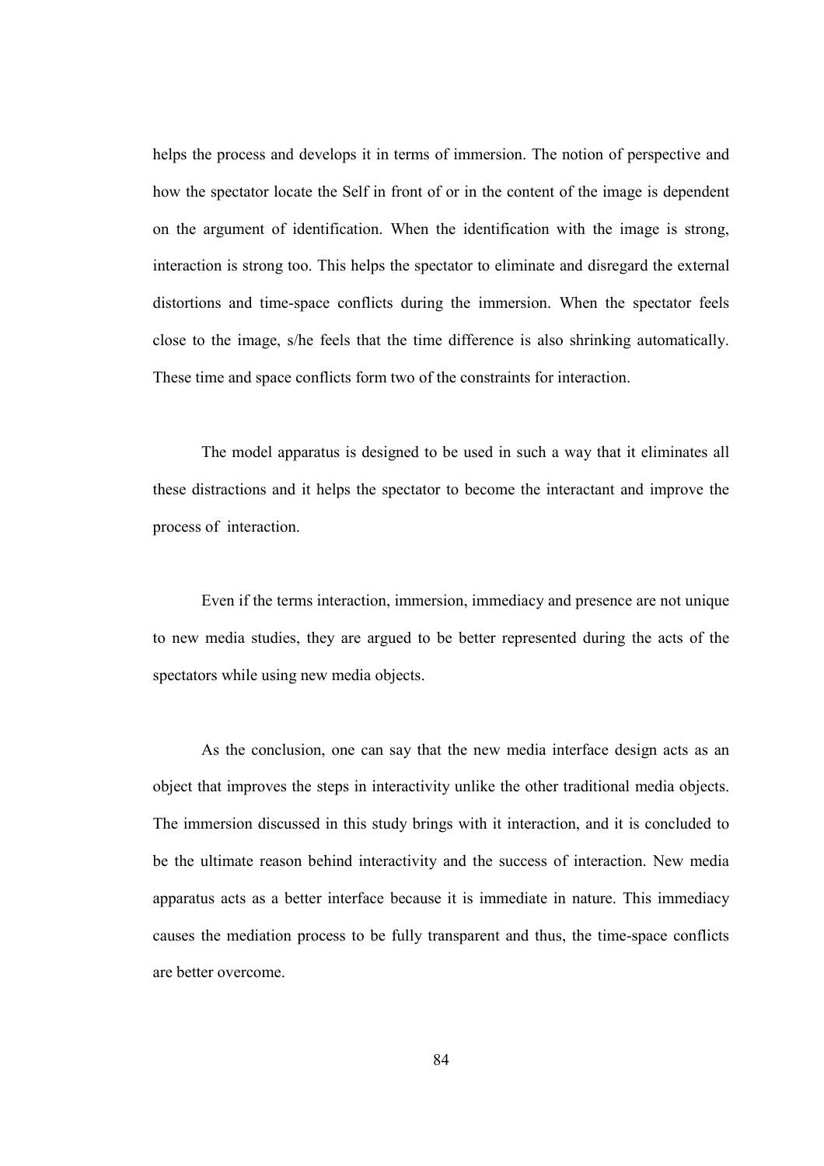helps the process and develops it in terms of immersion. The notion of perspective and how the spectator locate the Self in front of or in the content of the image is dependent on the argument of identification. When the identification with the image is strong, interaction is strong too. This helps the spectator to eliminate and disregard the external distortions and time-space conflicts during the immersion. When the spectator feels close to the image, s/he feels that the time difference is also shrinking automatically. These time and space conflicts form two of the constraints for interaction.

The model apparatus is designed to be used in such a way that it eliminates all these distractions and it helps the spectator to become the interactant and improve the process of interaction.

Even if the terms interaction, immersion, immediacy and presence are not unique to new media studies, they are argued to be better represented during the acts of the spectators while using new media objects.

As the conclusion, one can say that the new media interface design acts as an object that improves the steps in interactivity unlike the other traditional media objects. The immersion discussed in this study brings with it interaction, and it is concluded to be the ultimate reason behind interactivity and the success of interaction. New media apparatus acts as a better interface because it is immediate in nature. This immediacy causes the mediation process to be fully transparent and thus, the time-space conflicts are better overcome.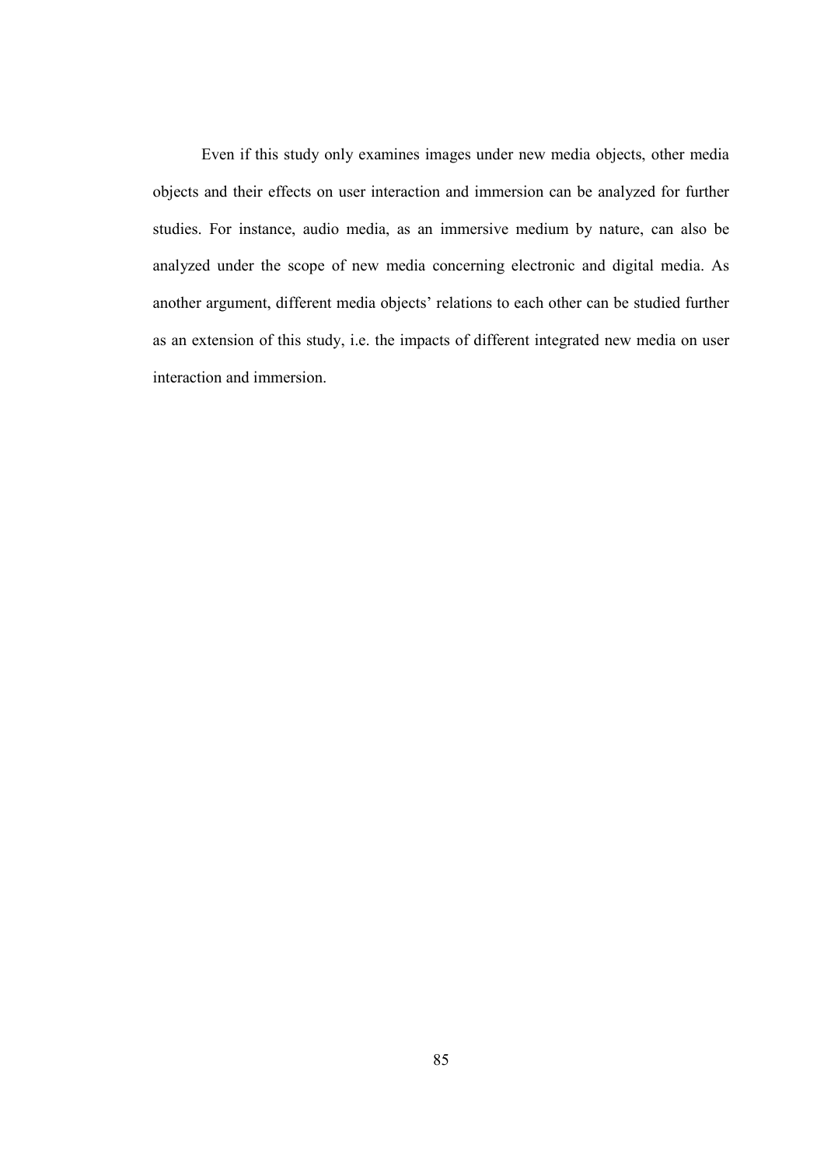Even if this study only examines images under new media objects, other media objects and their effects on user interaction and immersion can be analyzed for further studies. For instance, audio media, as an immersive medium by nature, can also be analyzed under the scope of new media concerning electronic and digital media. As another argument, different media objects' relations to each other can be studied further as an extension of this study, i.e. the impacts of different integrated new media on user interaction and immersion.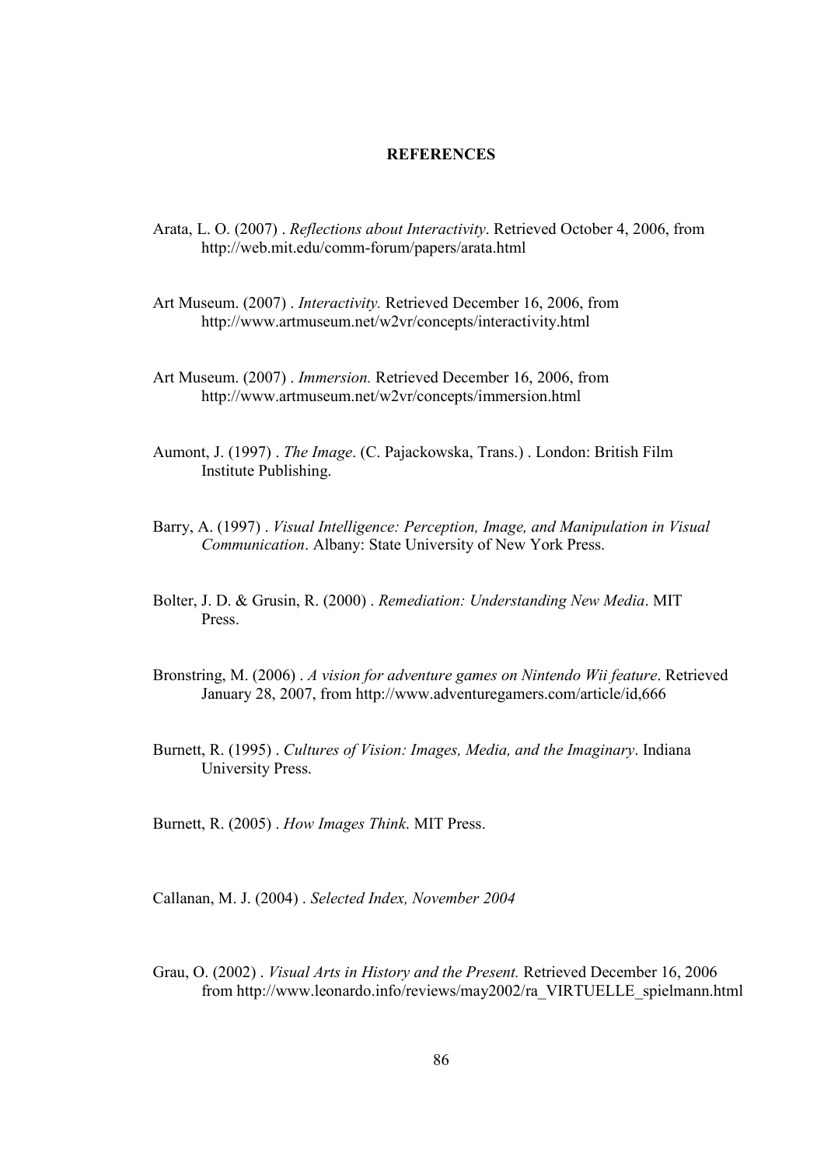### **REFERENCES**

- Arata, L. O. (2007) . Reflections about Interactivity. Retrieved October 4, 2006, from http://web.mit.edu/comm-forum/papers/arata.html
- Art Museum. (2007) . Interactivity. Retrieved December 16, 2006, from http://www.artmuseum.net/w2vr/concepts/interactivity.html
- Art Museum. (2007) . Immersion. Retrieved December 16, 2006, from http://www.artmuseum.net/w2vr/concepts/immersion.html
- Aumont, J. (1997) . The Image. (C. Pajackowska, Trans.) . London: British Film Institute Publishing.
- Barry, A. (1997) . Visual Intelligence: Perception, Image, and Manipulation in Visual Communication. Albany: State University of New York Press.
- Bolter, J. D. & Grusin, R. (2000) . Remediation: Understanding New Media. MIT Press.
- Bronstring, M. (2006) . A vision for adventure games on Nintendo Wii feature. Retrieved January 28, 2007, from http://www.adventuregamers.com/article/id,666
- Burnett, R. (1995) . Cultures of Vision: Images, Media, and the Imaginary. Indiana University Press.

Burnett, R. (2005) . How Images Think. MIT Press.

Callanan, M. J. (2004) . Selected Index, November 2004

Grau, O. (2002) . Visual Arts in History and the Present. Retrieved December 16, 2006 from http://www.leonardo.info/reviews/may2002/ra\_VIRTUELLE\_spielmann.html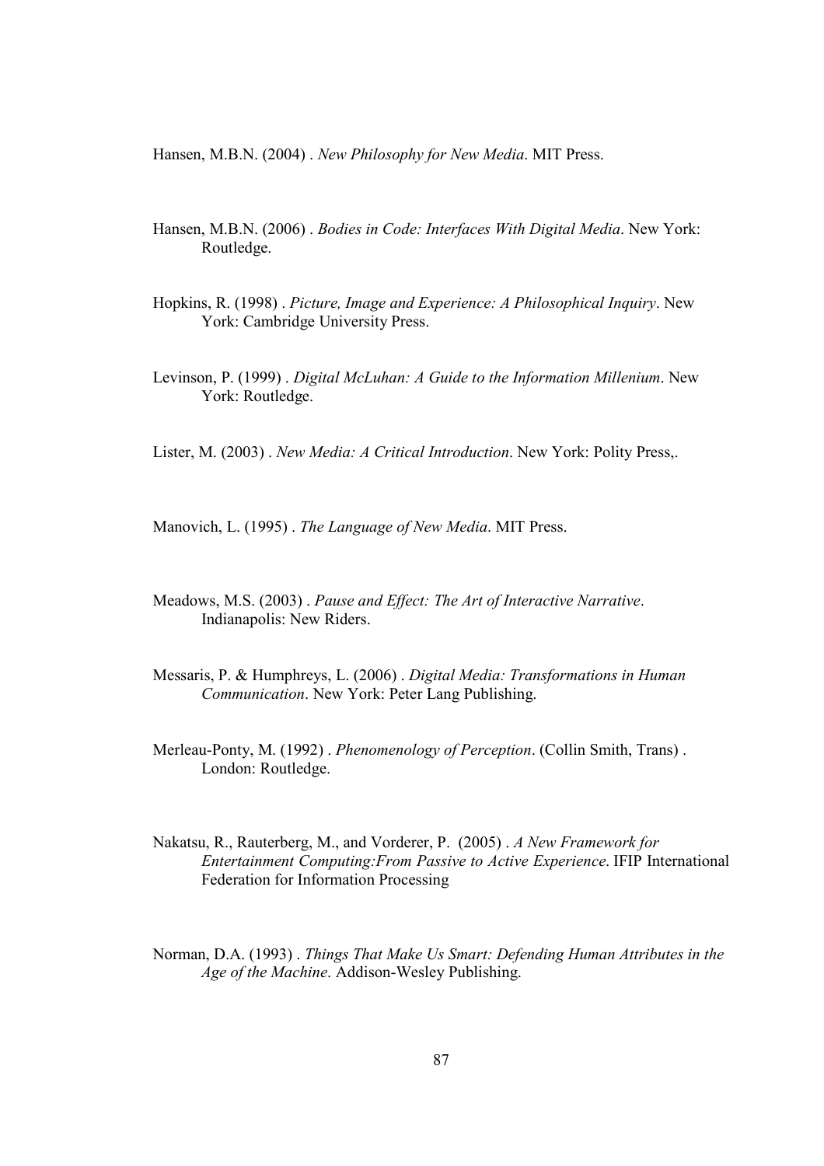Hansen, M.B.N. (2004) . New Philosophy for New Media. MIT Press.

- Hansen, M.B.N. (2006) . Bodies in Code: Interfaces With Digital Media. New York: Routledge.
- Hopkins, R. (1998) . Picture, Image and Experience: A Philosophical Inquiry. New York: Cambridge University Press.
- Levinson, P. (1999) . Digital McLuhan: A Guide to the Information Millenium. New York: Routledge.

Lister, M. (2003) . New Media: A Critical Introduction. New York: Polity Press,.

Manovich, L. (1995) . The Language of New Media. MIT Press.

- Meadows, M.S. (2003) . Pause and Effect: The Art of Interactive Narrative. Indianapolis: New Riders.
- Messaris, P. & Humphreys, L. (2006) . Digital Media: Transformations in Human Communication. New York: Peter Lang Publishing.
- Merleau-Ponty, M. (1992). Phenomenology of Perception. (Collin Smith, Trans). London: Routledge.
- Nakatsu, R., Rauterberg, M., and Vorderer, P. (2005) . A New Framework for Entertainment Computing:From Passive to Active Experience. IFIP International Federation for Information Processing
- Norman, D.A. (1993) . Things That Make Us Smart: Defending Human Attributes in the Age of the Machine. Addison-Wesley Publishing.